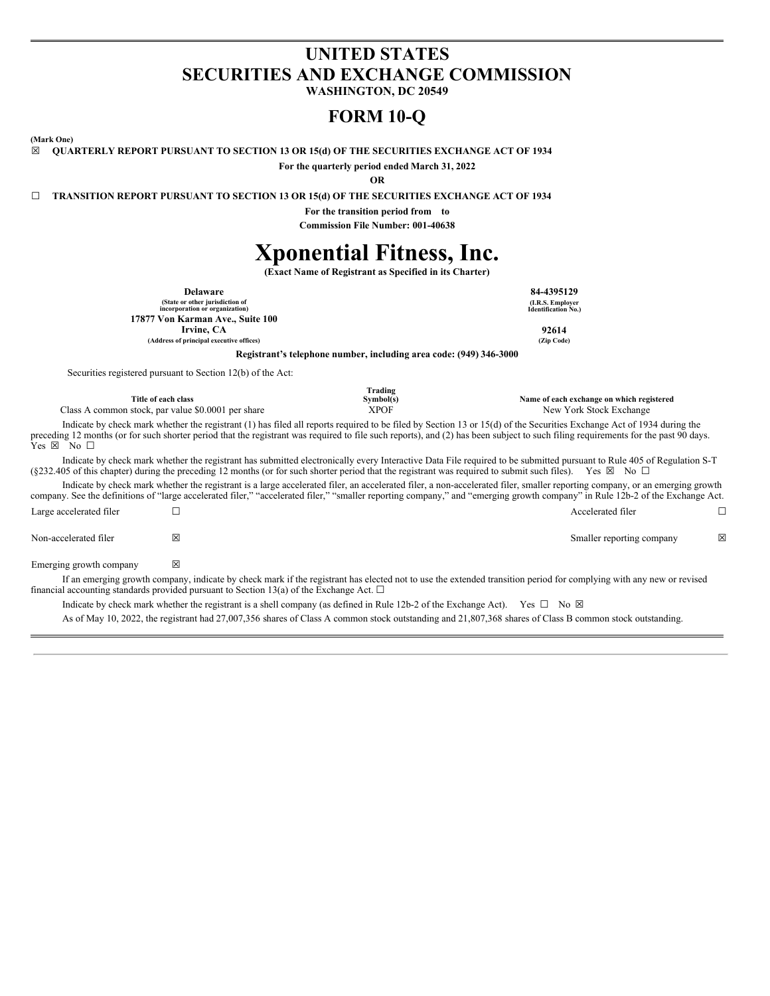# **UNITED STATES SECURITIES AND EXCHANGE COMMISSION**

**WASHINGTON, DC 20549**

# **FORM 10-Q**

**(Mark One)**

**☒ QUARTERLY REPORT PURSUANT TO SECTION 13 OR 15(d) OF THE SECURITIES EXCHANGE ACT OF 1934**

**For the quarterly period ended March 31, 2022**

**OR**

**☐ TRANSITION REPORT PURSUANT TO SECTION 13 OR 15(d) OF THE SECURITIES EXCHANGE ACT OF 1934**

**For the transition period from to**

**Commission File Number: 001-40638**

# **Xponential Fitness, Inc.**

**(Exact Name of Registrant as Specified in its Charter)**

| <b>Delaware</b><br>(State or other jurisdiction of<br>incorporation or organization) | 84-4395129<br>(I.R.S. Employer<br><b>Identification No.)</b> |
|--------------------------------------------------------------------------------------|--------------------------------------------------------------|
| 17877 Von Karman Ave., Suite 100<br>Irvine. CA                                       | 92614                                                        |
| (Address of principal executive offices)                                             | (Zip Code)                                                   |
| Registrant's telephone number, including area code: (949) 346-3000                   |                                                              |
| Securities registered pursuant to Section 12(b) of the Act:                          |                                                              |

**Title of each class Trading Symbol(s) Name of each exchange on which registered** Class A common stock, par value \$0.0001 per share XPOF XPOF New York Stock Exchange Indicate by check mark whether the registrant (1) has filed all reports required to be filed by Section 13 or 15(d) of the Securities Exchange Act of 1934 during the preceding 12 months (or for such shorter period that the registrant was required to file such reports), and (2) has been subject to such filing requirements for the past 90 days. Yes  $\boxtimes$  No  $\Box$ Indicate by check mark whether the registrant has submitted electronically every Interactive Data File required to be submitted pursuant to Rule 405 of Regulation S-T (§232.405 of this chapter) during the preceding 12 months (or for such shorter period that the registrant was required to submit such files). Yes  $\boxtimes$  No  $\Box$ Indicate by check mark whether the registrant is a large accelerated filer, an accelerated filer, a non-accelerated filer, smaller reporting company, or an emerging growth company. See the definitions of "large accelerated filer," "smaller reporting company," and "emerging growth company" in Rule 12b-2 of the Exchange Act. Large accelerated filer ☐ Accelerated filer ☐ Non-accelerated filer ☒ Smaller reporting company ☒ Emerging growth company  $\boxtimes$ If an emerging growth company, indicate by check mark if the registrant has elected not to use the extended transition period for complying with any new or revised financial accounting standards provided pursuant to Section 13(a) of the Exchange Act.  $\Box$ 

Indicate by check mark whether the registrant is a shell company (as defined in Rule 12b-2 of the Exchange Act). Yes  $\Box$  No  $\boxtimes$ 

As of May 10, 2022, the registrant had 27,007,356 shares of Class A common stock outstanding and 21,807,368 shares of Class B common stock outstanding.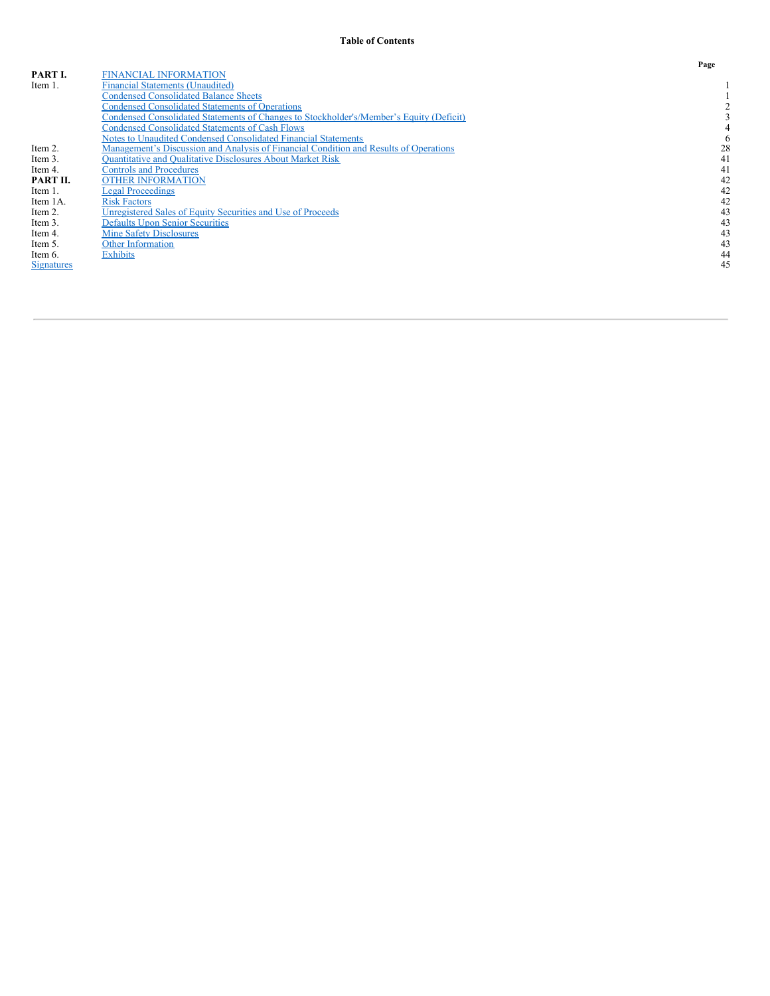| PART I.           | <b>FINANCIAL INFORMATION</b>                                                            |    |
|-------------------|-----------------------------------------------------------------------------------------|----|
| Item 1.           | <b>Financial Statements (Unaudited)</b>                                                 |    |
|                   | <b>Condensed Consolidated Balance Sheets</b>                                            |    |
|                   | <b>Condensed Consolidated Statements of Operations</b>                                  |    |
|                   | Condensed Consolidated Statements of Changes to Stockholder's/Member's Equity (Deficit) |    |
|                   | <b>Condensed Consolidated Statements of Cash Flows</b>                                  |    |
|                   | Notes to Unaudited Condensed Consolidated Financial Statements                          |    |
| Item 2.           | Management's Discussion and Analysis of Financial Condition and Results of Operations   | 28 |
| Item 3.           | <b>Ouantitative and Qualitative Disclosures About Market Risk</b>                       | 41 |
| Item 4.           | <b>Controls and Procedures</b>                                                          | 41 |
| PART II.          | <b>OTHER INFORMATION</b>                                                                | 42 |
| Item 1.           | <b>Legal Proceedings</b>                                                                | 42 |
| Item 1A.          | <b>Risk Factors</b>                                                                     | 42 |
| Item 2.           | Unregistered Sales of Equity Securities and Use of Proceeds                             | 43 |
| Item 3.           | <b>Defaults Upon Senior Securities</b>                                                  | 43 |
| Item 4.           | <b>Mine Safety Disclosures</b>                                                          | 43 |
| Item 5.           | <b>Other Information</b>                                                                | 43 |
| Item 6.           | <b>Exhibits</b>                                                                         | 44 |
| <b>Signatures</b> |                                                                                         | 45 |

**P a g e**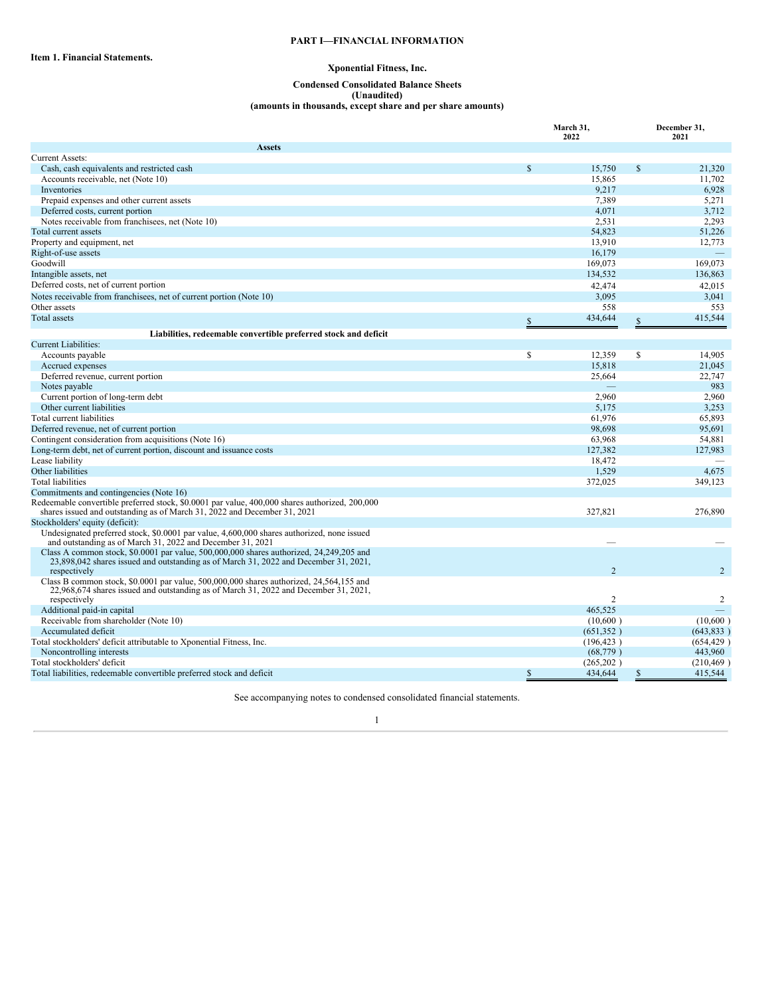# **PART I—FINANCIAL INFORMATION**

# **Xponential Fitness, Inc.**

**Condensed Consolidated Balance Sheets**

**(Unaudited)**

### **(amounts in thousands, except share and per share amounts)**

<span id="page-2-1"></span><span id="page-2-0"></span>

|                                                                                                |              | March 31,<br>2022 | December 31,<br>2021 |                 |
|------------------------------------------------------------------------------------------------|--------------|-------------------|----------------------|-----------------|
| <b>Assets</b>                                                                                  |              |                   |                      |                 |
| Current Assets:                                                                                |              |                   |                      |                 |
| Cash, cash equivalents and restricted cash                                                     | $\mathbb{S}$ | 15,750            | \$                   | 21,320          |
| Accounts receivable, net (Note 10)                                                             |              | 15,865            |                      | 11,702          |
| Inventories                                                                                    |              | 9,217             |                      | 6,928           |
| Prepaid expenses and other current assets                                                      |              | 7,389             |                      | 5,271           |
| Deferred costs, current portion                                                                |              | 4,071             |                      | 3,712           |
| Notes receivable from franchisees, net (Note 10)                                               |              | 2,531             |                      | 2,293           |
| Total current assets                                                                           |              | 54,823            |                      | 51,226          |
| Property and equipment, net                                                                    |              | 13,910            |                      | 12,773          |
| Right-of-use assets                                                                            |              | 16,179            |                      |                 |
| Goodwill                                                                                       |              | 169,073           |                      | 169,073         |
| Intangible assets, net                                                                         |              | 134,532           |                      | 136,863         |
| Deferred costs, net of current portion                                                         |              |                   |                      |                 |
|                                                                                                |              | 42,474            |                      | 42,015          |
| Notes receivable from franchisees, net of current portion (Note 10)                            |              | 3,095             |                      | 3,041           |
| Other assets                                                                                   |              | 558               |                      | 553             |
| <b>Total</b> assets                                                                            | S            | 434,644           | $\mathbb{S}$         | 415,544         |
| Liabilities, redeemable convertible preferred stock and deficit                                |              |                   |                      |                 |
| <b>Current Liabilities:</b>                                                                    |              |                   |                      |                 |
| Accounts payable                                                                               | \$           | 12,359            | S                    | 14,905          |
| Accrued expenses                                                                               |              | 15,818            |                      | 21,045          |
| Deferred revenue, current portion                                                              |              | 25,664            |                      | 22,747          |
| Notes payable                                                                                  |              |                   |                      | 983             |
| Current portion of long-term debt                                                              |              | 2.960             |                      | 2.960           |
| Other current liabilities                                                                      |              | 5,175             |                      | 3,253           |
| Total current liabilities                                                                      |              | 61,976            |                      | 65,893          |
| Deferred revenue, net of current portion                                                       |              | 98,698            |                      | 95,691          |
| Contingent consideration from acquisitions (Note 16)                                           |              | 63,968            |                      | 54,881          |
| Long-term debt, net of current portion, discount and issuance costs                            |              | 127,382           |                      | 127,983         |
| Lease liability                                                                                |              | 18,472            |                      |                 |
| Other liabilities                                                                              |              | 1,529             |                      | 4,675           |
| <b>Total liabilities</b>                                                                       |              | 372,025           |                      | 349,123         |
| Commitments and contingencies (Note 16)                                                        |              |                   |                      |                 |
| Redeemable convertible preferred stock, \$0.0001 par value, 400,000 shares authorized, 200,000 |              |                   |                      |                 |
| shares issued and outstanding as of March 31, 2022 and December 31, 2021                       |              | 327,821           |                      | 276,890         |
| Stockholders' equity (deficit):                                                                |              |                   |                      |                 |
| Undesignated preferred stock, \$0.0001 par value, 4,600,000 shares authorized, none issued     |              |                   |                      |                 |
| and outstanding as of March 31, 2022 and December 31, 2021                                     |              |                   |                      |                 |
| Class A common stock, $$0.0001$ par value, $500,000,000$ shares authorized, $24,249,205$ and   |              |                   |                      |                 |
| 23,898,042 shares issued and outstanding as of March 31, 2022 and December 31, 2021,           |              |                   |                      |                 |
| respectively                                                                                   |              | $\overline{c}$    |                      | 2               |
| Class B common stock, $$0.0001$ par value, $500,000,000$ shares authorized, $24,564,155$ and   |              |                   |                      |                 |
| 22,968,674 shares issued and outstanding as of March 31, 2022 and December 31, 2021,           |              |                   |                      |                 |
| respectively                                                                                   |              | $\overline{2}$    |                      | 2               |
| Additional paid-in capital                                                                     |              | 465.525           |                      | $\qquad \qquad$ |
| Receivable from shareholder (Note 10)                                                          |              | (10,600)          |                      | (10,600)        |
| Accumulated deficit                                                                            |              | (651,352)         |                      | (643, 833)      |
| Total stockholders' deficit attributable to Xponential Fitness, Inc.                           |              | (196, 423)        |                      | (654, 429)      |
| Noncontrolling interests                                                                       |              | (68, 779)         |                      | 443,960         |
| Total stockholders' deficit                                                                    |              | (265, 202)        |                      | (210, 469)      |
| Total liabilities, redeemable convertible preferred stock and deficit                          | $\mathbb{S}$ | 434,644           | $\mathbb{S}$         | 415,544         |

See accompanying notes to condensed consolidated financial statements.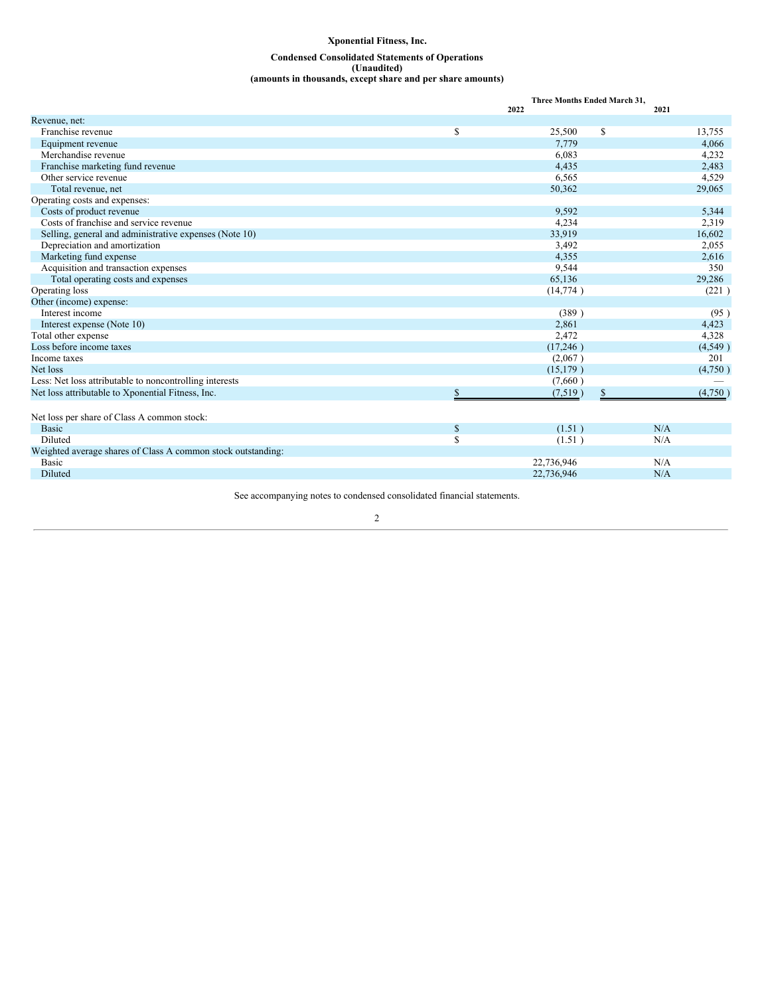# **Xponential Fitness, Inc. Condensed Consolidated Statements of Operations (Unaudited) (amounts in thousands, except share and per share amounts)**

<span id="page-3-0"></span>

|                                                              |    | 2022       |    | 2021    |
|--------------------------------------------------------------|----|------------|----|---------|
| Revenue, net:                                                |    |            |    |         |
| Franchise revenue                                            | \$ | 25,500     | \$ | 13,755  |
| Equipment revenue                                            |    | 7,779      |    | 4,066   |
| Merchandise revenue                                          |    | 6,083      |    | 4,232   |
| Franchise marketing fund revenue                             |    | 4,435      |    | 2,483   |
| Other service revenue                                        |    | 6,565      |    | 4,529   |
| Total revenue, net                                           |    | 50,362     |    | 29,065  |
| Operating costs and expenses:                                |    |            |    |         |
| Costs of product revenue                                     |    | 9,592      |    | 5,344   |
| Costs of franchise and service revenue                       |    | 4,234      |    | 2,319   |
| Selling, general and administrative expenses (Note 10)       |    | 33,919     |    | 16,602  |
| Depreciation and amortization                                |    | 3,492      |    | 2,055   |
| Marketing fund expense                                       |    | 4,355      |    | 2,616   |
| Acquisition and transaction expenses                         |    | 9,544      |    | 350     |
| Total operating costs and expenses                           |    | 65,136     |    | 29,286  |
| Operating loss                                               |    | (14,774)   |    | (221)   |
| Other (income) expense:                                      |    |            |    |         |
| Interest income                                              |    | (389)      |    | (95)    |
| Interest expense (Note 10)                                   |    | 2,861      |    | 4,423   |
| Total other expense                                          |    | 2,472      |    | 4,328   |
| Loss before income taxes                                     |    | (17,246)   |    | (4,549) |
| Income taxes                                                 |    | (2,067)    |    | 201     |
| Net loss                                                     |    | (15, 179)  |    | (4,750) |
| Less: Net loss attributable to noncontrolling interests      |    | (7,660)    |    |         |
| Net loss attributable to Xponential Fitness, Inc.            | \$ | (7,519)    | \$ | (4,750) |
| Net loss per share of Class A common stock:                  |    |            |    |         |
| <b>Basic</b>                                                 | \$ | (1.51)     |    | N/A     |
| Diluted                                                      | S  | (1.51)     |    | N/A     |
| Weighted average shares of Class A common stock outstanding: |    |            |    |         |
| <b>Basic</b>                                                 |    | 22,736,946 |    | N/A     |
| Diluted                                                      |    | 22,736,946 |    | N/A     |
|                                                              |    |            |    |         |

See accompanying notes to condensed consolidated financial statements.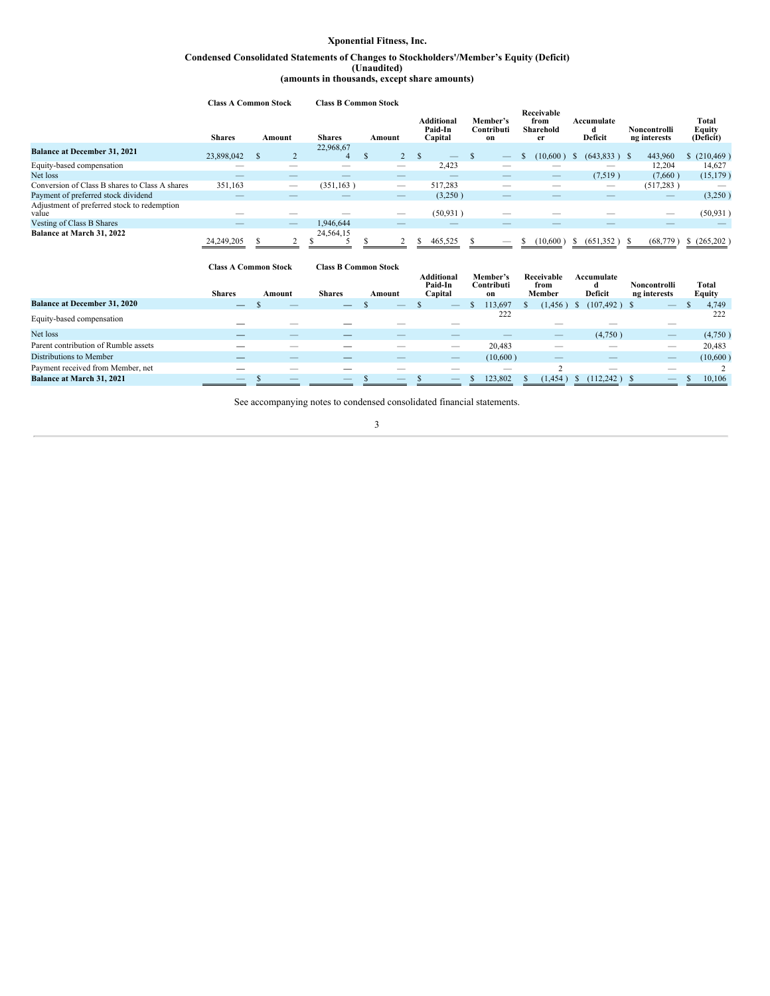# **Condensed Consolidated Statements of Changes to Stockholders'/Member's Equity (Deficit)**

**(Unaudited)**

**(amounts in thousands, except share amounts)**

### **Class A Common Stock Class B Common Stock**

<span id="page-4-0"></span>

|                                                      | <b>Shares</b> | Amount                   | <b>Shares</b>  | Amount         | <b>Additional</b><br>Paid-In<br>Capital | Member's<br>Contributi<br>on | Receivable<br>from<br>Sharehold<br>er | Accumulate<br>a<br>Deficit |                | Noncontrolli<br>ng interests | Total<br><b>Equity</b><br>(Deficit) |
|------------------------------------------------------|---------------|--------------------------|----------------|----------------|-----------------------------------------|------------------------------|---------------------------------------|----------------------------|----------------|------------------------------|-------------------------------------|
| <b>Balance at December 31, 2021</b>                  | 23,898,042    | 2                        | 22,968,67<br>4 | $\overline{2}$ | $\overline{\phantom{a}}$                |                              | 600<br>10.                            | ъ                          | $(643,833)$ \$ | 443,960                      | \$(210, 469)                        |
| Equity-based compensation                            |               |                          |                | $-$            | 2,423                                   |                              |                                       |                            |                | 12.204                       | 14,627                              |
| Net loss                                             |               |                          |                | __             | __                                      |                              |                                       |                            | (7,519)        | (7,660)                      | (15, 179)                           |
| Conversion of Class B shares to Class A shares       | 351,163       | $-$                      | (351, 163)     |                | 517,283                                 |                              |                                       |                            |                | (517, 283)                   |                                     |
| Payment of preferred stock dividend                  | $-$           |                          |                |                | (3,250)                                 | __                           |                                       |                            |                |                              | (3,250)                             |
| Adjustment of preferred stock to redemption<br>value | --            |                          |                | $-$            | (50, 931)                               | __                           |                                       |                            |                | $-$                          | (50, 931)                           |
| Vesting of Class B Shares                            |               | $\overline{\phantom{m}}$ | 1.946.644      |                |                                         |                              |                                       |                            |                |                              |                                     |
| Balance at March 31, 2022                            | 24,249,205    |                          | 24,564,15      |                | 465,525                                 | $-$                          | (10,600)                              |                            | \$ (651,352)   | (68, 779)                    | \$(265,202)                         |

#### **Class A Common Stock Class B Common Stock Shares Amount Shares Amount Additional Paid-In Capital Member's Contributi on Receivable from Member Accumulate d Deficit Noncontrolli ng interests Total Equity Balance at December 31, 2020 —** \$ — **—** \$ — \$ — \$ 113,697 \$ (1,456 ) \$ (107,492 ) \$ — \$ 4,749 Equity-based compensation<br>Net loss 222 — — — 222 Net loss **—** — **—** — — — — (4,750 ) — (4,750 ) Parent contribution of Rumble assets **—** — **—** — — 20,483 — — — 20,483 Distributions to Member **—** — **—** — — (10,600 ) — — — (10,600 ) Payment received from Member, net **—** — **—** — — — 2 — — 2 **Balance at March 31, 2021** — \$ — — \$ — \$ — \$ 123,802 \$ (1,454 ) \$ (112,242 ) \$ — \$ 10,106

See accompanying notes to condensed consolidated financial statements.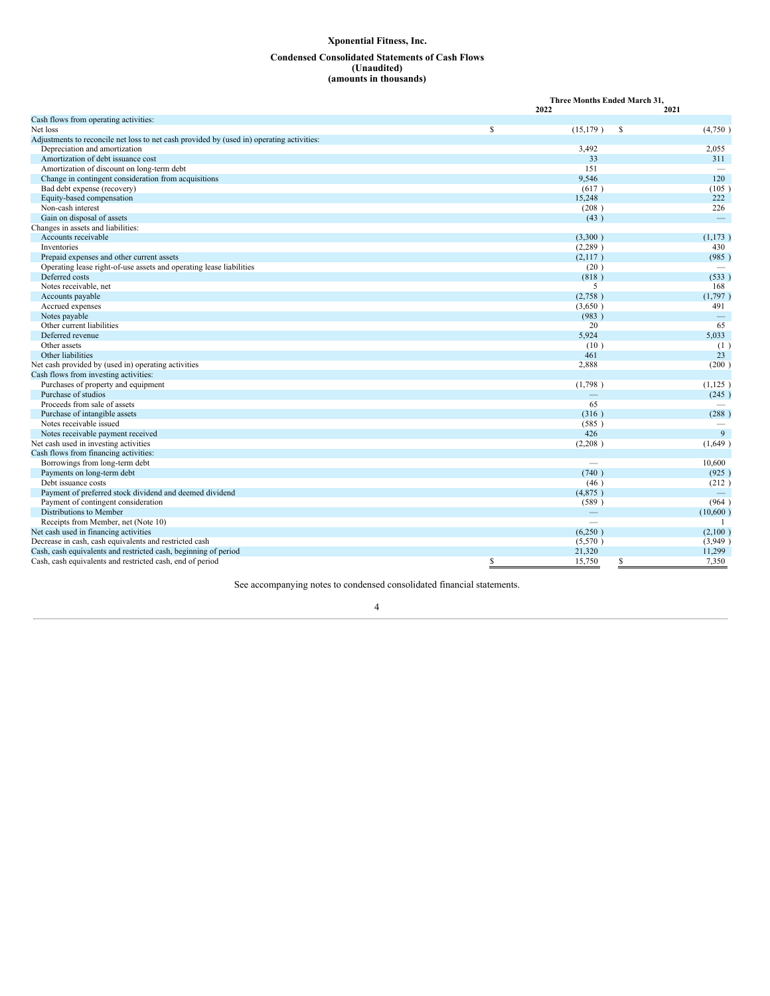# **Xponential Fitness, Inc. Condensed Consolidated Statements of Cash Flows (Unaudited) (amounts in thousands)**

<span id="page-5-0"></span>

|                                                                                           |                          | Three Months Ended March 31, |
|-------------------------------------------------------------------------------------------|--------------------------|------------------------------|
|                                                                                           | 2022                     | 2021                         |
| Cash flows from operating activities:                                                     |                          |                              |
| Net loss                                                                                  | $\mathbb{S}$<br>(15,179) | - S<br>(4,750)               |
| Adjustments to reconcile net loss to net cash provided by (used in) operating activities: |                          |                              |
| Depreciation and amortization                                                             | 3,492                    | 2,055                        |
| Amortization of debt issuance cost                                                        | 33                       | 311                          |
| Amortization of discount on long-term debt                                                | 151                      |                              |
| Change in contingent consideration from acquisitions                                      | 9,546                    | 120                          |
| Bad debt expense (recovery)                                                               | (617)                    | (105)                        |
| Equity-based compensation                                                                 | 15,248                   | 222                          |
| Non-cash interest                                                                         | (208)                    | 226                          |
| Gain on disposal of assets                                                                | (43)                     | $\overline{\phantom{m}}$     |
| Changes in assets and liabilities:                                                        |                          |                              |
| Accounts receivable                                                                       | (3,300)                  | (1,173)                      |
| Inventories                                                                               | (2,289)                  | 430                          |
| Prepaid expenses and other current assets                                                 | (2,117)                  | (985)                        |
| Operating lease right-of-use assets and operating lease liabilities                       | (20)                     | $\overline{\phantom{a}}$     |
| Deferred costs                                                                            | (818)                    | (533)                        |
| Notes receivable, net                                                                     | 5                        | 168                          |
| Accounts payable                                                                          | (2,758)                  | (1,797)                      |
| Accrued expenses                                                                          | (3,650)                  | 491                          |
| Notes payable                                                                             | (983)                    | $\overline{\phantom{0}}$     |
| Other current liabilities                                                                 | 20                       | 65                           |
| Deferred revenue                                                                          | 5,924                    | 5,033                        |
| Other assets                                                                              | (10)                     | (1)                          |
| Other liabilities                                                                         | 461                      | 23                           |
| Net cash provided by (used in) operating activities                                       | 2,888                    | (200)                        |
| Cash flows from investing activities:                                                     |                          |                              |
| Purchases of property and equipment                                                       | (1,798)                  | (1,125)                      |
| Purchase of studios                                                                       |                          | (245)                        |
| Proceeds from sale of assets                                                              | 65                       |                              |
| Purchase of intangible assets                                                             | (316)                    | (288)                        |
| Notes receivable issued                                                                   | (585)                    |                              |
| Notes receivable payment received                                                         | 426                      | $\mathbf{Q}$                 |
| Net cash used in investing activities                                                     | (2,208)                  | (1,649)                      |
| Cash flows from financing activities:                                                     |                          |                              |
| Borrowings from long-term debt                                                            | ÷,                       | 10,600                       |
| Payments on long-term debt                                                                | (740)                    | (925)                        |
| Debt issuance costs                                                                       | (46)                     | (212)                        |
| Payment of preferred stock dividend and deemed dividend                                   | (4,875)                  | $\qquad \qquad -$            |
| Payment of contingent consideration                                                       | (589)                    | (964)                        |
| Distributions to Member                                                                   |                          | (10,600)                     |
| Receipts from Member, net (Note 10)                                                       | $\qquad \qquad$          | -1                           |
| Net cash used in financing activities                                                     | (6,250)                  | (2,100)                      |
| Decrease in cash, cash equivalents and restricted cash                                    | (5,570)                  | (3,949)                      |
| Cash, cash equivalents and restricted cash, beginning of period                           | 21,320                   | 11,299                       |
| Cash, cash equivalents and restricted cash, end of period                                 | \$<br>15,750             | S<br>7,350                   |
|                                                                                           |                          |                              |

See accompanying notes to condensed consolidated financial statements.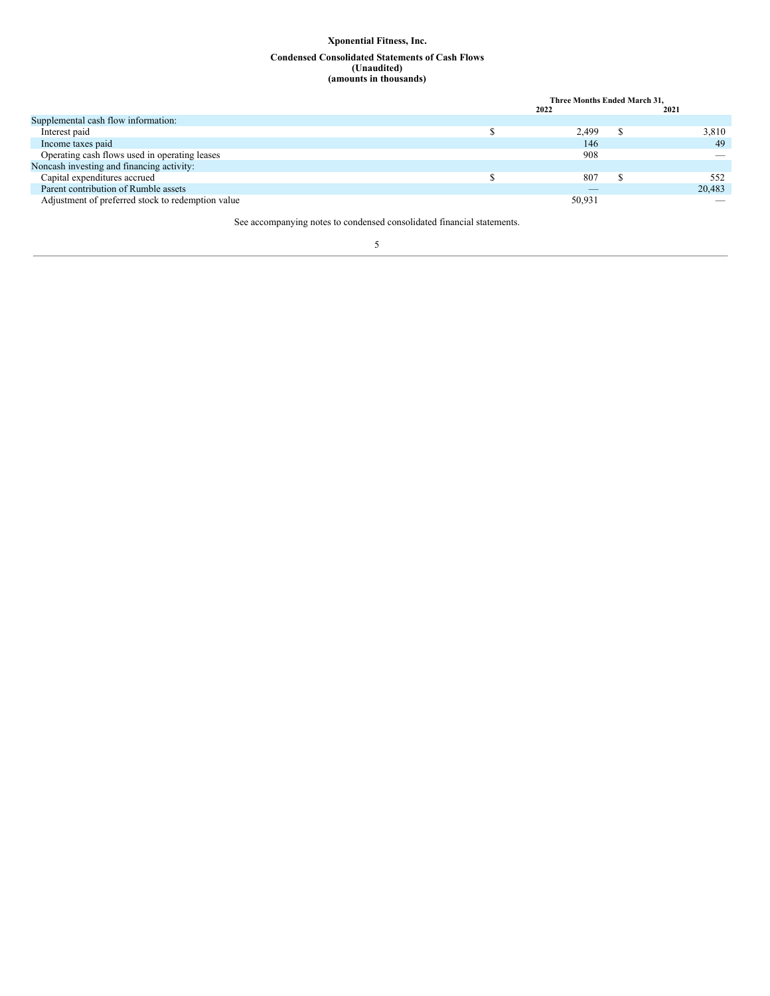# **Xponential Fitness, Inc. Condensed Consolidated Statements of Cash Flows (Unaudited) (amounts in thousands)**

|                                                   | 2022   | Three Months Ended March 31.<br>2021 |        |  |
|---------------------------------------------------|--------|--------------------------------------|--------|--|
| Supplemental cash flow information:               |        |                                      |        |  |
| Interest paid                                     | 2,499  |                                      | 3,810  |  |
| Income taxes paid                                 | 146    |                                      | 49     |  |
| Operating cash flows used in operating leases     | 908    |                                      |        |  |
| Noncash investing and financing activity:         |        |                                      |        |  |
| Capital expenditures accrued                      | 807    |                                      | 552    |  |
| Parent contribution of Rumble assets              | _      |                                      | 20,483 |  |
| Adjustment of preferred stock to redemption value | 50.931 |                                      |        |  |

See accompanying notes to condensed consolidated financial statements.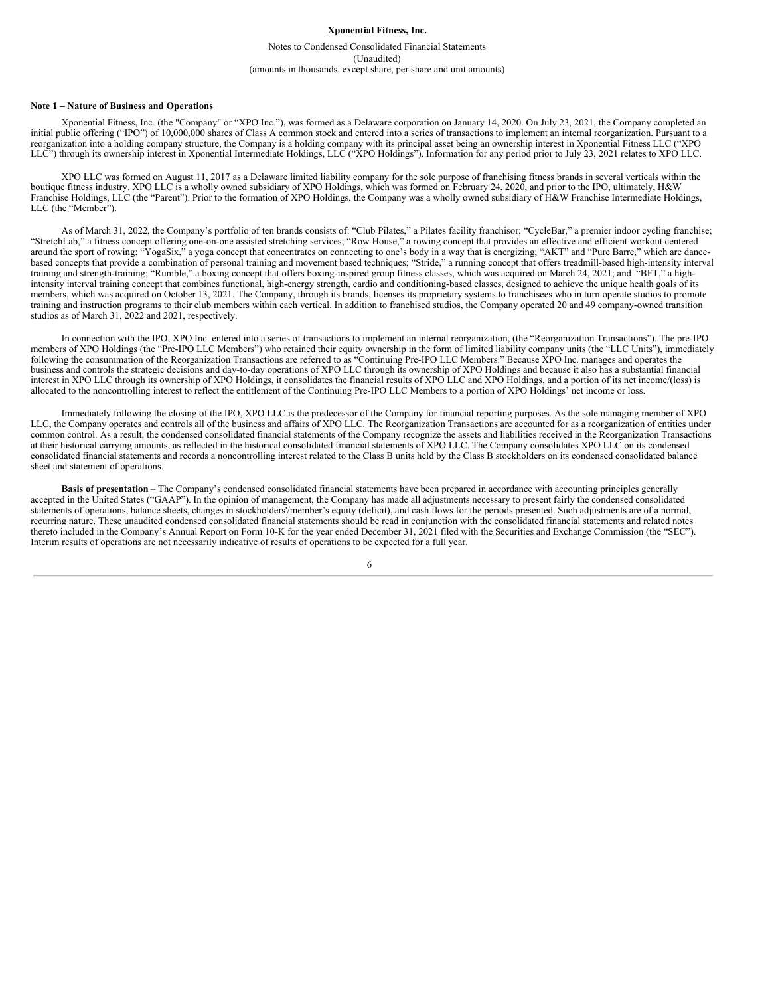Notes to Condensed Consolidated Financial Statements (Unaudited) (amounts in thousands, except share, per share and unit amounts)

#### <span id="page-7-0"></span>**Note 1 – Nature of Business and Operations**

Xponential Fitness, Inc. (the "Company" or "XPO Inc."), was formed as a Delaware corporation on January 14, 2020. On July 23, 2021, the Company completed an initial public offering ("IPO") of 10,000,000 shares of Class A common stock and entered into a series of transactions to implement an internal reorganization. Pursuant to a reorganization into a holding company structure, the Company is a holding company with its principal asset being an ownership interest in Xponential Fitness LLC ("XPO LLC") through its ownership interest in Xponential Intermediate Holdings, LLC ("XPO Holdings"). Information for any period prior to July 23, 2021 relates to XPO LLC.

XPO LLC was formed on August 11, 2017 as a Delaware limited liability company for the sole purpose of franchising fitness brands in several verticals within the boutique fitness industry. XPO LLC is a wholly owned subsidiary of XPO Holdings, which was formed on February 24, 2020, and prior to the IPO, ultimately, H&W Franchise Holdings, LLC (the "Parent"). Prior to the formation of XPO Holdings, the Company was a wholly owned subsidiary of H&W Franchise Intermediate Holdings, LLC (the "Member").

As of March 31, 2022, the Company's portfolio of ten brands consists of: "Club Pilates," a Pilates facility franchisor; "CycleBar," a premier indoor cycling franchise; "StretchLab," a fitness concept offering one-on-one assisted stretching services; "Row House," a rowing concept that provides an effective and efficient workout centered around the sport of rowing; "YogaSix," a yoga concept that concentrates on connecting to one's body in a way that is energizing; "AKT" and "Pure Barre," which are dancebased concepts that provide a combination of personal training and movement based techniques; "Stride," a running concept that offers treadmill-based high-intensity interval training and strength-training; "Rumble," a boxing concept that offers boxing-inspired group fitness classes, which was acquired on March 24, 2021; and "BFT," a highintensity interval training concept that combines functional, high-energy strength, cardio and conditioning-based classes, designed to achieve the unique health goals of its members, which was acquired on October 13, 2021. The Company, through its brands, licenses its proprietary systems to franchisees who in turn operate studios to promote training and instruction programs to their club members within each vertical. In addition to franchised studios, the Company operated 20 and 49 company-owned transition studios as of March 31, 2022 and 2021, respectively.

In connection with the IPO, XPO Inc. entered into a series of transactions to implement an internal reorganization, (the "Reorganization Transactions"). The pre-IPO members of XPO Holdings (the "Pre-IPO LLC Members") who retained their equity ownership in the form of limited liability company units (the "LLC Units"), immediately following the consummation of the Reorganization Transactions are referred to as "Continuing Pre-IPO LLC Members." Because XPO Inc. manages and operates the business and controls the strategic decisions and day-to-day operations of XPO LLC through its ownership of XPO Holdings and because it also has a substantial financial financial interest in XPO LLC through its ownership of XPO Holdings, it consolidates the financial results of XPO LLC and XPO Holdings, and a portion of its net income/(loss) is allocated to the noncontrolling interest to reflect the entitlement of the Continuing Pre-IPO LLC Members to a portion of XPO Holdings' net income or loss.

Immediately following the closing of the IPO, XPO LLC is the predecessor of the Company for financial reporting purposes. As the sole managing member of XPO LLC, the Company operates and controls all of the business and affairs of XPO LLC. The Reorganization Transactions are accounted for as a reorganization of entities under common control. As a result, the condensed consolidated financial statements of the Company recognize the assets and liabilities received in the Reorganization Transactions at their historical carrying amounts, as reflected in the historical consolidated financial statements of XPO LLC. The Company consolidates XPO LLC on its condensed consolidated financial statements and records a noncontrolling interest related to the Class B units held by the Class B stockholders on its condensed consolidated balance sheet and statement of operations.

**Basis of presentation** – The Company's condensed consolidated financial statements have been prepared in accordance with accounting principles generally accepted in the United States ("GAAP"). In the opinion of management, the Company has made all adjustments necessary to present fairly the condensed consolidated statements of operations, balance sheets, changes in stockholders'/member's equity (deficit), and cash flows for the periods presented. Such adjustments are of a normal, recurring nature. These unaudited condensed consolidated financial statements should be read in conjunction with the consolidated financial statements and related notes thereto included in the Company's Annual Report on Form 10-K for the year ended December 31, 2021 filed with the Securities and Exchange Commission (the "SEC"). Interim results of operations are not necessarily indicative of results of operations to be expected for a full year.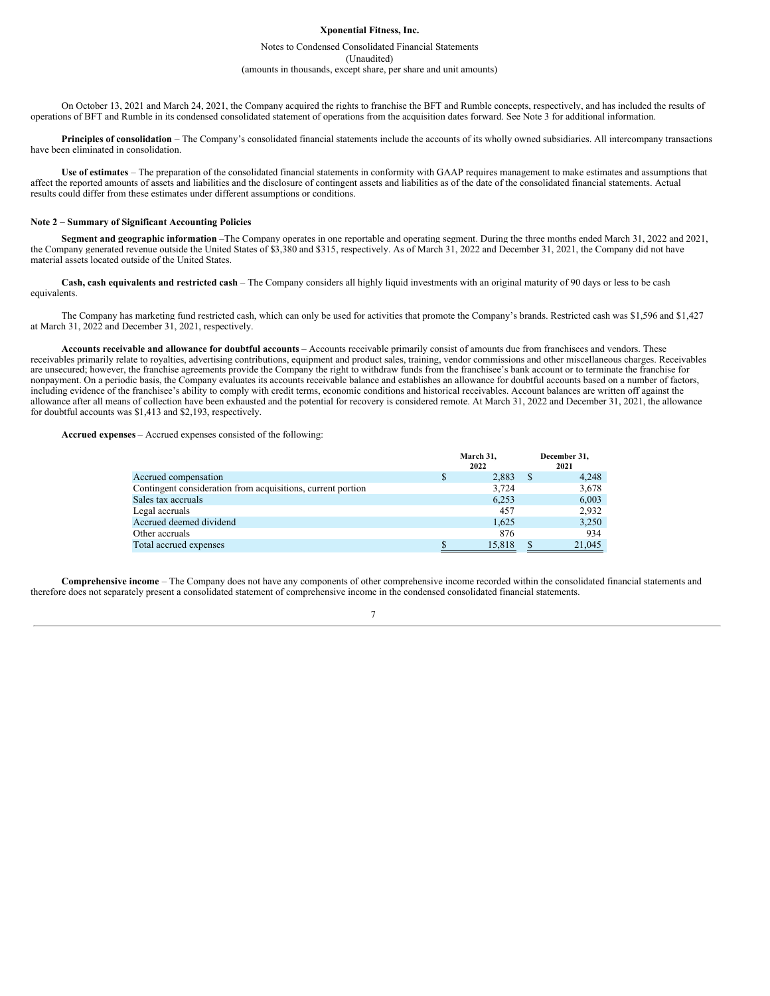### Notes to Condensed Consolidated Financial Statements (Unaudited)

(amounts in thousands, except share, per share and unit amounts)

On October 13, 2021 and March 24, 2021, the Company acquired the rights to franchise the BFT and Rumble concepts, respectively, and has included the results of operations of BFT and Rumble in its condensed consolidated statement of operations from the acquisition dates forward. See Note 3 for additional information.

**Principles of consolidation** – The Company's consolidated financial statements include the accounts of its wholly owned subsidiaries. All intercompany transactions have been eliminated in consolidation.

**Use of estimates** – The preparation of the consolidated financial statements in conformity with GAAP requires management to make estimates and assumptions that affect the reported amounts of assets and liabilities and the disclosure of contingent assets and liabilities as of the date of the consolidated financial statements. Actual results could differ from these estimates under different assumptions or conditions.

### **Note 2 – Summary of Significant Accounting Policies**

**Segment and geographic information** –The Company operates in one reportable and operating segment. During the three months ended March 31, 2022 and 2021, the Company generated revenue outside the United States of \$3,380 and \$315, respectively. As of March 31, 2022 and December 31, 2021, the Company did not have material assets located outside of the United States.

**Cash, cash equivalents and restricted cash** – The Company considers all highly liquid investments with an original maturity of 90 days or less to be cash equivalents.

The Company has marketing fund restricted cash, which can only be used for activities that promote the Company's brands. Restricted cash was \$1,596 and \$1,427 at March 31, 2022 and December 31, 2021, respectively.

**Accounts receivable and allowance for doubtful accounts** – Accounts receivable primarily consist of amounts due from franchisees and vendors. These receivables primarily relate to royalties, advertising contributions, equipment and product sales, training, vendor commissions and other miscellaneous charges. Receivables are unsecured; however, the franchise agreements provide the Company the right to withdraw funds from the franchisee's bank account or to terminate the franchise for nonpayment. On a periodic basis, the Company evaluates its accounts receivable balance and establishes an allowance for doubtful accounts based on a number of factors, including evidence of the franchisee's ability to comply with credit terms, economic conditions and historical receivables. Account balances are written off against the allowance after all means of collection have been exhausted and the potential for recovery is considered remote. At March 31, 2022 and December 31, 2021, the allowance for doubtful accounts was \$1,413 and \$2,193, respectively.

**Accrued expenses** – Accrued expenses consisted of the following:

|                                                             | March 31,<br>2022 |        |  | December 31,<br>2021 |
|-------------------------------------------------------------|-------------------|--------|--|----------------------|
| Accrued compensation                                        |                   | 2,883  |  | 4.248                |
| Contingent consideration from acquisitions, current portion |                   | 3,724  |  | 3,678                |
| Sales tax accruals                                          |                   | 6.253  |  | 6.003                |
| Legal accruals                                              |                   | 457    |  | 2,932                |
| Accrued deemed dividend                                     |                   | 1.625  |  | 3,250                |
| Other accruals                                              |                   | 876    |  | 934                  |
| Total accrued expenses                                      |                   | 15.818 |  | 21,045               |

**Comprehensive income** – The Company does not have any components of other comprehensive income recorded within the consolidated financial statements and therefore does not separately present a consolidated statement of comprehensive income in the condensed consolidated financial statements.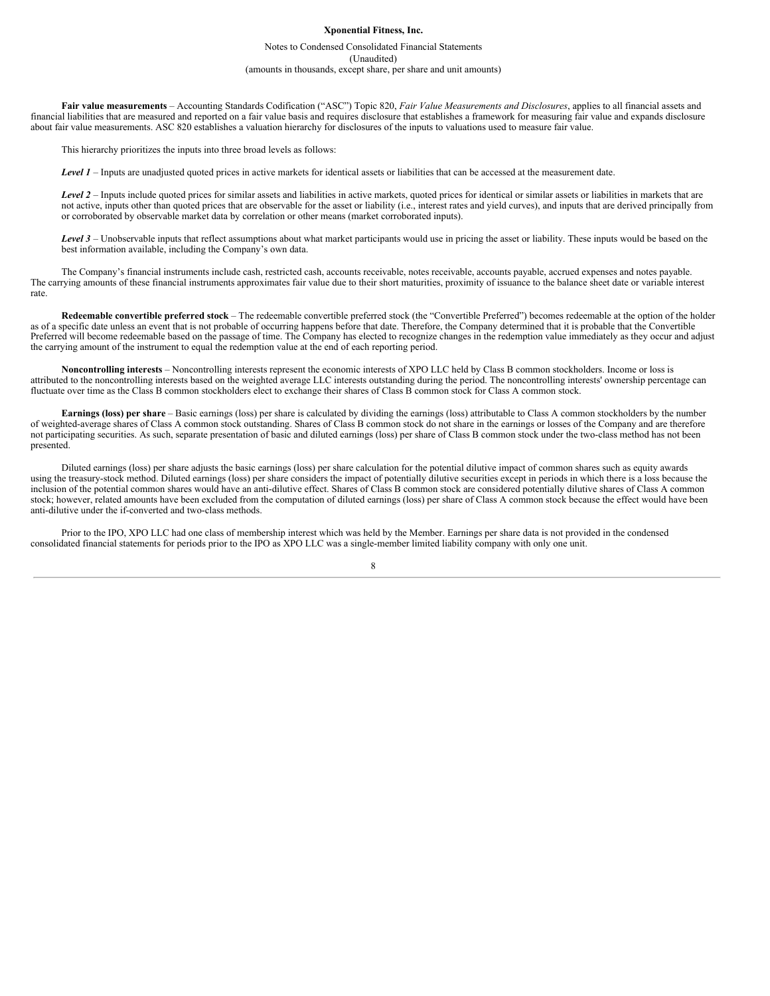### Notes to Condensed Consolidated Financial Statements (Unaudited)

(amounts in thousands, except share, per share and unit amounts)

**Fair value measurements** – Accounting Standards Codification ("ASC") Topic 820, *Fair Value Measurements and Disclosures*, applies to all financial assets and financial liabilities that are measured and reported on a fair value basis and requires disclosure that establishes a framework for measuring fair value and expands disclosure about fair value measurements. ASC 820 establishes a valuation hierarchy for disclosures of the inputs to valuations used to measure fair value.

This hierarchy prioritizes the inputs into three broad levels as follows:

*Level 1* – Inputs are unadjusted quoted prices in active markets for identical assets or liabilities that can be accessed at the measurement date.

*Level 2* – Inputs include quoted prices for similar assets and liabilities in active markets, quoted prices for identical or similar assets or liabilities in markets that are not active, inputs other than quoted prices that are observable for the asset or liability (i.e., interest rates and yield curves), and inputs that are derived principally from or corroborated by observable market data by correlation or other means (market corroborated inputs).

Level 3 – Unobservable inputs that reflect assumptions about what market participants would use in pricing the asset or liability. These inputs would be based on the best information available, including the Company's own data.

The Company's financial instruments include cash, restricted cash, accounts receivable, notes receivable, accounts payable, accrued expenses and notes payable. The carrying amounts of these financial instruments approximates fair value due to their short maturities, proximity of issuance to the balance sheet date or variable interest rate.

**Redeemable convertible preferred stock** – The redeemable convertible preferred stock (the "Convertible Preferred") becomes redeemable at the option of the holder as of a specific date unless an event that is not probable of occurring happens before that date. Therefore, the Company determined that it is probable that the Convertible Preferred will become redeemable based on the passage of time. The Company has elected to recognize changes in the redemption value immediately as they occur and adjust the carrying amount of the instrument to equal the redemption value at the end of each reporting period.

**Noncontrolling interests** – Noncontrolling interests represent the economic interests of XPO LLC held by Class B common stockholders. Income or loss is attributed to the noncontrolling interests based on the weighted average LLC interests outstanding during the period. The noncontrolling interests' ownership percentage can fluctuate over time as the Class B common stockholders elect to exchange their shares of Class B common stock for Class A common stock.

**Earnings (loss) per share** – Basic earnings (loss) per share is calculated by dividing the earnings (loss) attributable to Class A common stockholders by the number of weighted-average shares of Class A common stock outstanding. Shares of Class B common stock do not share in the earnings or losses of the Company and are therefore not participating securities. As such, separate presentation of basic and diluted earnings (loss) per share of Class B common stock under the two-class method has not been presented.

Diluted earnings (loss) per share adjusts the basic earnings (loss) per share calculation for the potential dilutive impact of common shares such as equity awards using the treasury-stock method. Diluted earnings (loss) per share considers the impact of potentially dilutive securities except in periods in which there is a loss because the inclusion of the potential common shares would have an anti-dilutive effect. Shares of Class B common stock are considered potentially dilutive shares of Class A common stock; however, related amounts have been excluded from the computation of diluted earnings (loss) per share of Class A common stock because the effect would have been anti-dilutive under the if-converted and two-class methods.

Prior to the IPO, XPO LLC had one class of membership interest which was held by the Member. Earnings per share data is not provided in the condensed consolidated financial statements for periods prior to the IPO as XPO LLC was a single-member limited liability company with only one unit.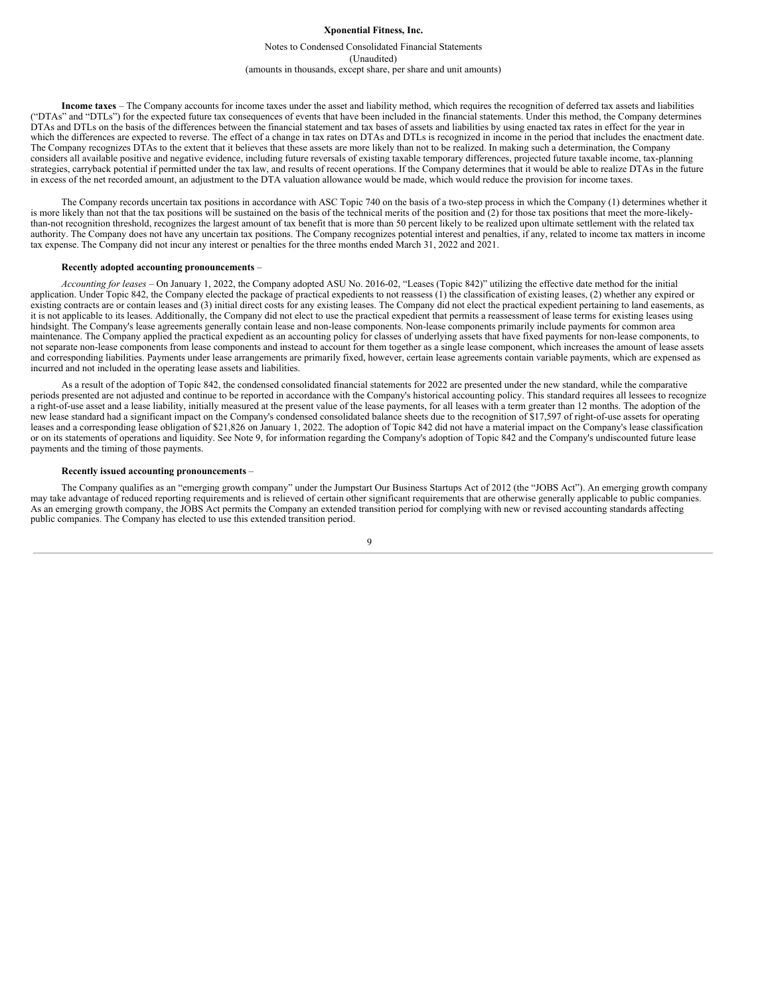# **Xponential Fitness, Inc.** Notes to Condensed Consolidated Financial Statements (Unaudited) (amounts in thousands, except share, per share and unit amounts)

**Income taxes** – The Company accounts for income taxes under the asset and liability method, which requires the recognition of deferred tax assets and liabilities ("DTAs" and "DTLs") for the expected future tax consequences of events that have been included in the financial statements. Under this method, the Company determines DTAs and DTLs on the basis of the differences between the financial statement and tax bases of assets and liabilities by using enacted tax rates in effect for the year in which the differences are expected to reverse. The effect of a change in tax rates on DTAs and DTLs is recognized in income in the period that includes the enactment date. The Company recognizes DTAs to the extent that it believes that these assets are more likely than not to be realized. In making such a determination, the Company considers all available positive and negative evidence, including future reversals of existing taxable temporary differences, projected future taxable income, tax-planning strategies, carryback potential if permitted under the tax law, and results of recent operations. If the Company determines that it would be able to realize DTAs in the future in excess of the net recorded amount, an adjustment to the DTA valuation allowance would be made, which would reduce the provision for income taxes.

The Company records uncertain tax positions in accordance with ASC Topic 740 on the basis of a two-step process in which the Company (1) determines whether it is more likely than not that the tax positions will be sustained on the basis of the technical merits of the position and (2) for those tax positions that meet the more-likelythan-not recognition threshold, recognizes the largest amount of tax benefit that is more than 50 percent likely to be realized upon ultimate settlement with the related tax authority. The Company does not have any uncertain tax positions. The Company recognizes potential interest and penalties, if any, related to income tax matters in income tax expense. The Company did not incur any interest or penalties for the three months ended March 31, 2022 and 2021.

#### **Recently adopted accounting pronouncements** –

*Accounting for leases* – On January 1, 2022, the Company adopted ASU No. 2016-02, "Leases (Topic 842)" utilizing the effective date method for the initial application. Under Topic 842, the Company elected the package of practical expedients to not reassess (1) the classification of existing leases, (2) whether any expired or existing contracts are or contain leases and (3) initial direct costs for any existing leases. The Company did not elect the practical expedient pertaining to land easements, as it is not applicable to its leases. Additionally, the Company did not elect to use the practical expedient that permits a reassessment of lease terms for existing leases using hindsight. The Company's lease agreements generally contain lease and non-lease components. Non-lease components primarily include payments for common area maintenance. The Company applied the practical expedient as an accounting policy for classes of underlying assets that have fixed payments for non-lease components, to not separate non-lease components from lease components and instead to account for them together as a single lease component, which increases the amount of lease assets and corresponding liabilities. Payments under lease arrangements are primarily fixed, however, certain lease agreements contain variable payments, which are expensed as incurred and not included in the operating lease assets and liabilities.

As a result of the adoption of Topic 842, the condensed consolidated financial statements for 2022 are presented under the new standard, while the comparative periods presented are not adjusted and continue to be reported in accordance with the Company's historical accounting policy. This standard requires all lessees to recognize a right-of-use asset and a lease liability, initially measured at the present value of the lease payments, for all leases with a term greater than 12 months. The adoption of the new lease standard had a significant impact on the Company's condensed consolidated balance sheets due to the recognition of \$17,597 of right-of-use assets for operating leases and a corresponding lease obligation of \$21,826 on January 1, 2022. The adoption of Topic 842 did not have a material impact on the Company's lease classification or on its statements of operations and liquidity. See Note 9, for information regarding the Company's adoption of Topic 842 and the Company's undiscounted future lease payments and the timing of those payments.

### **Recently issued accounting pronouncements** –

The Company qualifies as an "emerging growth company" under the Jumpstart Our Business Startups Act of 2012 (the "JOBS Act"). An emerging growth company may take advantage of reduced reporting requirements and is relieved of certain other significant requirements that are otherwise generally applicable to public companies. As an emerging growth company, the JOBS Act permits the Company an extended transition period for complying with new or revised accounting standards affecting public companies. The Company has elected to use this extended transition period.

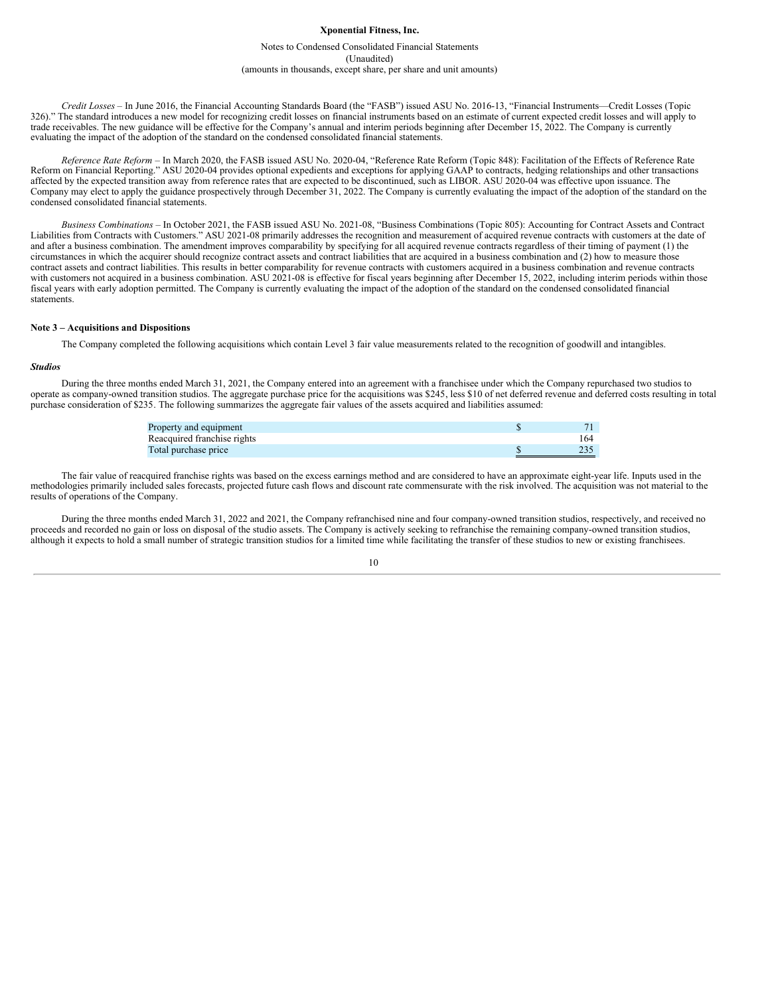### Notes to Condensed Consolidated Financial Statements (Unaudited) (amounts in thousands, except share, per share and unit amounts)

*Credit Losses* – In June 2016, the Financial Accounting Standards Board (the "FASB") issued ASU No. 2016-13, "Financial Instruments—Credit Losses (Topic 326)." The standard introduces a new model for recognizing credit losses on financial instruments based on an estimate of current expected credit losses and will apply to trade receivables. The new guidance will be effective for the Company's annual and interim periods beginning after December 15, 2022. The Company is currently evaluating the impact of the adoption of the standard on the condensed consolidated financial statements.

*Reference Rate Reform* – In March 2020, the FASB issued ASU No. 2020-04, "Reference Rate Reform (Topic 848): Facilitation of the Effects of Reference Rate Reform on Financial Reporting." ASU 2020-04 provides optional expedients and exceptions for applying GAAP to contracts, hedging relationships and other transactions affected by the expected transition away from reference rates that are expected to be discontinued, such as LIBOR. ASU 2020-04 was effective upon issuance. The Company may elect to apply the guidance prospectively through December 31, 2022. The Company is currently evaluating the impact of the adoption of the standard on the condensed consolidated financial statements.

*Business Combinations* – In October 2021, the FASB issued ASU No. 2021-08, "Business Combinations (Topic 805): Accounting for Contract Assets and Contract Liabilities from Contracts with Customers." ASU 2021-08 primarily addresses the recognition and measurement of acquired revenue contracts with customers at the date of and after a business combination. The amendment improves comparability by specifying for all acquired revenue contracts regardless of their timing of payment (1) the circumstances in which the acquirer should recognize contract assets and contract liabilities that are acquired in a business combination and (2) how to measure those contract assets and contract liabilities. This results in better comparability for revenue contracts with customers acquired in a business combination and revenue contracts with customers not acquired in a business combination. ASU 2021-08 is effective for fiscal years beginning after December 15, 2022, including interim periods within those fiscal years with early adoption permitted. The Company is currently evaluating the impact of the adoption of the standard on the condensed consolidated financial statements.

#### **Note 3 – Acquisitions and Dispositions**

The Company completed the following acquisitions which contain Level 3 fair value measurements related to the recognition of goodwill and intangibles.

#### *Studios*

During the three months ended March 31, 2021, the Company entered into an agreement with a franchisee under which the Company repurchased two studios to operate as company-owned transition studios. The aggregate purchase price for the acquisitions was \$245, less \$10 of net deferred revenue and deferred costs resulting in total purchase consideration of \$235. The following summarizes the aggregate fair values of the assets acquired and liabilities assumed:

| Property and equipment      |     |
|-----------------------------|-----|
| Reacquired franchise rights | 164 |
| Total purchase price        |     |

The fair value of reacquired franchise rights was based on the excess earnings method and are considered to have an approximate eight-year life. Inputs used in the methodologies primarily included sales forecasts, projected future cash flows and discount rate commensurate with the risk involved. The acquisition was not material to the results of operations of the Company.

During the three months ended March 31, 2022 and 2021, the Company refranchised nine and four company-owned transition studios, respectively, and received no proceeds and recorded no gain or loss on disposal of the studio assets. The Company is actively seeking to refranchise the remaining company-owned transition studios, although it expects to hold a small number of strategic transition studios for a limited time while facilitating the transfer of these studios to new or existing franchisees.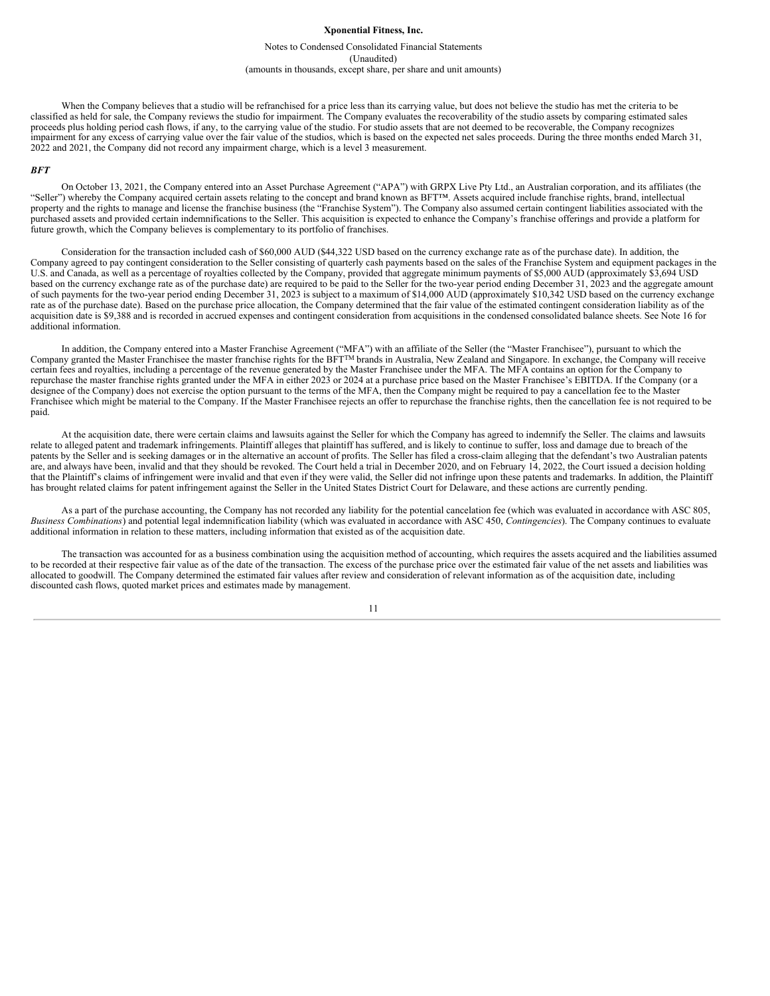### Notes to Condensed Consolidated Financial Statements (Unaudited)

(amounts in thousands, except share, per share and unit amounts)

When the Company believes that a studio will be refranchised for a price less than its carrying value, but does not believe the studio has met the criteria to be classified as held for sale, the Company reviews the studio for impairment. The Company evaluates the recoverability of the studio assets by comparing estimated sales proceeds plus holding period cash flows, if any, to the carrying value of the studio. For studio assets that are not deemed to be recoverable, the Company recognizes impairment for any excess of carrying value over the fair value of the studios, which is based on the expected net sales proceeds. During the three months ended March 31, 2022 and 2021, the Company did not record any impairment charge, which is a level 3 measurement.

#### *BFT*

On October 13, 2021, the Company entered into an Asset Purchase Agreement ("APA") with GRPX Live Pty Ltd., an Australian corporation, and its affiliates (the "Seller") whereby the Company acquired certain assets relating to the concept and brand known as BFT™. Assets acquired include franchise rights, brand, intellectual property and the rights to manage and license the franchise business (the "Franchise System"). The Company also assumed certain contingent liabilities associated with the purchased assets and provided certain indemnifications to the Seller. This acquisition is expected to enhance the Company's franchise offerings and provide a platform for future growth, which the Company believes is complementary to its portfolio of franchises.

Consideration for the transaction included cash of \$60,000 AUD (\$44,322 USD based on the currency exchange rate as of the purchase date). In addition, the Company agreed to pay contingent consideration to the Seller consisting of quarterly cash payments based on the sales of the Franchise System and equipment packages in the U.S. and Canada, as well as a percentage of royalties collected by the Company, provided that aggregate minimum payments of \$5,000 AUD (approximately \$3,694 USD based on the currency exchange rate as of the purchase date) are required to be paid to the Seller for the two-year period ending December 31, 2023 and the aggregate amount of such payments for the two-year period ending December 31, 2023 is subject to a maximum of \$14,000 AUD (approximately \$10,342 USD based on the currency exchange rate as of the purchase date). Based on the purchase price allocation, the Company determined that the fair value of the estimated contingent consideration liability as of the acquisition date is \$9,388 and is recorded in accrued expenses and contingent consideration from acquisitions in the condensed consolidated balance sheets. See Note 16 for additional information.

In addition, the Company entered into a Master Franchise Agreement ("MFA") with an affiliate of the Seller (the "Master Franchisee"), pursuant to which the Company granted the Master Franchisee the master franchise rights for the BFTTM brands in Australia, New Zealand and Singapore. In exchange, the Company will receive certain fees and royalties, including a percentage of the revenue generated by the Master Franchisee under the MFA. The MFA contains an option for the Company to repurchase the master franchise rights granted under the MFA in either 2023 or 2024 at a purchase price based on the Master Franchisee's EBITDA. If the Company (or a designee of the Company) does not exercise the option pursuant to the terms of the MFA, then the Company might be required to pay a cancellation fee to the Master Franchisee which might be material to the Company. If the Master Franchisee rejects an offer to repurchase the franchise rights, then the cancellation fee is not required to be paid.

At the acquisition date, there were certain claims and lawsuits against the Seller for which the Company has agreed to indemnify the Seller. The claims and lawsuits relate to alleged patent and trademark infringements. Plaintiff alleges that plaintiff has suffered, and is likely to continue to suffer, loss and damage due to breach of the patents by the Seller and is seeking damages or in the alternative an account of profits. The Seller has filed a cross-claim alleging that the defendant's two Australian patents are, and always have been, invalid and that they should be revoked. The Court held a trial in December 2020, and on February 14, 2022, the Court issued a decision holding that the Plaintiff's claims of infringement were invalid and that even if they were valid, the Seller did not infringe upon these patents and trademarks. In addition, the Plaintiff has brought related claims for patent infringement against the Seller in the United States District Court for Delaware, and these actions are currently pending.

As a part of the purchase accounting, the Company has not recorded any liability for the potential cancelation fee (which was evaluated in accordance with ASC 805, *Business Combinations*) and potential legal indemnification liability (which was evaluated in accordance with ASC 450, *Contingencies*). The Company continues to evaluate additional information in relation to these matters, including information that existed as of the acquisition date.

The transaction was accounted for as a business combination using the acquisition method of accounting, which requires the assets acquired and the liabilities assumed to be recorded at their respective fair value as of the date of the transaction. The excess of the purchase price over the estimated fair value of the net assets and liabilities was allocated to goodwill. The Company determined the estimated fair values after review and consideration of relevant information as of the acquisition date, including discounted cash flows, quoted market prices and estimates made by management.

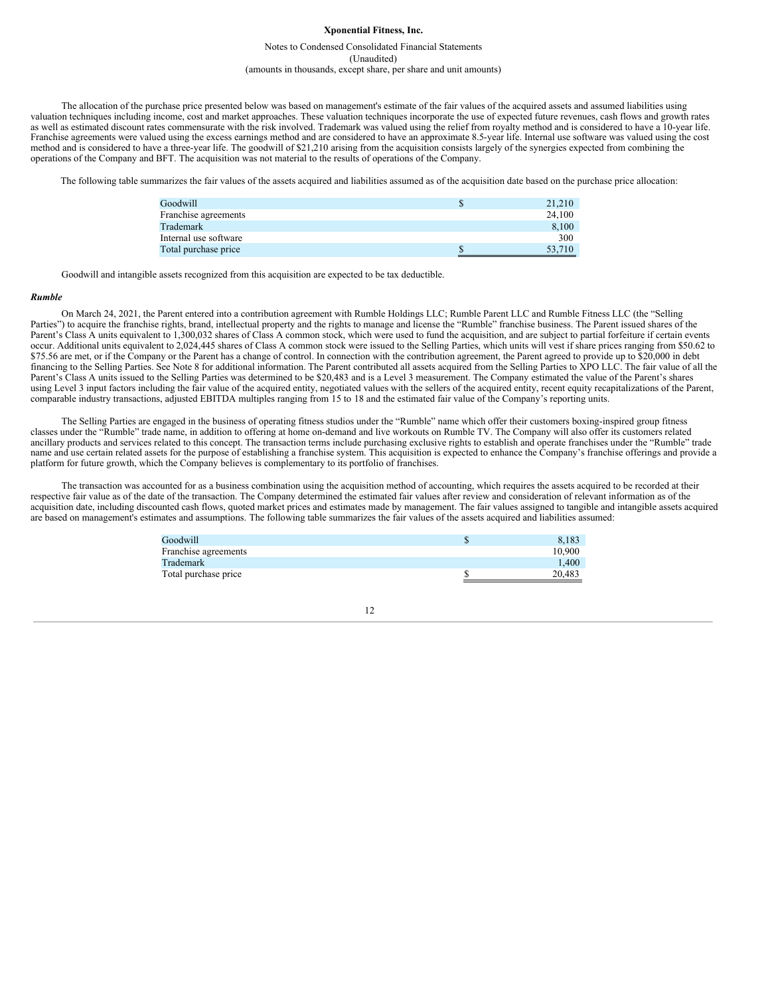# Notes to Condensed Consolidated Financial Statements

(Unaudited)

(amounts in thousands, except share, per share and unit amounts)

The allocation of the purchase price presented below was based on management's estimate of the fair values of the acquired assets and assumed liabilities using valuation techniques including income, cost and market approaches. These valuation techniques incorporate the use of expected future revenues, cash flows and growth rates as well as estimated discount rates commensurate with the risk involved. Trademark was valued using the relief from royalty method and is considered to have a 10-year life. Franchise agreements were valued using the excess earnings method and are considered to have an approximate 8.5-year life. Internal use software was valued using the cost method and is considered to have a three-year life. The goodwill of \$21,210 arising from the acquisition consists largely of the synergies expected from combining the operations of the Company and BFT. The acquisition was not material to the results of operations of the Company.

The following table summarizes the fair values of the assets acquired and liabilities assumed as of the acquisition date based on the purchase price allocation:

| Goodwill              | 21.210 |
|-----------------------|--------|
| Franchise agreements  | 24,100 |
| Trademark             | 8.100  |
| Internal use software | 300    |
| Total purchase price  | 53,710 |

Goodwill and intangible assets recognized from this acquisition are expected to be tax deductible.

#### *Rumble*

On March 24, 2021, the Parent entered into a contribution agreement with Rumble Holdings LLC; Rumble Parent LLC and Rumble Fitness LLC (the "Selling Parties") to acquire the franchise rights, brand, intellectual property and the rights to manage and license the "Rumble" franchise business. The Parent issued shares of the Parent's Class A units equivalent to 1,300,032 shares of Class A common stock, which were used to fund the acquisition, and are subject to partial forfeiture if certain events occur. Additional units equivalent to 2,024,445 shares of Class A common stock were issued to the Selling Parties, which units will vest if share prices ranging from \$50.62 to \$75.56 are met, or if the Company or the Parent has a change of control. In connection with the contribution agreement, the Parent agreed to provide up to \$20,000 in debt financing to the Selling Parties. See Note 8 for additional information. The Parent contributed all assets acquired from the Selling Parties to XPO LLC. The fair value of all the Parent's Class A units issued to the Selling Parties was determined to be \$20,483 and is a Level 3 measurement. The Company estimated the value of the Parent's shares using Level 3 input factors including the fair value of the acquired entity, negotiated values with the sellers of the acquired entity, recent equity recapitalizations of the Parent, comparable industry transactions, adjusted EBITDA multiples ranging from 15 to 18 and the estimated fair value of the Company's reporting units.

The Selling Parties are engaged in the business of operating fitness studios under the "Rumble" name which offer their customers boxing-inspired group fitness classes under the "Rumble" trade name, in addition to offering at home on-demand and live workouts on Rumble TV. The Company will also offer its customers related ancillary products and services related to this concept. The transaction terms include purchasing exclusive rights to establish and operate franchises under the "Rumble" trade name and use certain related assets for the purpose of establishing a franchise system. This acquisition is expected to enhance the Company's franchise offerings and provide a platform for future growth, which the Company believes is complementary to its portfolio of franchises.

The transaction was accounted for as a business combination using the acquisition method of accounting, which requires the assets acquired to be recorded at their respective fair value as of the date of the transaction. The Company determined the estimated fair values after review and consideration of relevant information as of the acquisition date, including discounted cash flows, quoted market prices and estimates made by management. The fair values assigned to tangible and intangible assets acquired are based on management's estimates and assumptions. The following table summarizes the fair values of the assets acquired and liabilities assumed:

| Goodwill             | 8.183  |
|----------------------|--------|
| Franchise agreements | 10.900 |
| Trademark            | 1.400  |
| Total purchase price | 20.483 |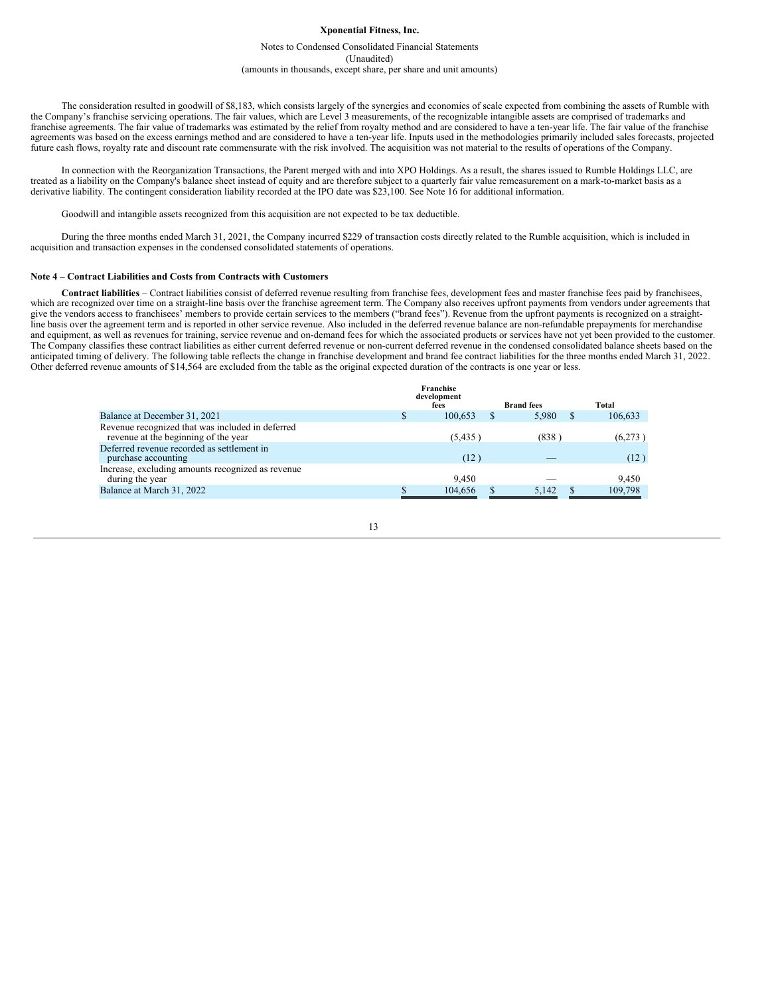### Notes to Condensed Consolidated Financial Statements (Unaudited) (amounts in thousands, except share, per share and unit amounts)

The consideration resulted in goodwill of \$8,183, which consists largely of the synergies and economies of scale expected from combining the assets of Rumble with the Company's franchise servicing operations. The fair values, which are Level 3 measurements, of the recognizable intangible assets are comprised of trademarks and franchise agreements. The fair value of trademarks was estimated by the relief from royalty method and are considered to have a ten-year life. The fair value of the franchise agreements was based on the excess earnings method and are considered to have a ten-year life. Inputs used in the methodologies primarily included sales forecasts, projected future cash flows, royalty rate and discount rate commensurate with the risk involved. The acquisition was not material to the results of operations of the Company.

In connection with the Reorganization Transactions, the Parent merged with and into XPO Holdings. As a result, the shares issued to Rumble Holdings LLC, are treated as a liability on the Company's balance sheet instead of equity and are therefore subject to a quarterly fair value remeasurement on a mark-to-market basis as a derivative liability. The contingent consideration liability recorded at the IPO date was \$23,100. See Note 16 for additional information.

Goodwill and intangible assets recognized from this acquisition are not expected to be tax deductible.

During the three months ended March 31, 2021, the Company incurred \$229 of transaction costs directly related to the Rumble acquisition, which is included in acquisition and transaction expenses in the condensed consolidated statements of operations.

# **Note 4 – Contract Liabilities and Costs from Contracts with Customers**

**Contract liabilities** – Contract liabilities consist of deferred revenue resulting from franchise fees, development fees and master franchise fees paid by franchisees, which are recognized over time on a straight-line basis over the franchise agreement term. The Company also receives upfront payments from vendors under agreements that give the vendors access to franchisees' members to provide certain services to the members ("brand fees"). Revenue from the upfront payments is recognized on a straightline basis over the agreement term and is reported in other service revenue. Also included in the deferred revenue balance are non-refundable prepayments for merchandise and equipment, as well as revenues for training, service revenue and on-demand fees for which the associated products or services have not yet been provided to the customer. The Company classifies these contract liabilities as either current deferred revenue or non-current deferred revenue in the condensed consolidated balance sheets based on the anticipated timing of delivery. The following table reflects the change in franchise development and brand fee contract liabilities for the three months ended March 31, 2022. Other deferred revenue amounts of \$14,564 are excluded from the table as the original expected duration of the contracts is one year or less.

|                                                                                          |   | Franchise<br>development |                   |   |         |
|------------------------------------------------------------------------------------------|---|--------------------------|-------------------|---|---------|
|                                                                                          |   | fees                     | <b>Brand fees</b> |   | Total   |
| Balance at December 31, 2021                                                             | S | 100.653                  | 5.980             | S | 106,633 |
| Revenue recognized that was included in deferred<br>revenue at the beginning of the year |   | (5, 435)                 | (838)             |   | (6,273) |
| Deferred revenue recorded as settlement in<br>purchase accounting                        |   | (12)                     |                   |   | (12)    |
| Increase, excluding amounts recognized as revenue<br>during the year                     |   | 9.450                    |                   |   | 9.450   |
| Balance at March 31, 2022                                                                |   | 104,656                  | 5.142             |   | 109,798 |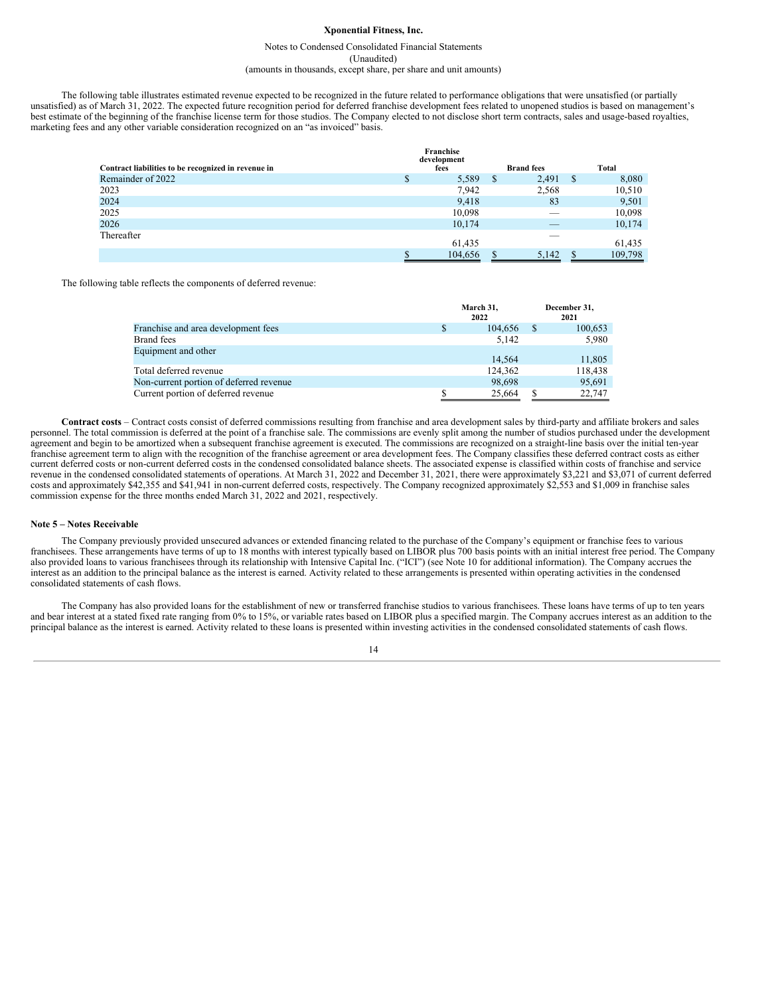# Notes to Condensed Consolidated Financial Statements

(Unaudited)

(amounts in thousands, except share, per share and unit amounts)

The following table illustrates estimated revenue expected to be recognized in the future related to performance obligations that were unsatisfied (or partially unsatisfied) as of March 31, 2022. The expected future recognition period for deferred franchise development fees related to unopened studios is based on management's best estimate of the beginning of the franchise license term for those studios. The Company elected to not disclose short term contracts, sales and usage-based royalties, marketing fees and any other variable consideration recognized on an "as invoiced" basis.

|                                                     | Franchise<br>development |    |                   |    |         |
|-----------------------------------------------------|--------------------------|----|-------------------|----|---------|
| Contract liabilities to be recognized in revenue in | fees                     |    | <b>Brand fees</b> |    | Total   |
| Remainder of 2022                                   | \$<br>5,589              | -S | 2,491             | -S | 8,080   |
| 2023                                                | 7,942                    |    | 2,568             |    | 10,510  |
| 2024                                                | 9,418                    |    | 83                |    | 9,501   |
| 2025                                                | 10,098                   |    |                   |    | 10,098  |
| 2026                                                | 10,174                   |    |                   |    | 10,174  |
| Thereafter                                          |                          |    | __                |    |         |
|                                                     | 61,435                   |    |                   |    | 61,435  |
|                                                     | 104.656                  |    | 5,142             |    | 109,798 |

The following table reflects the components of deferred revenue:

|                                         | March 31.<br>2022 | December 31.<br>2021 |
|-----------------------------------------|-------------------|----------------------|
| Franchise and area development fees     | \$<br>104.656     | 100,653              |
| Brand fees                              | 5.142             | 5,980                |
| Equipment and other                     | 14.564            | 11,805               |
| Total deferred revenue                  | 124,362           | 118,438              |
| Non-current portion of deferred revenue | 98.698            | 95,691               |
| Current portion of deferred revenue     | 25,664            | 22,747               |

**Contract costs** – Contract costs consist of deferred commissions resulting from franchise and area development sales by third-party and affiliate brokers and sales personnel. The total commission is deferred at the point of a franchise sale. The commissions are evenly split among the number of studios purchased under the development agreement and begin to be amortized when a subsequent franchise agreement is executed. The commissions are recognized on a straight-line basis over the initial ten-year franchise agreement term to align with the recognition of the franchise agreement or area development fees. The Company classifies these deferred contract costs as either current deferred costs or non-current deferred costs in the condensed consolidated balance sheets. The associated expense is classified within costs of franchise and service revenue in the condensed consolidated statements of operations. At March 31, 2022 and December 31, 2021, there were approximately \$3,221 and \$3,071 of current deferred costs and approximately \$42,355 and \$41,941 in non-current deferred costs, respectively. The Company recognized approximately \$2,553 and \$1,009 in franchise sales commission expense for the three months ended March 31, 2022 and 2021, respectively.

#### **Note 5 – Notes Receivable**

The Company previously provided unsecured advances or extended financing related to the purchase of the Company's equipment or franchise fees to various franchisees. These arrangements have terms of up to 18 months with interest typically based on LIBOR plus 700 basis points with an initial interest free period. The Company also provided loans to various franchisees through its relationship with Intensive Capital Inc. ("ICI") (see Note 10 for additional information). The Company accrues the interest as an addition to the principal balance as the interest is earned. Activity related to these arrangements is presented within operating activities in the condensed consolidated statements of cash flows.

The Company has also provided loans for the establishment of new or transferred franchise studios to various franchisees. These loans have terms of up to ten years and bear interest at a stated fixed rate ranging from 0% to 15%, or variable rates based on LIBOR plus a specified margin. The Company accrues interest as an addition to the principal balance as the interest is earned. Activity related to these loans is presented within investing activities in the condensed consolidated statements of cash flows.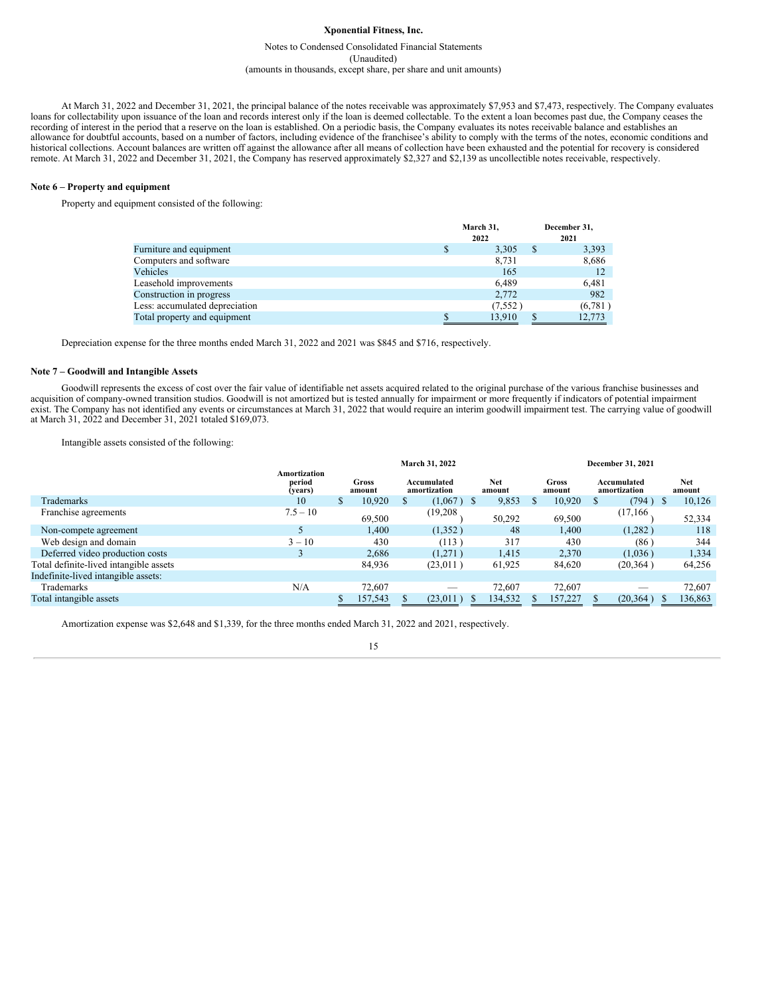# Notes to Condensed Consolidated Financial Statements

(Unaudited)

(amounts in thousands, except share, per share and unit amounts)

At March 31, 2022 and December 31, 2021, the principal balance of the notes receivable was approximately \$7,953 and \$7,473, respectively. The Company evaluates loans for collectability upon issuance of the loan and records interest only if the loan is deemed collectable. To the extent a loan becomes past due, the Company ceases the recording of interest in the period that a reserve on the loan is established. On a periodic basis, the Company evaluates its notes receivable balance and establishes an allowance for doubtful accounts, based on a number of factors, including evidence of the franchisee's ability to comply with the terms of the notes, economic conditions and historical collections. Account balances are written off against the allowance after all means of collection have been exhausted and the potential for recovery is considered remote. At March 31, 2022 and December 31, 2021, the Company has reserved approximately \$2,327 and \$2,139 as uncollectible notes receivable, respectively.

# **Note 6 – Property and equipment**

Property and equipment consisted of the following:

|                                |   | March 31, |  | December 31, |
|--------------------------------|---|-----------|--|--------------|
|                                |   | 2022      |  | 2021         |
| Furniture and equipment        | S | 3,305     |  | 3,393        |
| Computers and software         |   | 8,731     |  | 8,686        |
| Vehicles                       |   | 165       |  |              |
| Leasehold improvements         |   | 6.489     |  | 6,481        |
| Construction in progress       |   | 2,772     |  | 982          |
| Less: accumulated depreciation |   | (7, 552)  |  | (6,781)      |
| Total property and equipment   |   | 13.910    |  | 12.773       |

Depreciation expense for the three months ended March 31, 2022 and 2021 was \$845 and \$716, respectively.

### **Note 7 – Goodwill and Intangible Assets**

Goodwill represents the excess of cost over the fair value of identifiable net assets acquired related to the original purchase of the various franchise businesses and acquisition of company-owned transition studios. Goodwill is not amortized but is tested annually for impairment or more frequently if indicators of potential impairment exist. The Company has not identified any events or circumstances at March 31, 2022 that would require an interim goodwill impairment test. The carrying value of goodwill at March 31, 2022 and December 31, 2021 totaled \$169,073.

Intangible assets consisted of the following:

|                                        |                                          | March 31, 2022 |                 |               |                             | <b>December 31, 2021</b> |   |                 |                             |    |                      |
|----------------------------------------|------------------------------------------|----------------|-----------------|---------------|-----------------------------|--------------------------|---|-----------------|-----------------------------|----|----------------------|
|                                        | <b>Amortization</b><br>period<br>(years) |                | Gross<br>amount |               | Accumulated<br>amortization | <b>Net</b><br>amount     |   | Gross<br>amount | Accumulated<br>amortization |    | <b>Net</b><br>amount |
| Trademarks                             | 10                                       |                | 10.920          | $\mathcal{P}$ | (1,067)                     | 9,853<br>S               | S | 10,920          | (794)                       | -S | 10,126               |
| Franchise agreements                   | $7.5 - 10$                               |                | 69.500          |               | (19,208)                    | 50,292                   |   | 69,500          | (17, 166)                   |    | 52,334               |
| Non-compete agreement                  |                                          |                | 1,400           |               | (1,352)                     | 48                       |   | 1,400           | (1,282)                     |    | 118                  |
| Web design and domain                  | $3 - 10$                                 |                | 430             |               | (113)                       | 317                      |   | 430             | (86)                        |    | 344                  |
| Deferred video production costs        |                                          |                | 2,686           |               | (1,271)                     | 1.415                    |   | 2,370           | (1,036)                     |    | 1,334                |
| Total definite-lived intangible assets |                                          |                | 84,936          |               | (23,011)                    | 61,925                   |   | 84,620          | (20, 364)                   |    | 64,256               |
| Indefinite-lived intangible assets:    |                                          |                |                 |               |                             |                          |   |                 |                             |    |                      |
| Trademarks                             | N/A                                      |                | 72,607          |               | --                          | 72,607                   |   | 72,607          |                             |    | 72,607               |
| Total intangible assets                |                                          |                | 157,543         |               | (23,011)                    | 134,532                  |   | 157,227         | (20, 364)                   |    | 136,863              |

Amortization expense was \$2,648 and \$1,339, for the three months ended March 31, 2022 and 2021, respectively.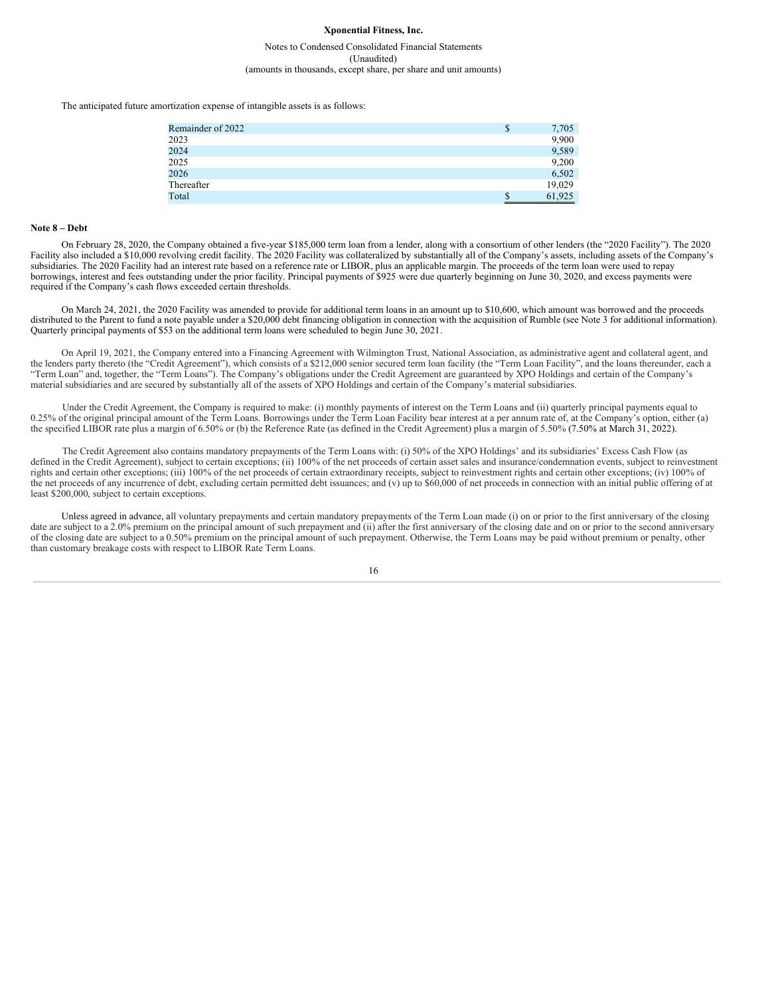Notes to Condensed Consolidated Financial Statements

(Unaudited)

(amounts in thousands, except share, per share and unit amounts)

The anticipated future amortization expense of intangible assets is as follows:

| Remainder of 2022 | \$<br>7,705 |
|-------------------|-------------|
| 2023              | 9,900       |
| 2024              | 9,589       |
| 2025              | 9,200       |
| 2026              | 6,502       |
| Thereafter        | 19,029      |
| Total             | 61.925      |

### **Note 8 – Debt**

On February 28, 2020, the Company obtained a five-year \$185,000 term loan from a lender, along with a consortium of other lenders (the "2020 Facility"). The 2020 Facility also included a \$10,000 revolving credit facility. The 2020 Facility was collateralized by substantially all of the Company's assets, including assets of the Company's subsidiaries. The 2020 Facility had an interest rate based on a reference rate or LIBOR, plus an applicable margin. The proceeds of the term loan were used to repay borrowings, interest and fees outstanding under the prior facility. Principal payments of \$925 were due quarterly beginning on June 30, 2020, and excess payments were required if the Company's cash flows exceeded certain thresholds.

On March 24, 2021, the 2020 Facility was amended to provide for additional term loans in an amount up to \$10,600, which amount was borrowed and the proceeds distributed to the Parent to fund a note payable under a \$20,000 debt financing obligation in connection with the acquisition of Rumble (see Note 3 for additional information). Quarterly principal payments of \$53 on the additional term loans were scheduled to begin June 30, 2021.

On April 19, 2021, the Company entered into a Financing Agreement with Wilmington Trust, National Association, as administrative agent and collateral agent, and the lenders party thereto (the "Credit Agreement"), which consists of a \$212,000 senior secured term loan facility (the "Term Loan Facility", and the loans thereunder, each a "Term Loan" and, together, the "Term Loans"). The Company's obligations under the Credit Agreement are guaranteed by XPO Holdings and certain of the Company's material subsidiaries and are secured by substantially all of the assets of XPO Holdings and certain of the Company's material subsidiaries.

Under the Credit Agreement, the Company is required to make: (i) monthly payments of interest on the Term Loans and (ii) quarterly principal payments equal to 0.25% of the original principal amount of the Term Loans. Borrowings under the Term Loan Facility bear interest at a per annum rate of, at the Company's option, either (a) the specified LIBOR rate plus a margin of 6.50% or (b) the Reference Rate (as defined in the Credit Agreement) plus a margin of 5.50% (7.50% at March 31, 2022).

The Credit Agreement also contains mandatory prepayments of the Term Loans with: (i) 50% of the XPO Holdings' and its subsidiaries' Excess Cash Flow (as defined in the Credit Agreement), subject to certain exceptions; (ii) 100% of the net proceeds of certain asset sales and insurance/condemnation events, subject to reinvestment rights and certain other exceptions; (iii) 100% of the net proceeds of certain extraordinary receipts, subject to reinvestment rights and certain other exceptions; (iv) 100% of the net proceeds of any incurrence of debt, excluding certain permitted debt issuances; and (v) up to \$60,000 of net proceeds in connection with an initial public offering of at least \$200,000, subject to certain exceptions.

Unless agreed in advance, all voluntary prepayments and certain mandatory prepayments of the Term Loan made (i) on or prior to the first anniversary of the closing date are subject to a 2.0% premium on the principal amount of such prepayment and (ii) after the first anniversary of the closing date and on or prior to the second anniversary of the closing date are subject to a 0.50% premium on the principal amount of such prepayment. Otherwise, the Term Loans may be paid without premium or penalty, other than customary breakage costs with respect to LIBOR Rate Term Loans.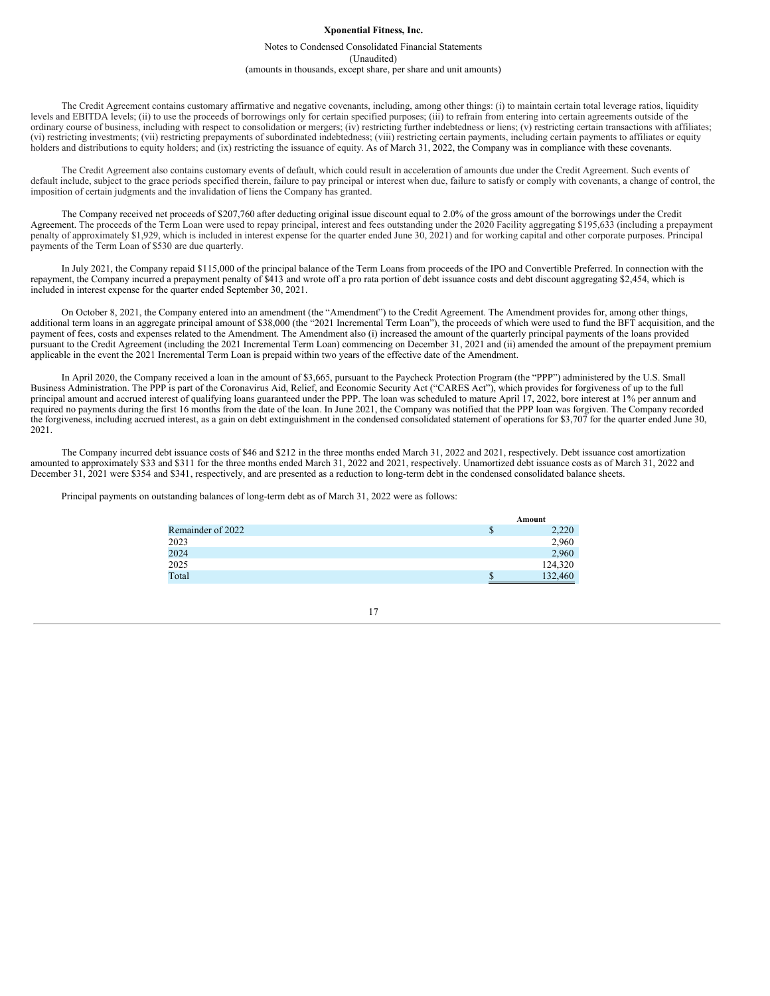# Notes to Condensed Consolidated Financial Statements

(Unaudited)

(amounts in thousands, except share, per share and unit amounts)

The Credit Agreement contains customary affirmative and negative covenants, including, among other things: (i) to maintain certain total leverage ratios, liquidity levels and EBITDA levels; (ii) to use the proceeds of borrowings only for certain specified purposes; (iii) to refrain from entering into certain agreements outside of the ordinary course of business, including with respect to consolidation or mergers; (iv) restricting further indebtedness or liens; (v) restricting certain transactions with affiliates; (vi) restricting investments; (vii) restricting prepayments of subordinated indebtedness; (viii) restricting certain payments, including certain payments to affiliates or equity holders and distributions to equity holders; and (ix) restricting the issuance of equity. As of March 31, 2022, the Company was in compliance with these covenants.

The Credit Agreement also contains customary events of default, which could result in acceleration of amounts due under the Credit Agreement. Such events of default include, subject to the grace periods specified therein, failure to pay principal or interest when due, failure to satisfy or comply with covenants, a change of control, the imposition of certain judgments and the invalidation of liens the Company has granted.

The Company received net proceeds of \$207,760 after deducting original issue discount equal to 2.0% of the gross amount of the borrowings under the Credit Agreement. The proceeds of the Term Loan were used to repay principal, interest and fees outstanding under the 2020 Facility aggregating \$195,633 (including a prepayment penalty of approximately \$1,929, which is included in interest expense for the quarter ended June 30, 2021) and for working capital and other corporate purposes. Principal payments of the Term Loan of \$530 are due quarterly.

In July 2021, the Company repaid \$115,000 of the principal balance of the Term Loans from proceeds of the IPO and Convertible Preferred. In connection with the repayment, the Company incurred a prepayment penalty of \$413 and wrote off a pro rata portion of debt issuance costs and debt discount aggregating \$2,454, which is included in interest expense for the quarter ended September 30, 2021.

On October 8, 2021, the Company entered into an amendment (the "Amendment") to the Credit Agreement. The Amendment provides for, among other things, additional term loans in an aggregate principal amount of \$38,000 (the "2021 Incremental Term Loan"), the proceeds of which were used to fund the BFT acquisition, and the payment of fees, costs and expenses related to the Amendment. The Amendment also (i) increased the amount of the quarterly principal payments of the loans provided pursuant to the Credit Agreement (including the 2021 Incremental Term Loan) commencing on December 31, 2021 and (ii) amended the amount of the prepayment premium applicable in the event the 2021 Incremental Term Loan is prepaid within two years of the effective date of the Amendment.

In April 2020, the Company received a loan in the amount of \$3,665, pursuant to the Paycheck Protection Program (the "PPP") administered by the U.S. Small Business Administration. The PPP is part of the Coronavirus Aid, Relief, and Economic Security Act ("CARES Act"), which provides for forgiveness of up to the full principal amount and accrued interest of qualifying loans guaranteed under the PPP. The loan was scheduled to mature April 17, 2022, bore interest at 1% per annum and required no payments during the first 16 months from the date of the loan. In June 2021, the Company was notified that the PPP loan was forgiven. The Company recorded the forgiveness, including accrued interest, as a gain on debt extinguishment in the condensed consolidated statement of operations for \$3,707 for the quarter ended June 30, 2021.

The Company incurred debt issuance costs of \$46 and \$212 in the three months ended March 31, 2022 and 2021, respectively. Debt issuance cost amortization amounted to approximately \$33 and \$311 for the three months ended March 31, 2022 and 2021, respectively. Unamortized debt issuance costs as of March 31, 2022 and December 31, 2021 were \$354 and \$341, respectively, and are presented as a reduction to long-term debt in the condensed consolidated balance sheets.

Principal payments on outstanding balances of long-term debt as of March 31, 2022 were as follows:

|                   |    | Amount  |
|-------------------|----|---------|
| Remainder of 2022 | ۰D | 2,220   |
| 2023              |    | 2,960   |
| 2024              |    | 2.960   |
| 2025              |    | 124,320 |
| Total             |    | 132,460 |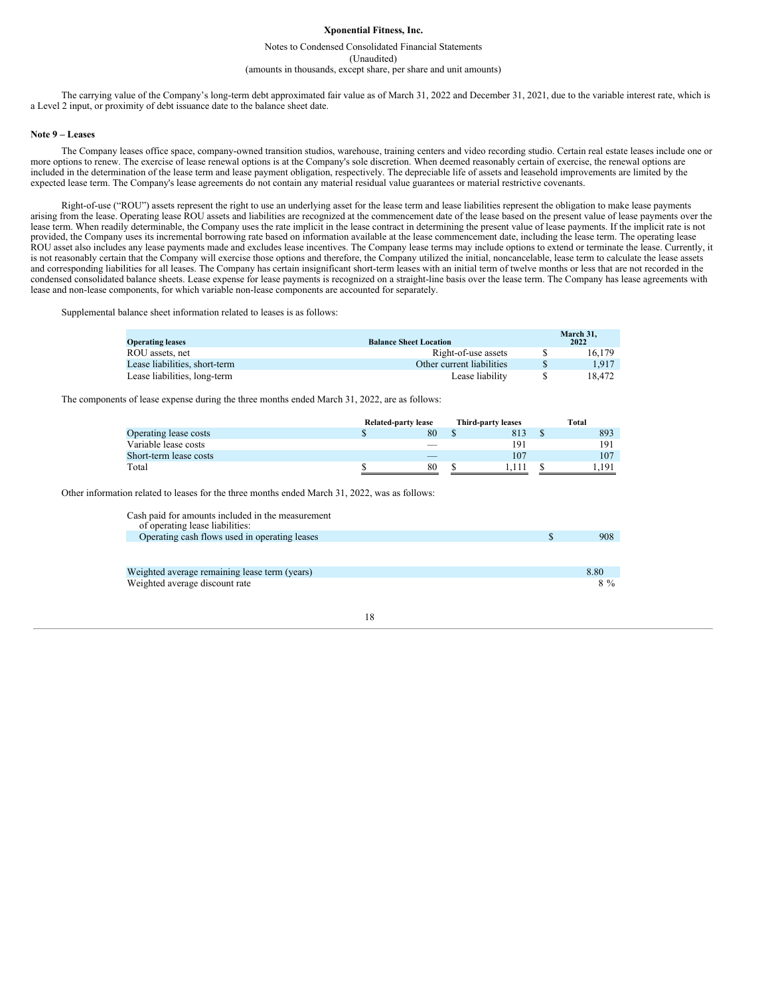### Notes to Condensed Consolidated Financial Statements (Unaudited)

(amounts in thousands, except share, per share and unit amounts)

The carrying value of the Company's long-term debt approximated fair value as of March 31, 2022 and December 31, 2021, due to the variable interest rate, which is a Level 2 input, or proximity of debt issuance date to the balance sheet date.

#### **Note 9 – Leases**

The Company leases office space, company-owned transition studios, warehouse, training centers and video recording studio. Certain real estate leases include one or more options to renew. The exercise of lease renewal options is at the Company's sole discretion. When deemed reasonably certain of exercise, the renewal options are included in the determination of the lease term and lease payment obligation, respectively. The depreciable life of assets and leasehold improvements are limited by the expected lease term. The Company's lease agreements do not contain any material residual value guarantees or material restrictive covenants.

Right-of-use ("ROU") assets represent the right to use an underlying asset for the lease term and lease liabilities represent the obligation to make lease payments arising from the lease. Operating lease ROU assets and liabilities are recognized at the commencement date of the lease based on the present value of lease payments over the lease term. When readily determinable, the Company uses the rate implicit in the lease contract in determining the present value of lease payments. If the implicit rate is not provided, the Company uses its incremental borrowing rate based on information available at the lease commencement date, including the lease term. The operating lease ROU asset also includes any lease payments made and excludes lease incentives. The Company lease terms may include options to extend or terminate the lease. Currently, it is not reasonably certain that the Company will exercise those options and therefore, the Company utilized the initial, noncancelable, lease term to calculate the lease assets and corresponding liabilities for all leases. The Company has certain insignificant short-term leases with an initial term of twelve months or less that are not recorded in the condensed consolidated balance sheets. Lease expense for lease payments is recognized on a straight-line basis over the lease term. The Company has lease agreements with lease and non-lease components, for which variable non-lease components are accounted for separately.

Supplemental balance sheet information related to leases is as follows:

| <b>Operating leases</b>       | <b>Balance Sheet Location</b> | March 31.<br>2022 |
|-------------------------------|-------------------------------|-------------------|
| ROU assets, net               | Right-of-use assets           | 16.179            |
| Lease liabilities, short-term | Other current liabilities     | 1.917             |
| Lease liabilities, long-term  | Lease liability               | 18.472            |

The components of lease expense during the three months ended March 31, 2022, are as follows:

|                        | Related-party lease |    | Third-party leases | Total |
|------------------------|---------------------|----|--------------------|-------|
| Operating lease costs  |                     | 80 | 813                | 893   |
| Variable lease costs   |                     |    | 191                | 191   |
| Short-term lease costs |                     |    | 107                | 107   |
| Total                  |                     | 80 |                    | 1.191 |

Other information related to leases for the three months ended March 31, 2022, was as follows:

| Cash paid for amounts included in the measurement<br>of operating lease liabilities: |       |
|--------------------------------------------------------------------------------------|-------|
| Operating cash flows used in operating leases                                        | 908   |
|                                                                                      |       |
| Weighted average remaining lease term (years)                                        | 8.80  |
| Weighted average discount rate                                                       | $8\%$ |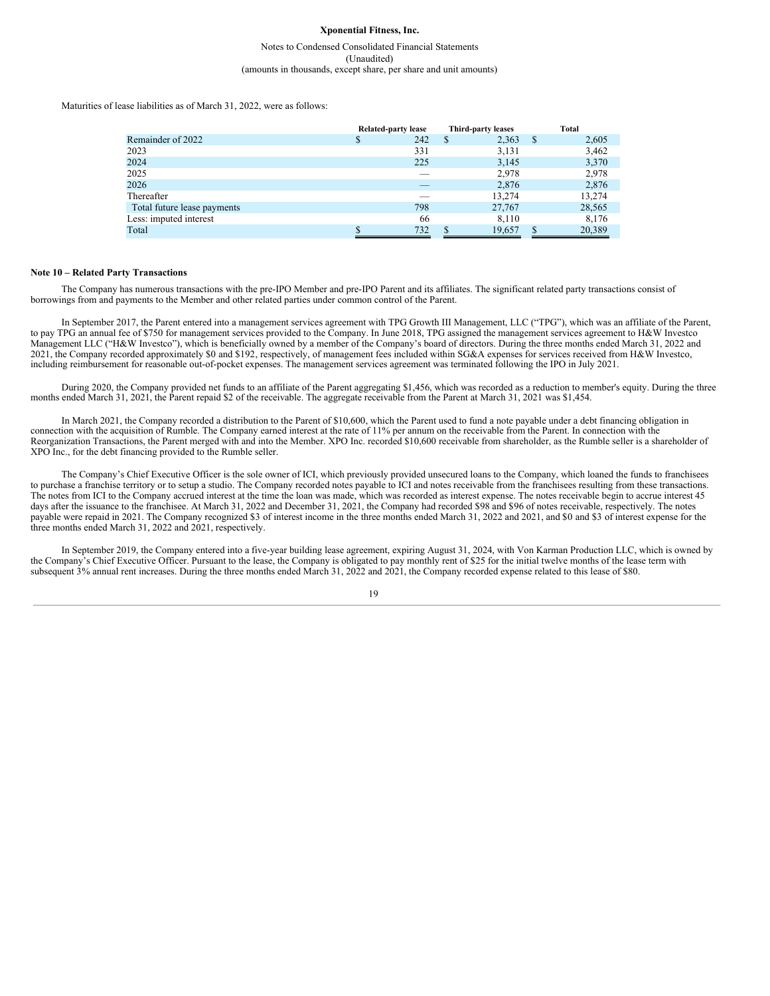### Notes to Condensed Consolidated Financial Statements (Unaudited)

(amounts in thousands, except share, per share and unit amounts)

Maturities of lease liabilities as of March 31, 2022, were as follows:

|                             | <b>Related-party lease</b> |     | Third-party leases |        | Total        |        |
|-----------------------------|----------------------------|-----|--------------------|--------|--------------|--------|
| Remainder of 2022           | \$                         | 242 |                    | 2,363  | <sup>S</sup> | 2,605  |
| 2023                        |                            | 331 |                    | 3,131  |              | 3,462  |
| 2024                        |                            | 225 |                    | 3,145  |              | 3,370  |
| 2025                        |                            |     |                    | 2,978  |              | 2,978  |
| 2026                        |                            | _   |                    | 2,876  |              | 2,876  |
| Thereafter                  |                            | __  |                    | 13.274 |              | 13,274 |
| Total future lease payments |                            | 798 |                    | 27,767 |              | 28,565 |
| Less: imputed interest      |                            | 66  |                    | 8.110  |              | 8,176  |
| Total                       |                            | 732 |                    | 19,657 |              | 20,389 |

#### **Note 10 – Related Party Transactions**

The Company has numerous transactions with the pre-IPO Member and pre-IPO Parent and its affiliates. The significant related party transactions consist of borrowings from and payments to the Member and other related parties under common control of the Parent.

In September 2017, the Parent entered into a management services agreement with TPG Growth III Management, LLC ("TPG"), which was an affiliate of the Parent, to pay TPG an annual fee of \$750 for management services provided to the Company. In June 2018, TPG assigned the management services agreement to H&W Investco Management LLC ("H&W Investco"), which is beneficially owned by a member of the Company's board of directors. During the three months ended March 31, 2022 and 2021, the Company recorded approximately \$0 and \$192, respectively, of management fees included within SG&A expenses for services received from H&W Investco, including reimbursement for reasonable out-of-pocket expenses. The management services agreement was terminated following the IPO in July 2021.

During 2020, the Company provided net funds to an affiliate of the Parent aggregating \$1,456, which was recorded as a reduction to member's equity. During the three months ended March 31, 2021, the Parent repaid \$2 of the receivable. The aggregate receivable from the Parent at March 31, 2021 was \$1,454.

In March 2021, the Company recorded a distribution to the Parent of \$10,600, which the Parent used to fund a note payable under a debt financing obligation in connection with the acquisition of Rumble. The Company earned interest at the rate of 11% per annum on the receivable from the Parent. In connection with the Reorganization Transactions, the Parent merged with and into the Member. XPO Inc. recorded \$10,600 receivable from shareholder, as the Rumble seller is a shareholder of XPO Inc., for the debt financing provided to the Rumble seller.

The Company's Chief Executive Officer is the sole owner of ICI, which previously provided unsecured loans to the Company, which loaned the funds to franchisees to purchase a franchise territory or to setup a studio. The Company recorded notes payable to ICI and notes receivable from the franchisees resulting from these transactions. The notes from ICI to the Company accrued interest at the time the loan was made, which was recorded as interest expense. The notes receivable begin to accrue interest 45 days after the issuance to the franchisee. At March 31, 2022 and December 31, 2021, the Company had recorded \$98 and \$96 of notes receivable, respectively. The notes payable were repaid in 2021. The Company recognized \$3 of interest income in the three months ended March 31, 2022 and 2021, and \$0 and \$3 of interest expense for the three months ended March 31, 2022 and 2021, respectively.

In September 2019, the Company entered into a five-year building lease agreement, expiring August 31, 2024, with Von Karman Production LLC, which is owned by the Company's Chief Executive Officer. Pursuant to the lease, the Company is obligated to pay monthly rent of \$25 for the initial twelve months of the lease term with subsequent 3% annual rent increases. During the three months ended March 31, 2022 and 2021, the Company recorded expense related to this lease of \$80.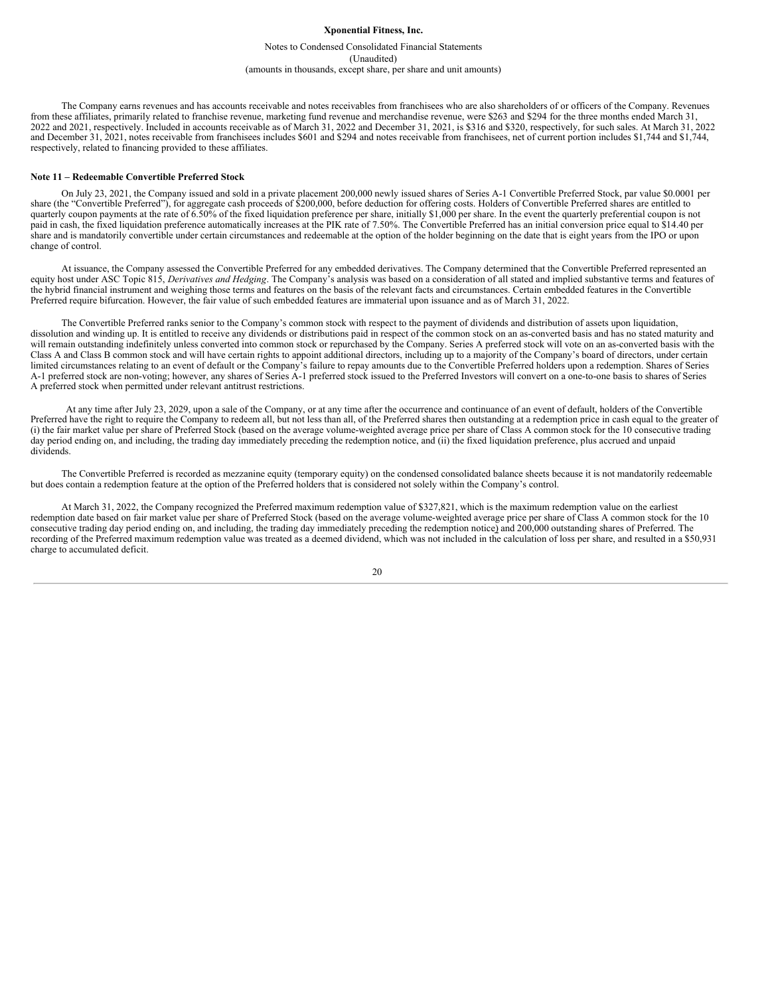### Notes to Condensed Consolidated Financial Statements (Unaudited)

(amounts in thousands, except share, per share and unit amounts)

The Company earns revenues and has accounts receivable and notes receivables from franchisees who are also shareholders of or officers of the Company. Revenues from these affiliates, primarily related to franchise revenue, marketing fund revenue and merchandise revenue, were \$263 and \$294 for the three months ended March 31, 2022 and 2021, respectively. Included in accounts receivable as of March 31, 2022 and December 31, 2021, is \$316 and \$320, respectively, for such sales. At March 31, 2022 and December 31, 2021, notes receivable from franchisees includes \$601 and \$294 and notes receivable from franchisees, net of current portion includes \$1,744 and \$1,744, respectively, related to financing provided to these affiliates.

#### **Note 11 – Redeemable Convertible Preferred Stock**

On July 23, 2021, the Company issued and sold in a private placement 200,000 newly issued shares of Series A-1 Convertible Preferred Stock, par value \$0.0001 per share (the "Convertible Preferred"), for aggregate cash proceeds of \$200,000, before deduction for offering costs. Holders of Convertible Preferred shares are entitled to quarterly coupon payments at the rate of 6.50% of the fixed liquidation preference per share, initially \$1,000 per share. In the event the quarterly preferential coupon is not paid in cash, the fixed liquidation preference automatically increases at the PIK rate of 7.50%. The Convertible Preferred has an initial conversion price equal to \$14.40 per share and is mandatorily convertible under certain circumstances and redeemable at the option of the holder beginning on the date that is eight years from the IPO or upon change of control.

At issuance, the Company assessed the Convertible Preferred for any embedded derivatives. The Company determined that the Convertible Preferred represented an equity host under ASC Topic 815, *Derivatives and Hedging*. The Company's analysis was based on a consideration of all stated and implied substantive terms and features of the hybrid financial instrument and weighing those terms and features on the basis of the relevant facts and circumstances. Certain embedded features in the Convertible Preferred require bifurcation. However, the fair value of such embedded features are immaterial upon issuance and as of March 31, 2022.

The Convertible Preferred ranks senior to the Company's common stock with respect to the payment of dividends and distribution of assets upon liquidation, dissolution and winding up. It is entitled to receive any dividends or distributions paid in respect of the common stock on an as-converted basis and has no stated maturity and will remain outstanding indefinitely unless converted into common stock or repurchased by the Company. Series A preferred stock will vote on an as-converted basis with the Class A and Class B common stock and will have certain rights to appoint additional directors, including up to a majority of the Company's board of directors, under certain limited circumstances relating to an event of default or the Company's failure to repay amounts due to the Convertible Preferred holders upon a redemption. Shares of Series A-1 preferred stock are non-voting; however, any shares of Series A-1 preferred stock issued to the Preferred Investors will convert on a one-to-one basis to shares of Series A preferred stock when permitted under relevant antitrust restrictions.

At any time after July 23, 2029, upon a sale of the Company, or at any time after the occurrence and continuance of an event of default, holders of the Convertible Preferred have the right to require the Company to redeem all, but not less than all, of the Preferred shares then outstanding at a redemption price in cash equal to the greater of (i) the fair market value per share of Preferred Stock (based on the average volume-weighted average price per share of Class A common stock for the 10 consecutive trading day period ending on, and including, the trading day immediately preceding the redemption notice, and (ii) the fixed liquidation preference, plus accrued and unpaid dividends.

The Convertible Preferred is recorded as mezzanine equity (temporary equity) on the condensed consolidated balance sheets because it is not mandatorily redeemable but does contain a redemption feature at the option of the Preferred holders that is considered not solely within the Company's control.

At March 31, 2022, the Company recognized the Preferred maximum redemption value of \$327,821, which is the maximum redemption value on the earliest redemption date based on fair market value per share of Preferred Stock (based on the average volume-weighted average price per share of Class A common stock for the 10 consecutive trading day period ending on, and including, the trading day immediately preceding the redemption notice) and 200,000 outstanding shares of Preferred. The recording of the Preferred maximum redemption value was treated as a deemed dividend, which was not included in the calculation of loss per share, and resulted in a \$50,931 charge to accumulated deficit.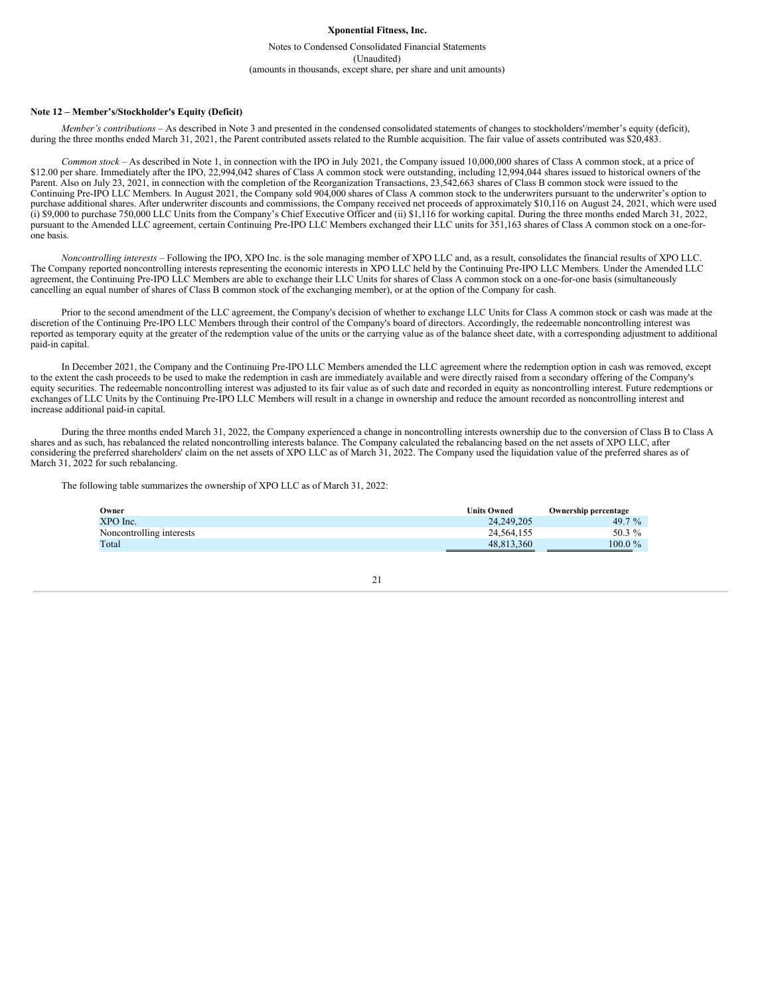Notes to Condensed Consolidated Financial Statements (Unaudited) (amounts in thousands, except share, per share and unit amounts)

#### **Note 12 – Member's/Stockholder's Equity (Deficit)**

*Member's contributions* – As described in Note 3 and presented in the condensed consolidated statements of changes to stockholders'/member's equity (deficit), during the three months ended March 31, 2021, the Parent contributed assets related to the Rumble acquisition. The fair value of assets contributed was \$20,483.

*Common stock* – As described in Note 1, in connection with the IPO in July 2021, the Company issued 10,000,000 shares of Class A common stock, at a price of \$12.00 per share. Immediately after the IPO, 22,994,042 shares of Class A common stock were outstanding, including 12,994,044 shares issued to historical owners of the Parent. Also on July 23, 2021, in connection with the completion of the Reorganization Transactions, 23,542,663 shares of Class B common stock were issued to the Continuing Pre-IPO LLC Members. In August 2021, the Company sold 904,000 shares of Class A common stock to the underwriters pursuant to the underwriter's option to purchase additional shares. After underwriter discounts and commissions, the Company received net proceeds of approximately \$10,116 on August 24, 2021, which were used (i) \$9,000 to purchase 750,000 LLC Units from the Company's Chief Executive Officer and (ii) \$1,116 for working capital. During the three months ended March 31, 2022, pursuant to the Amended LLC agreement, certain Continuing Pre-IPO LLC Members exchanged their LLC units for 351,163 shares of Class A common stock on a one-forone basis.

*Noncontrolling interests* – Following the IPO, XPO Inc. is the sole managing member of XPO LLC and, as a result, consolidates the financial results of XPO LLC. The Company reported noncontrolling interests representing the economic interests in XPO LLC held by the Continuing Pre-IPO LLC Members. Under the Amended LLC agreement, the Continuing Pre-IPO LLC Members are able to exchange their LLC Units for shares of Class A common stock on a one-for-one basis (simultaneously cancelling an equal number of shares of Class B common stock of the exchanging member), or at the option of the Company for cash.

Prior to the second amendment of the LLC agreement, the Company's decision of whether to exchange LLC Units for Class A common stock or cash was made at the discretion of the Continuing Pre-IPO LLC Members through their control of the Company's board of directors. Accordingly, the redeemable noncontrolling interest was reported as temporary equity at the greater of the redemption value of the units or the carrying value as of the balance sheet date, with a corresponding adjustment to additional paid-in capital.

In December 2021, the Company and the Continuing Pre-IPO LLC Members amended the LLC agreement where the redemption option in cash was removed, except to the extent the cash proceeds to be used to make the redemption in cash are immediately available and were directly raised from a secondary offering of the Company's equity securities. The redeemable noncontrolling interest was adjusted to its fair value as of such date and recorded in equity as noncontrolling interest. Future redemptions or exchanges of LLC Units by the Continuing Pre-IPO LLC Members will result in a change in ownership and reduce the amount recorded as noncontrolling interest and increase additional paid-in capital.

During the three months ended March 31, 2022, the Company experienced a change in noncontrolling interests ownership due to the conversion of Class B to Class A shares and as such, has rebalanced the related noncontrolling interests balance. The Company calculated the rebalancing based on the net assets of XPO LLC, after considering the preferred shareholders' claim on the net assets of XPO LLC as of March 31, 2022. The Company used the liquidation value of the preferred shares as of March 31, 2022 for such rebalancing.

The following table summarizes the ownership of XPO LLC as of March 31, 2022:

| Owner                    | <b>Units Owned</b> | Ownership percentage |
|--------------------------|--------------------|----------------------|
| XPO Inc.                 | 24.249.205         | 49.7 $%$             |
| Noncontrolling interests | 24.564.155         | 50.3 %               |
| Total                    | 48.813.360         | $100.0 \%$           |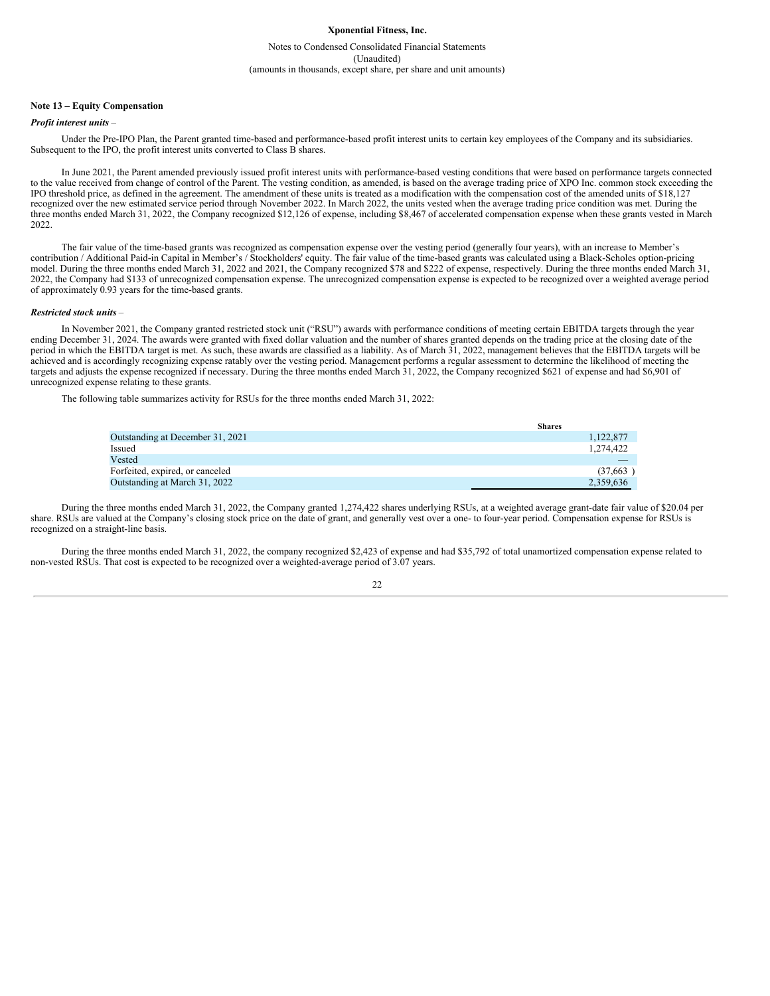Notes to Condensed Consolidated Financial Statements (Unaudited) (amounts in thousands, except share, per share and unit amounts)

## **Note 13 – Equity Compensation**

#### *Profit interest units* –

Under the Pre-IPO Plan, the Parent granted time-based and performance-based profit interest units to certain key employees of the Company and its subsidiaries. Subsequent to the IPO, the profit interest units converted to Class B shares.

In June 2021, the Parent amended previously issued profit interest units with performance-based vesting conditions that were based on performance targets connected to the value received from change of control of the Parent. The vesting condition, as amended, is based on the average trading price of XPO Inc. common stock exceeding the IPO threshold price, as defined in the agreement. The amendment of these units is treated as a modification with the compensation cost of the amended units of \$18,127 recognized over the new estimated service period through November 2022. In March 2022, the units vested when the average trading price condition was met. During the three months ended March 31, 2022, the Company recognized \$12,126 of expense, including \$8,467 of accelerated compensation expense when these grants vested in March 2022.

The fair value of the time-based grants was recognized as compensation expense over the vesting period (generally four years), with an increase to Member's contribution / Additional Paid-in Capital in Member's / Stockholders' equity. The fair value of the time-based grants was calculated using a Black-Scholes option-pricing model. During the three months ended March 31, 2022 and 2021, the Company recognized \$78 and \$222 of expense, respectively. During the three months ended March 31, 2022, the Company had \$133 of unrecognized compensation expense. The unrecognized compensation expense is expected to be recognized over a weighted average period of approximately 0.93 years for the time-based grants.

### *Restricted stock units* –

In November 2021, the Company granted restricted stock unit ("RSU") awards with performance conditions of meeting certain EBITDA targets through the year ending December 31, 2024. The awards were granted with fixed dollar valuation and the number of shares granted depends on the trading price at the closing date of the period in which the EBITDA target is met. As such, these awards are classified as a liability. As of March 31, 2022, management believes that the EBITDA targets will be achieved and is accordingly recognizing expense ratably over the vesting period. Management performs a regular assessment to determine the likelihood of meeting the targets and adjusts the expense recognized if necessary. During the three months ended March 31, 2022, the Company recognized \$621 of expense and had \$6,901 of unrecognized expense relating to these grants.

The following table summarizes activity for RSUs for the three months ended March 31, 2022:

|                                  | <b>Shares</b> |
|----------------------------------|---------------|
| Outstanding at December 31, 2021 | 1.122,877     |
| Issued                           | 1.274.422     |
| Vested                           |               |
| Forfeited, expired, or canceled  | (37,663)      |
| Outstanding at March 31, 2022    | 2,359,636     |

During the three months ended March 31, 2022, the Company granted 1,274,422 shares underlying RSUs, at a weighted average grant-date fair value of \$20.04 per share. RSUs are valued at the Company's closing stock price on the date of grant, and generally vest over a one- to four-year period. Compensation expense for RSUs is recognized on a straight-line basis.

During the three months ended March 31, 2022, the company recognized \$2,423 of expense and had \$35,792 of total unamortized compensation expense related to non-vested RSUs. That cost is expected to be recognized over a weighted-average period of 3.07 years.

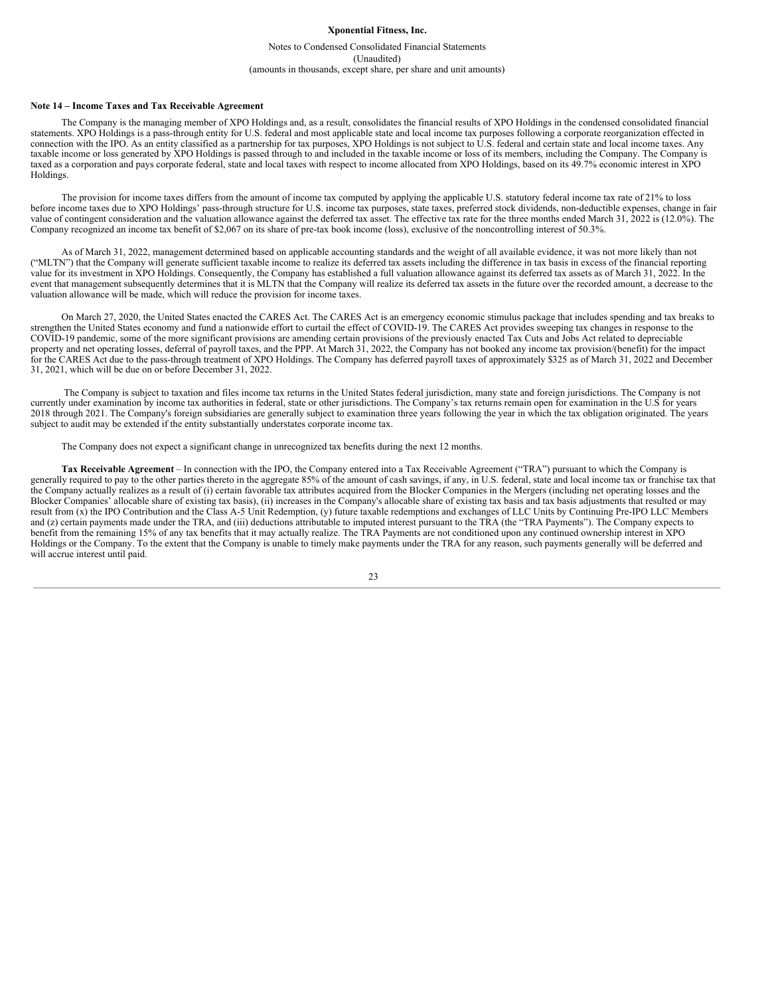Notes to Condensed Consolidated Financial Statements (Unaudited) (amounts in thousands, except share, per share and unit amounts)

#### **Note 14 – Income Taxes and Tax Receivable Agreement**

The Company is the managing member of XPO Holdings and, as a result, consolidates the financial results of XPO Holdings in the condensed consolidated financial statements. XPO Holdings is a pass-through entity for U.S. federal and most applicable state and local income tax purposes following a corporate reorganization effected in connection with the IPO. As an entity classified as a partnership for tax purposes, XPO Holdings is not subject to U.S. federal and certain state and local income taxes. Any taxable income or loss generated by XPO Holdings is passed through to and included in the taxable income or loss of its members, including the Company. The Company is taxed as a corporation and pays corporate federal, state and local taxes with respect to income allocated from XPO Holdings, based on its 49.7% economic interest in XPO Holdings.

The provision for income taxes differs from the amount of income tax computed by applying the applicable U.S. statutory federal income tax rate of 21% to loss before income taxes due to XPO Holdings' pass-through structure for U.S. income tax purposes, state taxes, preferred stock dividends, non-deductible expenses, change in fair value of contingent consideration and the valuation allowance against the deferred tax asset. The effective tax rate for the three months ended March 31, 2022 is (12.0%). The Company recognized an income tax benefit of \$2,067 on its share of pre-tax book income (loss), exclusive of the noncontrolling interest of 50.3%.

As of March 31, 2022, management determined based on applicable accounting standards and the weight of all available evidence, it was not more likely than not ("MLTN") that the Company will generate sufficient taxable income to realize its deferred tax assets including the difference in tax basis in excess of the financial reporting value for its investment in XPO Holdings. Consequently, the Company has established a full valuation allowance against its deferred tax assets as of March 31, 2022. In the event that management subsequently determines that it is MLTN that the Company will realize its deferred tax assets in the future over the recorded amount, a decrease to the valuation allowance will be made, which will reduce the provision for income taxes.

On March 27, 2020, the United States enacted the CARES Act. The CARES Act is an emergency economic stimulus package that includes spending and tax breaks to strengthen the United States economy and fund a nationwide effort to curtail the effect of COVID-19. The CARES Act provides sweeping tax changes in response to the COVID-19 pandemic, some of the more significant provisions are amending certain provisions of the previously enacted Tax Cuts and Jobs Act related to depreciable property and net operating losses, deferral of payroll taxes, and the PPP. At March  $3\hat{1}$ , 2022, the Company has not booked any income tax provision/(benefit) for the impact for the CARES Act due to the pass-through treatment of XPO Holdings. The Company has deferred payroll taxes of approximately \$325 as of March 31, 2022 and December 31, 2021, which will be due on or before December 31, 2022.

The Company is subject to taxation and files income tax returns in the United States federal jurisdiction, many state and foreign jurisdictions. The Company is not currently under examination by income tax authorities in federal, state or other jurisdictions. The Company's tax returns remain open for examination in the U.S for years 2018 through 2021. The Company's foreign subsidiaries are generally subject to examination three years following the year in which the tax obligation originated. The years subject to audit may be extended if the entity substantially understates corporate income tax.

The Company does not expect a significant change in unrecognized tax benefits during the next 12 months.

**Tax Receivable Agreement** – In connection with the IPO, the Company entered into a Tax Receivable Agreement ("TRA") pursuant to which the Company is generally required to pay to the other parties thereto in the aggregate 85% of the amount of cash savings, if any, in U.S. federal, state and local income tax or franchise tax that the Company actually realizes as a result of (i) certain favorable tax attributes acquired from the Blocker Companies in the Mergers (including net operating losses and the Blocker Companies' allocable share of existing tax basis), (ii) increases in the Company's allocable share of existing tax basis and tax basis adjustments that resulted or may result from  $(x)$  the IPO Contribution and the Class A-5 Unit Redemption, (y) future taxable redemptions and exchanges of LLC Units by Continuing Pre-IPO LLC Members and (z) certain payments made under the TRA, and (iii) deductions attributable to imputed interest pursuant to the TRA (the "TRA Payments"). The Company expects to benefit from the remaining 15% of any tax benefits that it may actually realize. The TRA Payments are not conditioned upon any continued ownership interest in XPO Holdings or the Company. To the extent that the Company is unable to timely make payments under the TRA for any reason, such payments generally will be deferred and will accrue interest until paid.

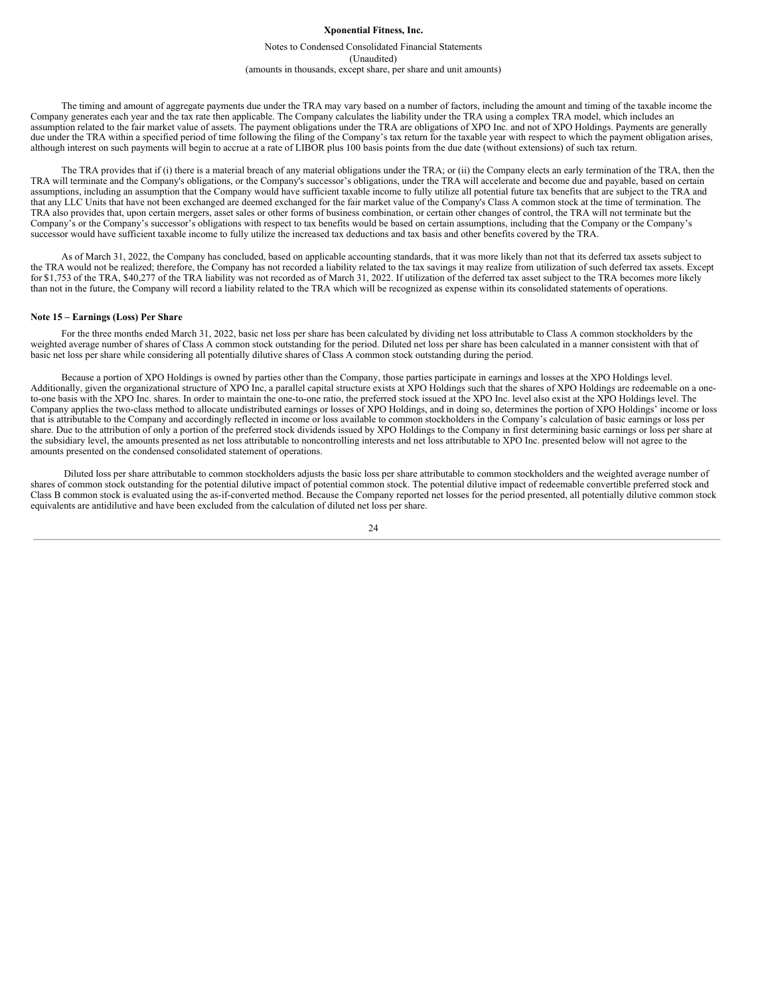# Notes to Condensed Consolidated Financial Statements

(Unaudited) (amounts in thousands, except share, per share and unit amounts)

The timing and amount of aggregate payments due under the TRA may vary based on a number of factors, including the amount and timing of the taxable income the Company generates each year and the tax rate then applicable. The Company calculates the liability under the TRA using a complex TRA model, which includes an assumption related to the fair market value of assets. The payment obligations under the TRA are obligations of XPO Inc. and not of XPO Holdings. Payments are generally due under the TRA within a specified period of time following the filing of the Company's tax return for the taxable year with respect to which the payment obligation arises, although interest on such payments will begin to accrue at a rate of LIBOR plus 100 basis points from the due date (without extensions) of such tax return.

The TRA provides that if (i) there is a material breach of any material obligations under the TRA; or (ii) the Company elects an early termination of the TRA, then the TRA will terminate and the Company's obligations, or the Company's successor's obligations, under the TRA will accelerate and become due and payable, based on certain assumptions, including an assumption that the Company would have sufficient taxable income to fully utilize all potential future tax benefits that are subject to the TRA and that any LLC Units that have not been exchanged are deemed exchanged for the fair market value of the Company's Class A common stock at the time of termination. The TRA also provides that, upon certain mergers, asset sales or other forms of business combination, or certain other changes of control, the TRA will not terminate but the Company's or the Company's successor's obligations with respect to tax benefits would be based on certain assumptions, including that the Company or the Company's successor would have sufficient taxable income to fully utilize the increased tax deductions and tax basis and other benefits covered by the TRA.

As of March 31, 2022, the Company has concluded, based on applicable accounting standards, that it was more likely than not that its deferred tax assets subject to the TRA would not be realized; therefore, the Company has not recorded a liability related to the tax savings it may realize from utilization of such deferred tax assets. Except for \$1,753 of the TRA, \$40,277 of the TRA liability was not recorded as of March 31, 2022. If utilization of the deferred tax asset subject to the TRA becomes more likely than not in the future, the Company will record a liability related to the TRA which will be recognized as expense within its consolidated statements of operations.

### **Note 15 – Earnings (Loss) Per Share**

For the three months ended March 31, 2022, basic net loss per share has been calculated by dividing net loss attributable to Class A common stockholders by the weighted average number of shares of Class A common stock outstanding for the period. Diluted net loss per share has been calculated in a manner consistent with that of basic net loss per share while considering all potentially dilutive shares of Class A common stock outstanding during the period.

Because a portion of XPO Holdings is owned by parties other than the Company, those parties participate in earnings and losses at the XPO Holdings level. Additionally, given the organizational structure of XPO Inc, a parallel capital structure exists at XPO Holdings such that the shares of XPO Holdings are redeemable on a oneto-one basis with the XPO Inc. shares. In order to maintain the one-to-one ratio, the preferred stock issued at the XPO Inc. level also exist at the XPO Holdings level. The Company applies the two-class method to allocate undistributed earnings or losses of XPO Holdings, and in doing so, determines the portion of XPO Holdings' income or loss that is attributable to the Company and accordingly reflected in income or loss available to common stockholders in the Company's calculation of basic earnings or loss per share. Due to the attribution of only a portion of the preferred stock dividends issued by XPO Holdings to the Company in first determining basic earnings or loss per share at the subsidiary level, the amounts presented as net loss attributable to noncontrolling interests and net loss attributable to XPO Inc. presented below will not agree to the amounts presented on the condensed consolidated statement of operations.

Diluted loss per share attributable to common stockholders adjusts the basic loss per share attributable to common stockholders and the weighted average number of shares of common stock outstanding for the potential dilutive impact of potential common stock. The potential dilutive impact of redeemable convertible preferred stock and Class B common stock is evaluated using the as-if-converted method. Because the Company reported net losses for the period presented, all potentially dilutive common stock equivalents are antidilutive and have been excluded from the calculation of diluted net loss per share.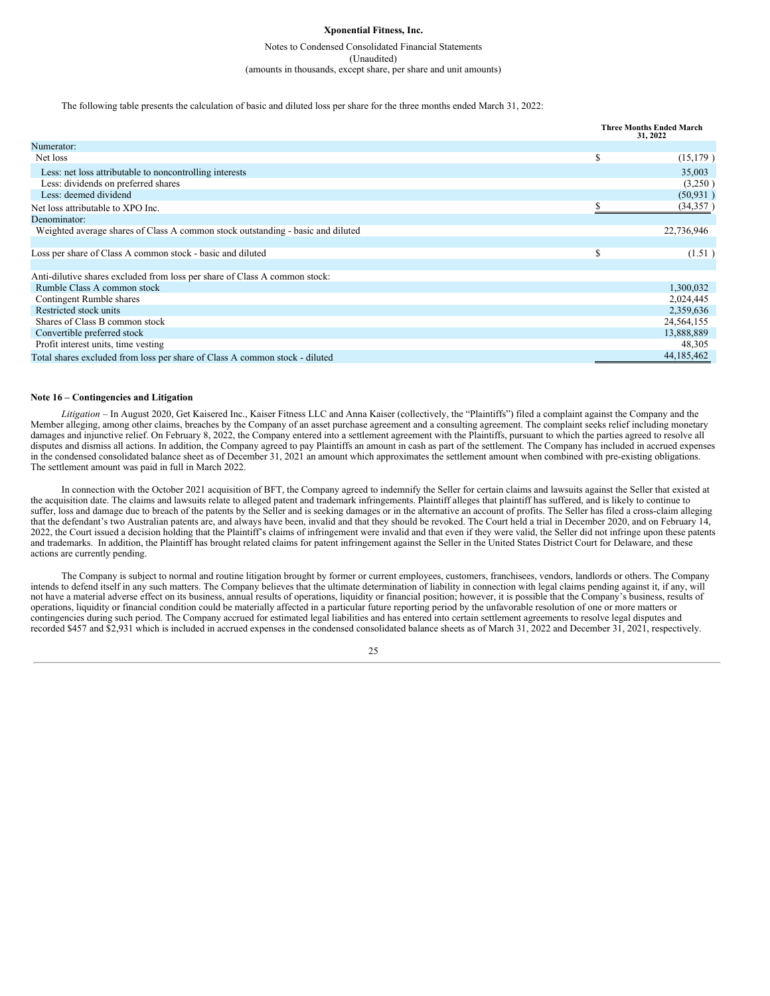### Notes to Condensed Consolidated Financial Statements (Unaudited)

(amounts in thousands, except share, per share and unit amounts)

The following table presents the calculation of basic and diluted loss per share for the three months ended March 31, 2022:

|                                                                                 |   | <b>Three Months Ended March</b><br>31, 2022 |
|---------------------------------------------------------------------------------|---|---------------------------------------------|
| Numerator:                                                                      |   |                                             |
| Net loss                                                                        | S | (15,179)                                    |
| Less: net loss attributable to noncontrolling interests                         |   | 35,003                                      |
| Less: dividends on preferred shares                                             |   | (3,250)                                     |
| Less: deemed dividend                                                           |   | (50, 931)                                   |
| Net loss attributable to XPO Inc.                                               |   | (34, 357)                                   |
| Denominator:                                                                    |   |                                             |
| Weighted average shares of Class A common stock outstanding - basic and diluted |   | 22,736,946                                  |
|                                                                                 |   |                                             |
| Loss per share of Class A common stock - basic and diluted                      | S | (1.51)                                      |
|                                                                                 |   |                                             |
| Anti-dilutive shares excluded from loss per share of Class A common stock:      |   |                                             |
| Rumble Class A common stock                                                     |   | 1,300,032                                   |
| Contingent Rumble shares                                                        |   | 2,024,445                                   |
| Restricted stock units                                                          |   | 2,359,636                                   |
| Shares of Class B common stock                                                  |   | 24,564,155                                  |
| Convertible preferred stock                                                     |   | 13,888,889                                  |
| Profit interest units, time vesting                                             |   | 48,305                                      |
| Total shares excluded from loss per share of Class A common stock - diluted     |   | 44, 185, 462                                |

#### **Note 16 – Contingencies and Litigation**

*Litigation* – In August 2020, Get Kaisered Inc., Kaiser Fitness LLC and Anna Kaiser (collectively, the "Plaintiffs") filed a complaint against the Company and the Member alleging, among other claims, breaches by the Company of an asset purchase agreement and a consulting agreement. The complaint seeks relief including monetary damages and injunctive relief. On February 8, 2022, the Company entered into a settlement agreement with the Plaintiffs, pursuant to which the parties agreed to resolve all disputes and dismiss all actions. In addition, the Company agreed to pay Plaintiffs an amount in cash as part of the settlement. The Company has included in accrued expenses in the condensed consolidated balance sheet as of December 31, 2021 an amount which approximates the settlement amount when combined with pre-existing obligations. The settlement amount was paid in full in March 2022.

In connection with the October 2021 acquisition of BFT, the Company agreed to indemnify the Seller for certain claims and lawsuits against the Seller that existed at the acquisition date. The claims and lawsuits relate to alleged patent and trademark infringements. Plaintiff alleges that plaintiff has suffered, and is likely to continue to suffer, loss and damage due to breach of the patents by the Seller and is seeking damages or in the alternative an account of profits. The Seller has filed a cross-claim alleging that the defendant's two Australian patents are, and always have been, invalid and that they should be revoked. The Court held a trial in December 2020, and on February 14, 2022, the Court issued a decision holding that the Plaintiff's claims of infringement were invalid and that even if they were valid, the Seller did not infringe upon these patents and trademarks. In addition, the Plaintiff has brought related claims for patent infringement against the Seller in the United States District Court for Delaware, and these actions are currently pending.

The Company is subject to normal and routine litigation brought by former or current employees, customers, franchisees, vendors, landlords or others. The Company intends to defend itself in any such matters. The Company believes that the ultimate determination of liability in connection with legal claims pending against it, if any, will not have a material adverse effect on its business, annual results of operations, liquidity or financial position; however, it is possible that the Company's business, results of operations, liquidity or financial condition could be materially affected in a particular future reporting period by the unfavorable resolution of one or more matters or contingencies during such period. The Company accrued for estimated legal liabilities and has entered into certain settlement agreements to resolve legal disputes and recorded \$457 and  $\S2.931$  which is included in accrued expenses in the condensed consolidated balance sheets as of March 31, 2022 and December 31, 2021, respectively.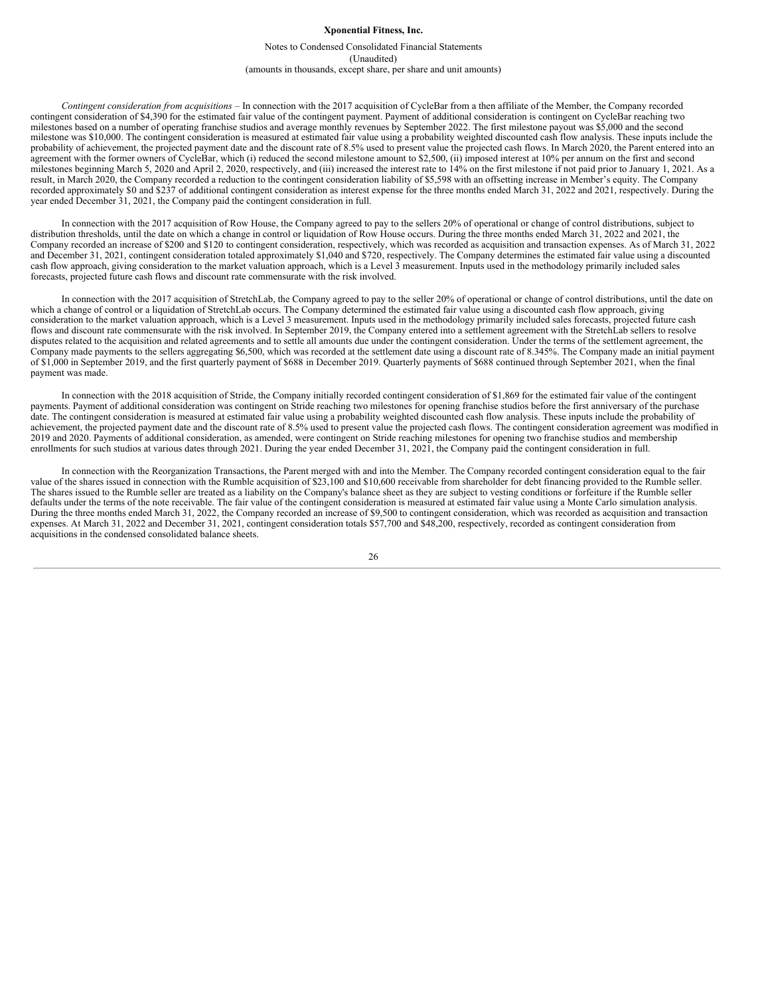Notes to Condensed Consolidated Financial Statements (Unaudited)

(amounts in thousands, except share, per share and unit amounts)

*Contingent consideration from acquisitions* – In connection with the 2017 acquisition of CycleBar from a then affiliate of the Member, the Company recorded contingent consideration of \$4,390 for the estimated fair value of the contingent payment. Payment of additional consideration is contingent on CycleBar reaching two milestones based on a number of operating franchise studios and average monthly revenues by September 2022. The first milestone payout was \$5,000 and the second milestone was \$10,000. The contingent consideration is measured at estimated fair value using a probability weighted discounted cash flow analysis. These inputs include the probability of achievement, the projected payment date and the discount rate of 8.5% used to present value the projected cash flows. In March 2020, the Parent entered into an agreement with the former owners of CycleBar, which (i) reduced the second milestone amount to \$2,500, (ii) imposed interest at 10% per annum on the first and second milestones beginning March 5, 2020 and April 2, 2020, respectively, and (iii) increased the interest rate to 14% on the first milestone if not paid prior to January 1, 2021. As a result, in March 2020, the Company recorded a reduction to the contingent consideration liability of \$5,598 with an offsetting increase in Member's equity. The Company recorded approximately \$0 and \$237 of additional contingent consideration as interest expense for the three months ended March 31, 2022 and 2021, respectively. During the year ended December 31, 2021, the Company paid the contingent consideration in full.

In connection with the 2017 acquisition of Row House, the Company agreed to pay to the sellers 20% of operational or change of control distributions, subject to distribution thresholds, until the date on which a change in control or liquidation of Row House occurs. During the three months ended March 31, 2022 and 2021, the Company recorded an increase of \$200 and \$120 to contingent consideration, respectively, which was recorded as acquisition and transaction expenses. As of March 31, 2022 and December 31, 2021, contingent consideration totaled approximately \$1,040 and \$720, respectively. The Company determines the estimated fair value using a discounted cash flow approach, giving consideration to the market valuation approach, which is a Level 3 measurement. Inputs used in the methodology primarily included sales forecasts, projected future cash flows and discount rate commensurate with the risk involved.

In connection with the 2017 acquisition of StretchLab, the Company agreed to pay to the seller 20% of operational or change of control distributions, until the date on which a change of control or a liquidation of StretchLab occurs. The Company determined the estimated fair value using a discounted cash flow approach, giving consideration to the market valuation approach, which is a Level 3 measurement. Inputs used in the methodology primarily included sales forecasts, projected future cash flows and discount rate commensurate with the risk involved. In September 2019, the Company entered into a settlement agreement with the StretchLab sellers to resolve disputes related to the acquisition and related agreements and to settle all amounts due under the contingent consideration. Under the terms of the settlement agreement, the Company made payments to the sellers aggregating \$6,500, which was recorded at the settlement date using a discount rate of 8.345%. The Company made an initial payment of \$1,000 in September 2019, and the first quarterly payment of \$688 in December 2019. Quarterly payments of \$688 continued through September 2021, when the final payment was made.

In connection with the 2018 acquisition of Stride, the Company initially recorded contingent consideration of \$1,869 for the estimated fair value of the contingent payments. Payment of additional consideration was contingent on Stride reaching two milestones for opening franchise studios before the first anniversary of the purchase date. The contingent consideration is measured at estimated fair value using a probability weighted discounted cash flow analysis. These inputs include the probability of achievement, the projected payment date and the discount rate of 8.5% used to present value the projected cash flows. The contingent consideration agreement was modified in 2019 and 2020. Payments of additional consideration, as amended, were contingent on Stride reaching milestones for opening two franchise studios and membership enrollments for such studios at various dates through 2021. During the year ended December 31, 2021, the Company paid the contingent consideration in full.

In connection with the Reorganization Transactions, the Parent merged with and into the Member. The Company recorded contingent consideration equal to the fair value of the shares issued in connection with the Rumble acquisition of \$23,100 and \$10,600 receivable from shareholder for debt financing provided to the Rumble seller. The shares issued to the Rumble seller are treated as a liability on the Company's balance sheet as they are subject to vesting conditions or forfeiture if the Rumble seller defaults under the terms of the note receivable. The fair value of the contingent consideration is measured at estimated fair value using a Monte Carlo simulation analysis. During the three months ended March 31, 2022, the Company recorded an increase of \$9,500 to contingent consideration, which was recorded as acquisition and transaction expenses. At March 31, 2022 and December 31, 2021, contingent consideration totals \$57,700 and \$48,200, respectively, recorded as contingent consideration from acquisitions in the condensed consolidated balance sheets.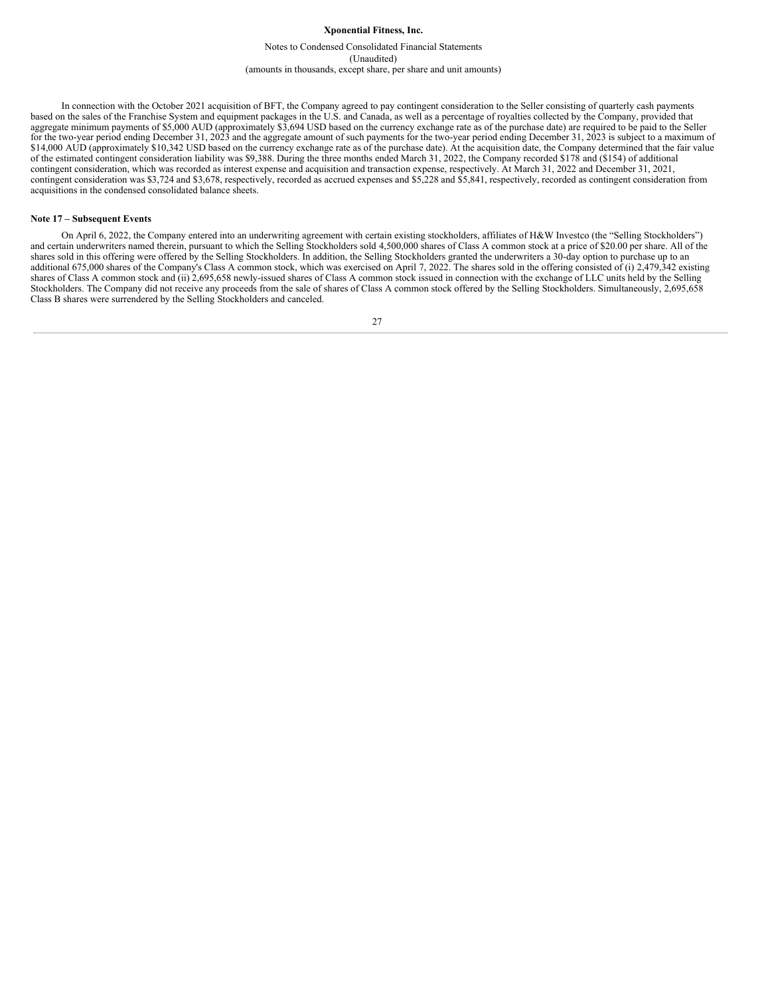Notes to Condensed Consolidated Financial Statements (Unaudited)

(amounts in thousands, except share, per share and unit amounts)

In connection with the October 2021 acquisition of BFT, the Company agreed to pay contingent consideration to the Seller consisting of quarterly cash payments based on the sales of the Franchise System and equipment packages in the U.S. and Canada, as well as a percentage of royalties collected by the Company, provided that aggregate minimum payments of \$5,000 AUD (approximately \$3,694 USD based on the currency exchange rate as of the purchase date) are required to be paid to the Seller for the two-year period ending December 31, 2023 and the aggregate amount of such payments for the two-year period ending December 31, 2023 is subject to a maximum of \$14,000 AUD (approximately \$10,342 USD based on the currency exchange rate as of the purchase date). At the acquisition date, the Company determined that the fair value of the estimated contingent consideration liability was \$9,388. During the three months ended March 31, 2022, the Company recorded \$178 and (\$154) of additional contingent consideration, which was recorded as interest expense and acquisition and transaction expense, respectively. At March 31, 2022 and December 31, 2021, contingent consideration was \$3,724 and \$3,678, respectively, recorded as accrued expenses and \$5,228 and \$5,841, respectively, recorded as contingent consideration from acquisitions in the condensed consolidated balance sheets.

### **Note 17 – Subsequent Events**

On April 6, 2022, the Company entered into an underwriting agreement with certain existing stockholders, affiliates of H&W Investco (the "Selling Stockholders") and certain underwriters named therein, pursuant to which the Selling Stockholders sold 4,500,000 shares of Class A common stock at a price of \$20.00 per share. All of the shares sold in this offering were offered by the Selling Stockholders. In addition, the Selling Stockholders granted the underwriters a 30-day option to purchase up to an additional 675,000 shares of the Company's Class A common stock, which was exercised on April 7, 2022. The shares sold in the offering consisted of (i) 2,479,342 existing shares of Class A common stock and (ii) 2,695,658 newly-issued shares of Class A common stock issued in connection with the exchange of LLC units held by the Selling Stockholders. The Company did not receive any proceeds from the sale of shares of Class A common stock offered by the Selling Stockholders. Simultaneously, 2,695,658 Class B shares were surrendered by the Selling Stockholders and canceled.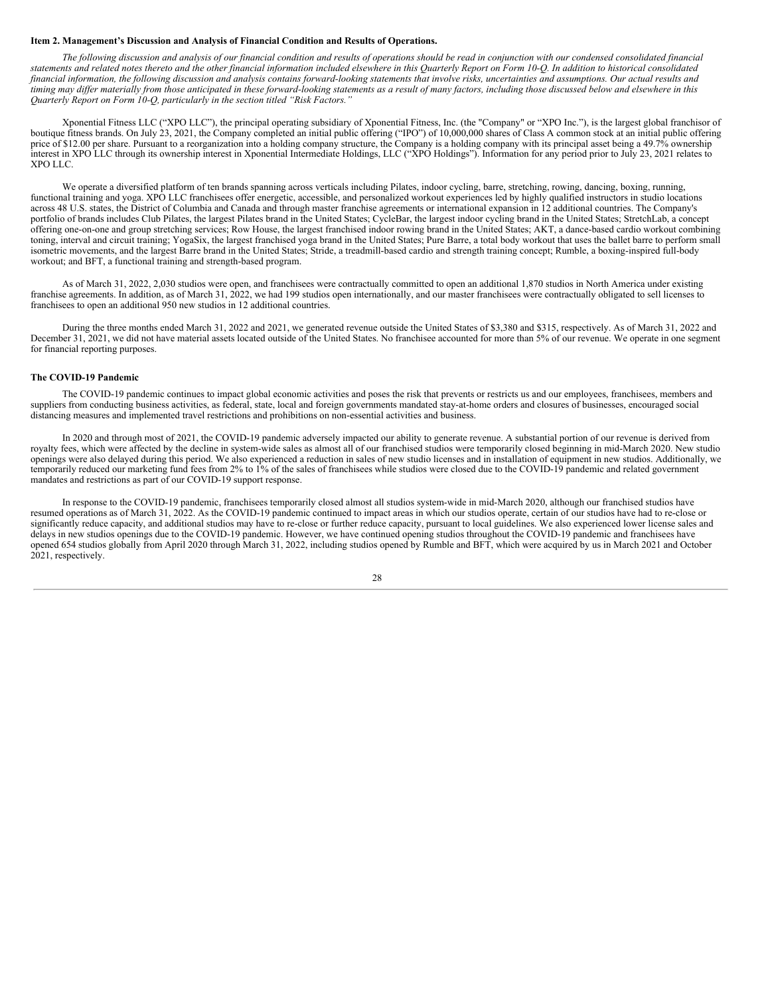#### <span id="page-29-0"></span>**Item 2. Management's Discussion and Analysis of Financial Condition and Results of Operations.**

The following discussion and analysis of our financial condition and results of operations should be read in conjunction with our condensed consolidated financial statements and related notes thereto and the other financial information included elsewhere in this Quarterly Report on Form 10-Q. In addition to historical consolidated financial information, the following discussion and analysis contains forward-looking statements that involve risks, uncertainties and assumptions. Our actual results and timing may differ materially from those anticipated in these forward-looking statements as a result of many factors, including those discussed below and elsewhere in this *Quarterly Report on Form 10-Q, particularly in the section titled "Risk Factors."*

Xponential Fitness LLC ("XPO LLC"), the principal operating subsidiary of Xponential Fitness, Inc. (the "Company" or "XPO Inc."), is the largest global franchisor of boutique fitness brands. On July 23, 2021, the Company completed an initial public offering ("IPO") of 10,000,000 shares of Class A common stock at an initial public offering price of \$12.00 per share. Pursuant to a reorganization into a holding company structure, the Company is a holding company with its principal asset being a 49.7% ownership interest in XPO LLC through its ownership interest in Xponential Intermediate Holdings, LLC ("XPO Holdings"). Information for any period prior to July 23, 2021 relates to XPO LLC.

We operate a diversified platform of ten brands spanning across verticals including Pilates, indoor cycling, barre, stretching, rowing, dancing, boxing, running, functional training and yoga. XPO LLC franchisees offer energetic, accessible, and personalized workout experiences led by highly qualified instructors in studio locations across 48 U.S. states, the District of Columbia and Canada and through master franchise agreements or international expansion in 12 additional countries. The Company's portfolio of brands includes Club Pilates, the largest Pilates brand in the United States; CycleBar, the largest indoor cycling brand in the United States; StretchLab, a concept offering one-on-one and group stretching services; Row House, the largest franchised indoor rowing brand in the United States; AKT, a dance-based cardio workout combining toning, interval and circuit training; YogaSix, the largest franchised yoga brand in the United States; Pure Barre, a total body workout that uses the ballet barre to perform small isometric movements, and the largest Barre brand in the United States; Stride, a treadmill-based cardio and strength training concept; Rumble, a boxing-inspired full-body workout; and BFT, a functional training and strength-based program.

As of March 31, 2022, 2,030 studios were open, and franchisees were contractually committed to open an additional 1,870 studios in North America under existing franchise agreements. In addition, as of March 31, 2022, we had 199 studios open internationally, and our master franchisees were contractually obligated to sell licenses to franchisees to open an additional 950 new studios in 12 additional countries.

During the three months ended March 31, 2022 and 2021, we generated revenue outside the United States of \$3,380 and \$315, respectively. As of March 31, 2022 and December 31, 2021, we did not have material assets located outside of the United States. No franchisee accounted for more than 5% of our revenue. We operate in one segment for financial reporting purposes.

#### **The COVID-19 Pandemic**

The COVID-19 pandemic continues to impact global economic activities and poses the risk that prevents or restricts us and our employees, franchisees, members and suppliers from conducting business activities, as federal, state, local and foreign governments mandated stay-at-home orders and closures of businesses, encouraged social distancing measures and implemented travel restrictions and prohibitions on non-essential activities and business.

In 2020 and through most of 2021, the COVID-19 pandemic adversely impacted our ability to generate revenue. A substantial portion of our revenue is derived from royalty fees, which were affected by the decline in system-wide sales as almost all of our franchised studios were temporarily closed beginning in mid-March 2020. New studio openings were also delayed during this period. We also experienced a reduction in sales of new studio licenses and in installation of equipment in new studios. Additionally, we temporarily reduced our marketing fund fees from 2% to 1% of the sales of franchisees while studios were closed due to the COVID-19 pandemic and related government mandates and restrictions as part of our COVID-19 support response.

In response to the COVID-19 pandemic, franchisees temporarily closed almost all studios system-wide in mid-March 2020, although our franchised studios have resumed operations as of March 31, 2022. As the COVID-19 pandemic continued to impact areas in which our studios operate, certain of our studios have had to re-close or significantly reduce capacity, and additional studios may have to re-close or further reduce capacity, pursuant to local guidelines. We also experienced lower license sales and delays in new studios openings due to the COVID-19 pandemic. However, we have continued opening studios throughout the COVID-19 pandemic and franchisees have opened 654 studios globally from April 2020 through March 31, 2022, including studios opened by Rumble and BFT, which were acquired by us in March 2021 and October 2021, respectively.

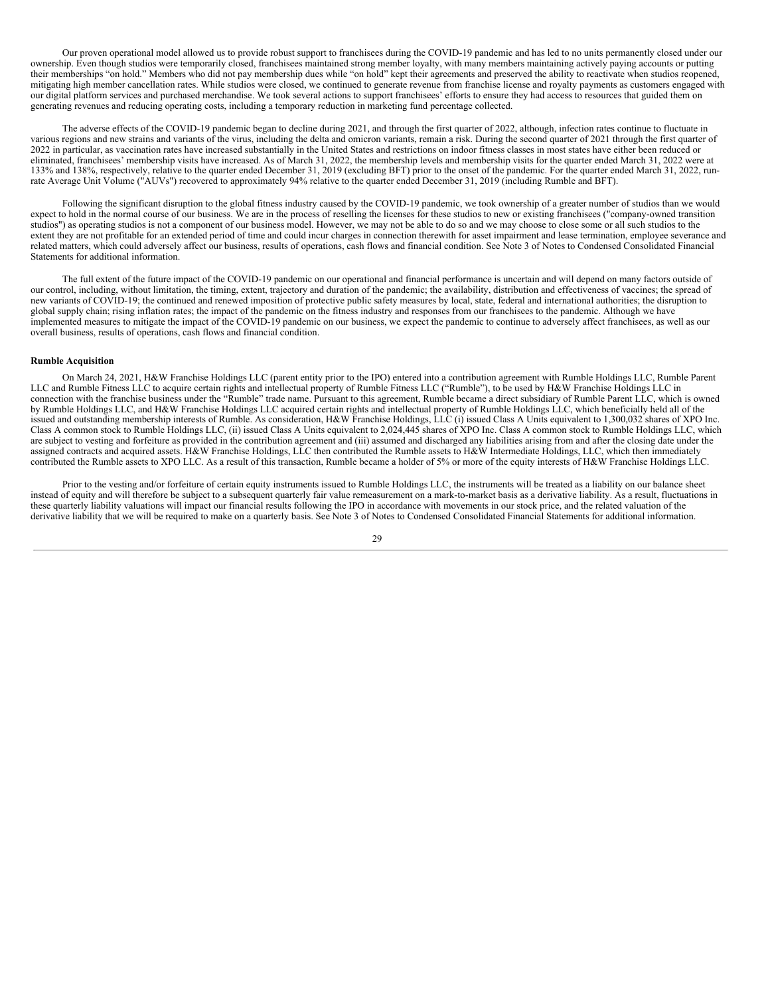Our proven operational model allowed us to provide robust support to franchisees during the COVID-19 pandemic and has led to no units permanently closed under our ownership. Even though studios were temporarily closed, franchisees maintained strong member loyalty, with many members maintaining actively paying accounts or putting their memberships "on hold." Members who did not pay membership dues while "on hold" kept their agreements and preserved the ability to reactivate when studios reopened, mitigating high member cancellation rates. While studios were closed, we continued to generate revenue from franchise license and royalty payments as customers engaged with our digital platform services and purchased merchandise. We took several actions to support franchisees' efforts to ensure they had access to resources that guided them on generating revenues and reducing operating costs, including a temporary reduction in marketing fund percentage collected.

The adverse effects of the COVID-19 pandemic began to decline during 2021, and through the first quarter of 2022, although, infection rates continue to fluctuate in various regions and new strains and variants of the virus, including the delta and omicron variants, remain a risk. During the second quarter of 2021 through the first quarter of 2022 in particular, as vaccination rates have increased substantially in the United States and restrictions on indoor fitness classes in most states have either been reduced or eliminated, franchisees' membership visits have increased. As of March 31, 2022, the membership levels and membership visits for the quarter ended March 31, 2022 were at 133% and 138%, respectively, relative to the quarter ended December 31, 2019 (excluding BFT) prior to the onset of the pandemic. For the quarter ended March 31, 2022, runrate Average Unit Volume ("AUVs") recovered to approximately 94% relative to the quarter ended December 31, 2019 (including Rumble and BFT).

Following the significant disruption to the global fitness industry caused by the COVID-19 pandemic, we took ownership of a greater number of studios than we would expect to hold in the normal course of our business. We are in the process of reselling the licenses for these studios to new or existing franchisees ("company-owned transition studios") as operating studios is not a component of our business model. However, we may not be able to do so and we may choose to close some or all such studios to the extent they are not profitable for an extended period of time and could incur charges in connection therewith for asset impairment and lease termination, employee severance and related matters, which could adversely affect our business, results of operations, cash flows and financial condition. See Note 3 of Notes to Condensed Consolidated Financial Statements for additional information.

The full extent of the future impact of the COVID-19 pandemic on our operational and financial performance is uncertain and will depend on many factors outside of our control, including, without limitation, the timing, extent, trajectory and duration of the pandemic; the availability, distribution and effectiveness of vaccines; the spread of new variants of COVID-19; the continued and renewed imposition of protective public safety measures by local, state, federal and international authorities; the disruption to global supply chain; rising inflation rates; the impact of the pandemic on the fitness industry and responses from our franchisees to the pandemic. Although we have implemented measures to mitigate the impact of the COVID-19 pandemic on our business, we expect the pandemic to continue to adversely affect franchisees, as well as our overall business, results of operations, cash flows and financial condition.

#### **Rumble Acquisition**

On March 24, 2021, H&W Franchise Holdings LLC (parent entity prior to the IPO) entered into a contribution agreement with Rumble Holdings LLC, Rumble Parent LLC and Rumble Fitness LLC to acquire certain rights and intellectual property of Rumble Fitness LLC ("Rumble"), to be used by H&W Franchise Holdings LLC in connection with the franchise business under the "Rumble" trade name. Pursuant to this agreement, Rumble became a direct subsidiary of Rumble Parent LLC, which is owned by Rumble Holdings LLC, and H&W Franchise Holdings LLC acquired certain rights and intellectual property of Rumble Holdings LLC, which beneficially held all of the issued and outstanding membership interests of Rumble. As consideration, H&W Franchise Holdings, LLC (i) issued Class A Units equivalent to 1,300,032 shares of XPO Inc. Class A common stock to Rumble Holdings LLC, (ii) issued Class A Units equivalent to 2,024,445 shares of XPO Inc. Class A common stock to Rumble Holdings LLC, which are subject to vesting and forfeiture as provided in the contribution agreement and (iii) assumed and discharged any liabilities arising from and after the closing date under the assigned contracts and acquired assets. H&W Franchise Holdings, LLC then contributed the Rumble assets to H&W Intermediate Holdings, LLC, which then immediately contributed the Rumble assets to XPO LLC. As a result of this transaction, Rumble became a holder of 5% or more of the equity interests of H&W Franchise Holdings LLC.

Prior to the vesting and/or forfeiture of certain equity instruments issued to Rumble Holdings LLC, the instruments will be treated as a liability on our balance sheet instead of equity and will therefore be subject to a subsequent quarterly fair value remeasurement on a mark-to-market basis as a derivative liability. As a result, fluctuations in these quarterly liability valuations will impact our financial results following the IPO in accordance with movements in our stock price, and the related valuation of the derivative liability that we will be required to make on a quarterly basis. See Note 3 of Notes to Condensed Consolidated Financial Statements for additional information.

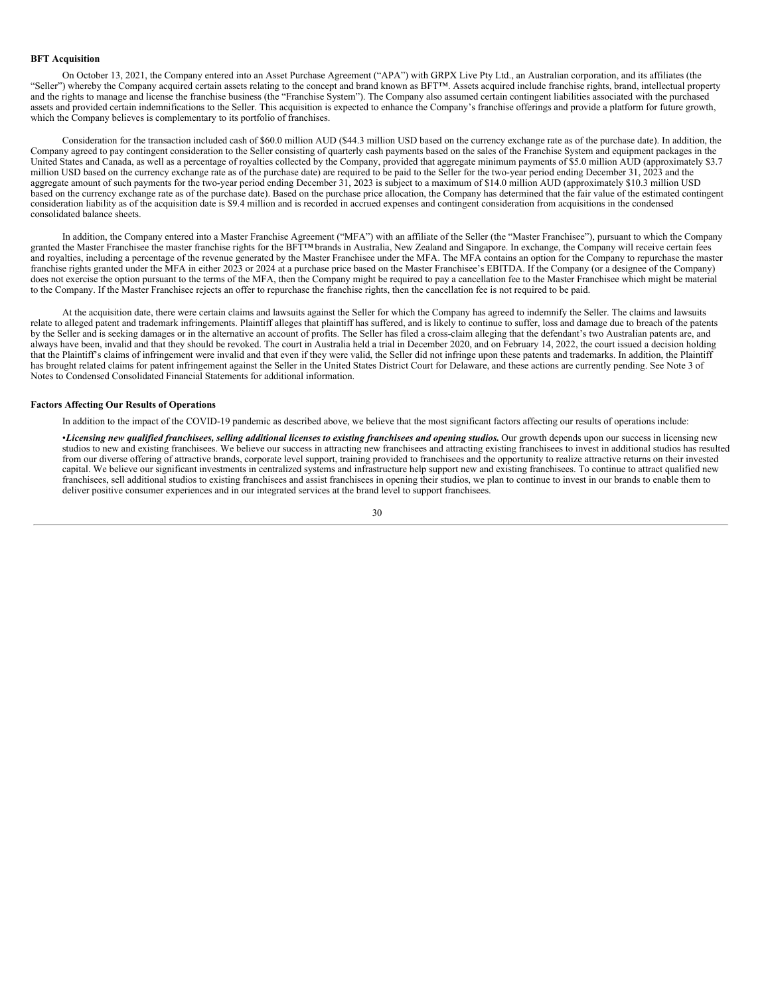#### **BFT Acquisition**

On October 13, 2021, the Company entered into an Asset Purchase Agreement ("APA") with GRPX Live Pty Ltd., an Australian corporation, and its affiliates (the "Seller") whereby the Company acquired certain assets relating to the concept and brand known as BFT™. Assets acquired include franchise rights, brand, intellectual property and the rights to manage and license the franchise business (the "Franchise System"). The Company also assumed certain contingent liabilities associated with the purchased assets and provided certain indemnifications to the Seller. This acquisition is expected to enhance the Company's franchise offerings and provide a platform for future growth, which the Company believes is complementary to its portfolio of franchises.

Consideration for the transaction included cash of \$60.0 million AUD (\$44.3 million USD based on the currency exchange rate as of the purchase date). In addition, the Company agreed to pay contingent consideration to the Seller consisting of quarterly cash payments based on the sales of the Franchise System and equipment packages in the United States and Canada, as well as a percentage of royalties collected by the Company, provided that aggregate minimum payments of \$5.0 million AUD (approximately \$3.7 million USD based on the currency exchange rate as of the purchase date) are required to be paid to the Seller for the two-year period ending December 31, 2023 and the aggregate amount of such payments for the two-year period ending December 31, 2023 is subject to a maximum of \$14.0 million AUD (approximately \$10.3 million USD based on the currency exchange rate as of the purchase date). Based on the purchase price allocation, the Company has determined that the fair value of the estimated contingent consideration liability as of the acquisition date is \$9.4 million and is recorded in accrued expenses and contingent consideration from acquisitions in the condensed consolidated balance sheets.

In addition, the Company entered into a Master Franchise Agreement ("MFA") with an affiliate of the Seller (the "Master Franchisee"), pursuant to which the Company granted the Master Franchisee the master franchise rights for the BFT™ brands in Australia, New Zealand and Singapore. In exchange, the Company will receive certain fees and royalties, including a percentage of the revenue generated by the Master Franchisee under the MFA. The MFA contains an option for the Company to repurchase the master franchise rights granted under the MFA in either 2023 or 2024 at a purchase price based on the Master Franchisee's EBITDA. If the Company (or a designee of the Company) does not exercise the option pursuant to the terms of the MFA, then the Company might be required to pay a cancellation fee to the Master Franchisee which might be material to the Company. If the Master Franchisee rejects an offer to repurchase the franchise rights, then the cancellation fee is not required to be paid.

At the acquisition date, there were certain claims and lawsuits against the Seller for which the Company has agreed to indemnify the Seller. The claims and lawsuits relate to alleged patent and trademark infringements. Plaintiff alleges that plaintiff has suffered, and is likely to continue to suffer, loss and damage due to breach of the patents by the Seller and is seeking damages or in the alternative an account of profits. The Seller has filed a cross-claim alleging that the defendant's two Australian patents are, and always have been, invalid and that they should be revoked. The court in Australia held a trial in December 2020, and on February 14, 2022, the court issued a decision holding that the Plaintiff's claims of infringement were invalid and that even if they were valid, the Seller did not infringe upon these patents and trademarks. In addition, the Plaintiff has brought related claims for patent infringement against the Seller in the United States District Court for Delaware, and these actions are currently pending. See Note 3 of Notes to Condensed Consolidated Financial Statements for additional information.

#### **Factors Affecting Our Results of Operations**

In addition to the impact of the COVID-19 pandemic as described above, we believe that the most significant factors affecting our results of operations include:

*•Licensing new qualified franchisees, selling additional licenses to existing franchisees and opening studios.* Our growth depends upon our success in licensing new studios to new and existing franchisees. We believe our success in attracting new franchisees and attracting existing franchisees to invest in additional studios has resulted from our diverse offering of attractive brands, corporate level support, training provided to franchisees and the opportunity to realize attractive returns on their invested capital. We believe our significant investments in centralized systems and infrastructure help support new and existing franchisees. To continue to attract qualified new franchisees, sell additional studios to existing franchisees and assist franchisees in opening their studios, we plan to continue to invest in our brands to enable them to deliver positive consumer experiences and in our integrated services at the brand level to support franchisees.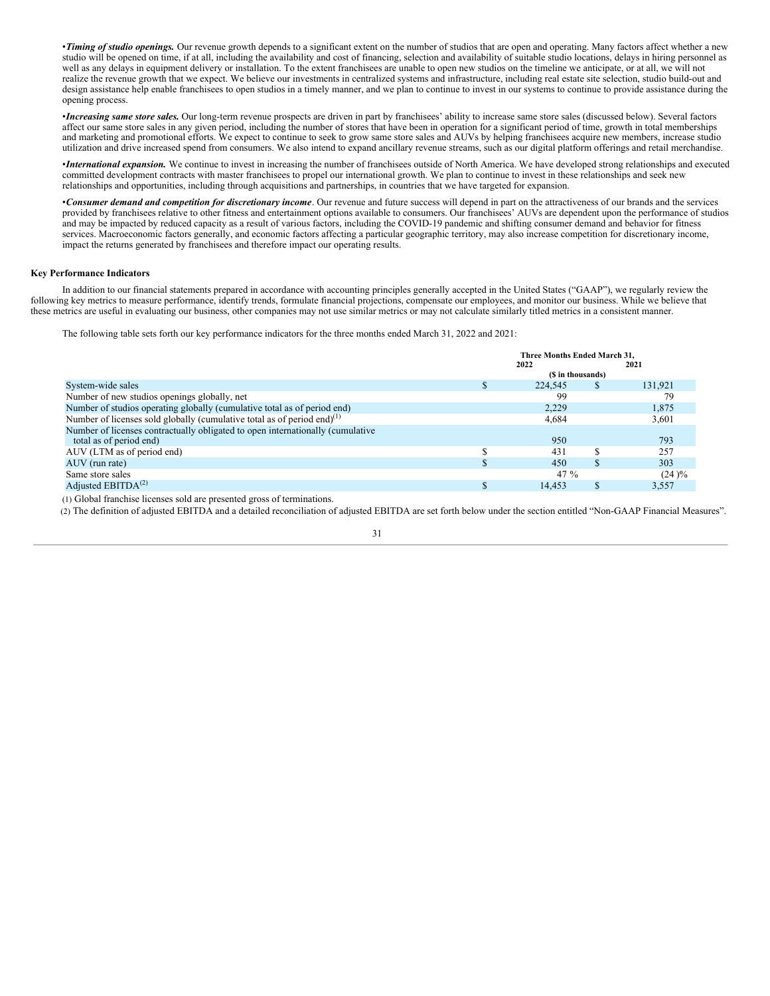•*Timing of studio openings.* Our revenue growth depends to a significant extent on the number of studios that are open and operating. Many factors affect whether a new studio will be opened on time, if at all, including the availability and cost of financing, selection and availability of suitable studio locations, delays in hiring personnel as well as any delays in equipment delivery or installation. To the extent franchisees are unable to open new studios on the timeline we anticipate, or at all, we will not realize the revenue growth that we expect. We believe our investments in centralized systems and infrastructure, including real estate site selection, studio build-out and design assistance help enable franchisees to open studios in a timely manner, and we plan to continue to invest in our systems to continue to provide assistance during the opening process.

•*Increasing same store sales.* Our long-term revenue prospects are driven in part by franchisees' ability to increase same store sales (discussed below). Several factors affect our same store sales in any given period, including the number of stores that have been in operation for a significant period of time, growth in total memberships and marketing and promotional efforts. We expect to continue to seek to grow same store sales and AUVs by helping franchisees acquire new members, increase studio utilization and drive increased spend from consumers. We also intend to expand ancillary revenue streams, such as our digital platform offerings and retail merchandise.

•*International expansion.* We continue to invest in increasing the number of franchisees outside of North America. We have developed strong relationships and executed committed development contracts with master franchisees to propel our international growth. We plan to continue to invest in these relationships and seek new relationships and opportunities, including through acquisitions and partnerships, in countries that we have targeted for expansion.

•*Consumer demand and competition for discretionary income*. Our revenue and future success will depend in part on the attractiveness of our brands and the services provided by franchisees relative to other fitness and entertainment options available to consumers. Our franchisees' AUVs are dependent upon the performance of studios and may be impacted by reduced capacity as a result of various factors, including the COVID-19 pandemic and shifting consumer demand and behavior for fitness services. Macroeconomic factors generally, and economic factors affecting a particular geographic territory, may also increase competition for discretionary income, impact the returns generated by franchisees and therefore impact our operating results.

#### **Key Performance Indicators**

In addition to our financial statements prepared in accordance with accounting principles generally accepted in the United States ("GAAP"), we regularly review the following key metrics to measure performance, identify trends, formulate financial projections, compensate our employees, and monitor our business. While we believe that these metrics are useful in evaluating our business, other companies may not use similar metrics or may not calculate similarly titled metrics in a consistent manner.

The following table sets forth our key performance indicators for the three months ended March 31, 2022 and 2021:

|                                                                                                           | Three Months Ended March 31. |                          |          |         |  |
|-----------------------------------------------------------------------------------------------------------|------------------------------|--------------------------|----------|---------|--|
|                                                                                                           |                              | 2022<br>(S in thousands) |          | 2021    |  |
| System-wide sales                                                                                         |                              | 224,545                  | D.       | 131,921 |  |
| Number of new studios openings globally, net                                                              |                              | 99                       |          | 79      |  |
| Number of studios operating globally (cumulative total as of period end)                                  |                              | 2.229                    |          | 1,875   |  |
| Number of licenses sold globally (cumulative total as of period end) $(1)$                                |                              | 4,684                    |          | 3,601   |  |
| Number of licenses contractually obligated to open internationally (cumulative<br>total as of period end) |                              | 950                      |          | 793     |  |
| AUV (LTM as of period end)                                                                                |                              | 431                      |          | 257     |  |
| AUV (run rate)                                                                                            |                              | 450                      | <b>J</b> | 303     |  |
| Same store sales                                                                                          |                              | 47 $%$                   |          | (24)%   |  |
| Adjusted EBITD $A^{(2)}$                                                                                  |                              | 14.453                   |          | 3.557   |  |

(1) Global franchise licenses sold are presented gross of terminations.

(2) The definition of adjusted EBITDA and a detailed reconciliation of adjusted EBITDA are set forth below under the section entitled "Non-GAAP Financial Measures".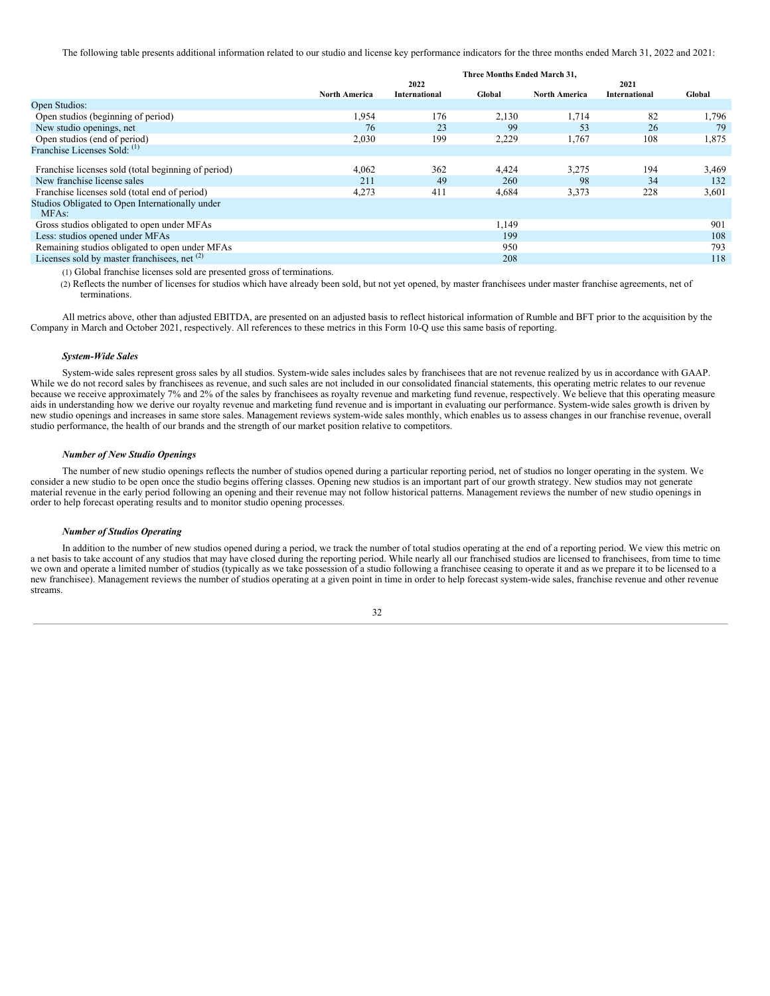The following table presents additional information related to our studio and license key performance indicators for the three months ended March 31, 2022 and 2021:

|                                                                       | Three Months Ended March 31. |                      |        |                      |               |        |  |
|-----------------------------------------------------------------------|------------------------------|----------------------|--------|----------------------|---------------|--------|--|
|                                                                       |                              | 2022                 |        |                      | 2021          |        |  |
|                                                                       | <b>North America</b>         | <b>International</b> | Global | <b>North America</b> | International | Global |  |
| Open Studios:                                                         |                              |                      |        |                      |               |        |  |
| Open studios (beginning of period)                                    | 1,954                        | 176                  | 2,130  | 1,714                | 82            | 1,796  |  |
| New studio openings, net                                              | 76                           | 23                   | 99     | 53                   | 26            | 79     |  |
| Open studios (end of period)                                          | 2,030                        | 199                  | 2,229  | 1,767                | 108           | 1,875  |  |
| Franchise Licenses Sold: (1)                                          |                              |                      |        |                      |               |        |  |
| Franchise licenses sold (total beginning of period)                   | 4,062                        | 362                  | 4,424  | 3,275                | 194           | 3,469  |  |
| New franchise license sales                                           | 211                          | 49                   | 260    | 98                   | 34            | 132    |  |
| Franchise licenses sold (total end of period)                         | 4,273                        | 411                  | 4,684  | 3,373                | 228           | 3,601  |  |
| Studios Obligated to Open Internationally under<br>MFA <sub>s</sub> : |                              |                      |        |                      |               |        |  |
| Gross studios obligated to open under MFAs                            |                              |                      | 1,149  |                      |               | 901    |  |
| Less: studios opened under MFAs                                       |                              |                      | 199    |                      |               | 108    |  |
| Remaining studios obligated to open under MFAs                        |                              |                      | 950    |                      |               | 793    |  |
| Licenses sold by master franchisees, net $(2)$                        |                              |                      | 208    |                      |               | 118    |  |

(1) Global franchise licenses sold are presented gross of terminations.

(2) Reflects the number of licenses for studios which have already been sold, but not yet opened, by master franchisees under master franchise agreements, net of terminations.

All metrics above, other than adjusted EBITDA, are presented on an adjusted basis to reflect historical information of Rumble and BFT prior to the acquisition by the Company in March and October 2021, respectively. All references to these metrics in this Form 10-Q use this same basis of reporting.

#### *System-Wide Sales*

System-wide sales represent gross sales by all studios. System-wide sales includes sales by franchisees that are not revenue realized by us in accordance with GAAP. While we do not record sales by franchisees as revenue, and such sales are not included in our consolidated financial statements, this operating metric relates to our revenue because we receive approximately 7% and 2% of the sales by franchisees as royalty revenue and marketing fund revenue, respectively. We believe that this operating measure aids in understanding how we derive our royalty revenue and marketing fund revenue and is important in evaluating our performance. System-wide sales growth is driven by new studio openings and increases in same store sales. Management reviews system-wide sales monthly, which enables us to assess changes in our franchise revenue, overall studio performance, the health of our brands and the strength of our market position relative to competitors.

### *Number of New Studio Openings*

The number of new studio openings reflects the number of studios opened during a particular reporting period, net of studios no longer operating in the system. We consider a new studio to be open once the studio begins offering classes. Opening new studios is an important part of our growth strategy. New studios may not generate material revenue in the early period following an opening and their revenue may not follow historical patterns. Management reviews the number of new studio openings in order to help forecast operating results and to monitor studio opening processes.

### *Number of Studios Operating*

In addition to the number of new studios opened during a period, we track the number of total studios operating at the end of a reporting period. We view this metric on a net basis to take account of any studios that may have closed during the reporting period. While nearly all our franchised studios are licensed to franchisees, from time to time we own and operate a limited number of studios (typically as we take possession of a studio following a franchisee ceasing to operate it and as we prepare it to be licensed to a new franchisee). Management reviews the number of studios operating at a given point in time in order to help forecast system-wide sales, franchise revenue and other revenue streams.

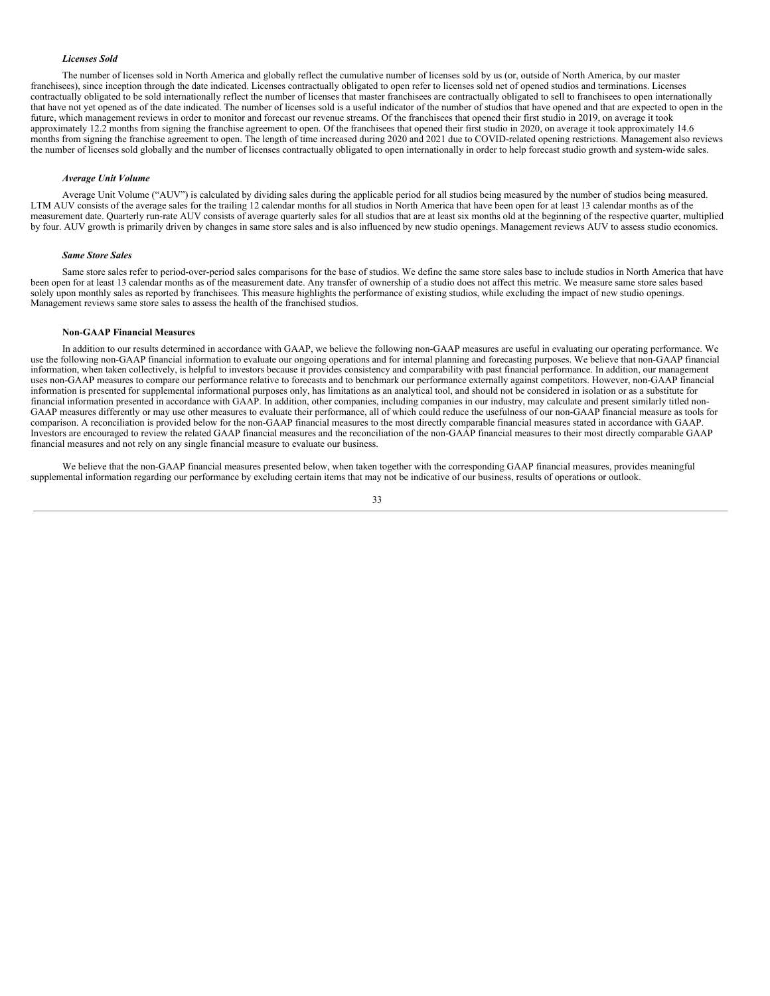#### *Licenses Sold*

The number of licenses sold in North America and globally reflect the cumulative number of licenses sold by us (or, outside of North America, by our master franchisees), since inception through the date indicated. Licenses contractually obligated to open refer to licenses sold net of opened studios and terminations. Licenses contractually obligated to be sold internationally reflect the number of licenses that master franchisees are contractually obligated to sell to franchisees to open internationally that have not yet opened as of the date indicated. The number of licenses sold is a useful indicator of the number of studios that have opened and that are expected to open in the future, which management reviews in order to monitor and forecast our revenue streams. Of the franchisees that opened their first studio in 2019, on average it took approximately 12.2 months from signing the franchise agreement to open. Of the franchisees that opened their first studio in 2020, on average it took approximately 14.6 months from signing the franchise agreement to open. The length of time increased during 2020 and 2021 due to COVID-related opening restrictions. Management also reviews the number of licenses sold globally and the number of licenses contractually obligated to open internationally in order to help forecast studio growth and system-wide sales.

#### *Average Unit Volume*

Average Unit Volume ("AUV") is calculated by dividing sales during the applicable period for all studios being measured by the number of studios being measured. LTM AUV consists of the average sales for the trailing 12 calendar months for all studios in North America that have been open for at least 13 calendar months as of the measurement date. Quarterly run-rate AUV consists of average quarterly sales for all studios that are at least six months old at the beginning of the respective quarter, multiplied by four. AUV growth is primarily driven by changes in same store sales and is also influenced by new studio openings. Management reviews AUV to assess studio economics.

#### *Same Store Sales*

Same store sales refer to period-over-period sales comparisons for the base of studios. We define the same store sales base to include studios in North America that have been open for at least 13 calendar months as of the measurement date. Any transfer of ownership of a studio does not affect this metric. We measure same store sales based solely upon monthly sales as reported by franchisees. This measure highlights the performance of existing studios, while excluding the impact of new studio openings. Management reviews same store sales to assess the health of the franchised studios.

#### **Non-GAAP Financial Measures**

In addition to our results determined in accordance with GAAP, we believe the following non-GAAP measures are useful in evaluating our operating performance. We use the following non-GAAP financial information to evaluate our ongoing operations and for internal planning and forecasting purposes. We believe that non-GAAP financial information, when taken collectively, is helpful to investors because it provides consistency and comparability with past financial performance. In addition, our management uses non-GAAP measures to compare our performance relative to forecasts and to benchmark our performance externally against competitors. However, non-GAAP financial information is presented for supplemental informational purposes only, has limitations as an analytical tool, and should not be considered in isolation or as a substitute for financial information presented in accordance with GAAP. In addition, other companies, including companies in our industry, may calculate and present similarly titled non-GAAP measures differently or may use other measures to evaluate their performance, all of which could reduce the usefulness of our non-GAAP financial measure as tools for comparison. A reconciliation is provided below for the non-GAAP financial measures to the most directly comparable financial measures stated in accordance with GAAP. Investors are encouraged to review the related GAAP financial measures and the reconciliation of the non-GAAP financial measures to their most directly comparable GAAP financial measures and not rely on any single financial measure to evaluate our business.

We believe that the non-GAAP financial measures presented below, when taken together with the corresponding GAAP financial measures, provides meaningful supplemental information regarding our performance by excluding certain items that may not be indicative of our business, results of operations or outlook.

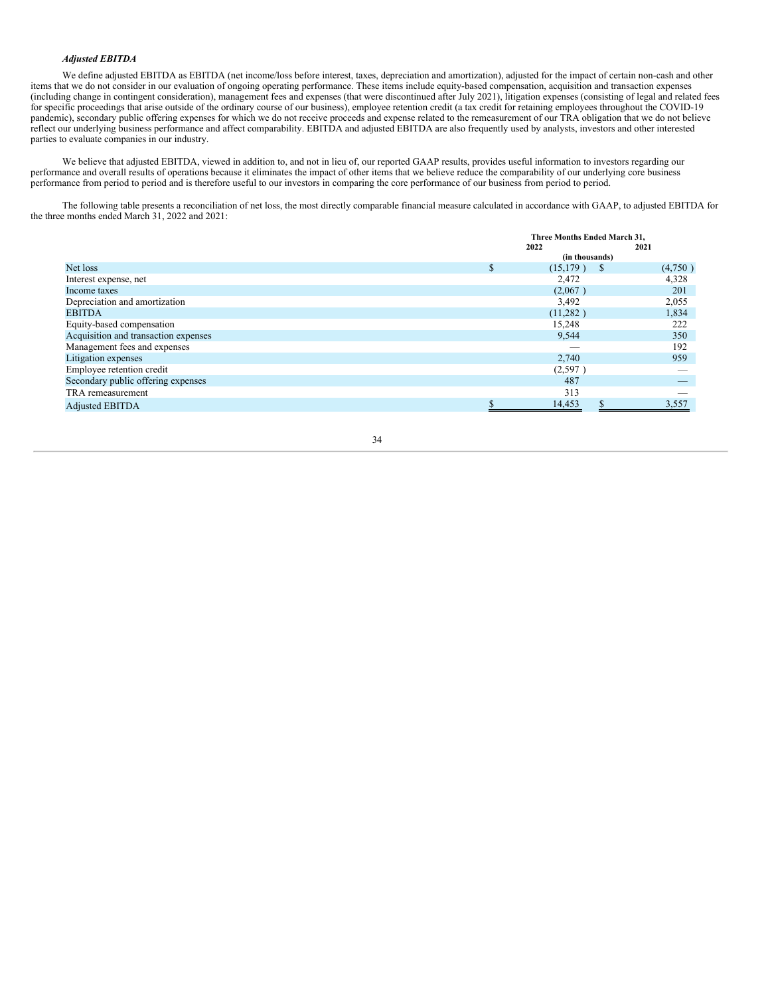### *Adjusted EBITDA*

We define adjusted EBITDA as EBITDA (net income/loss before interest, taxes, depreciation and amortization), adjusted for the impact of certain non-cash and other items that we do not consider in our evaluation of ongoing operating performance. These items include equity-based compensation, acquisition and transaction expenses (including change in contingent consideration), management fees and expenses (that were discontinued after July 2021), litigation expenses (consisting of legal and related fees for specific proceedings that arise outside of the ordinary course of our business), employee retention credit (a tax credit for retaining employees throughout the COVID-19 pandemic), secondary public offering expenses for which we do not receive proceeds and expense related to the remeasurement of our TRA obligation that we do not believe reflect our underlying business performance and affect comparability. EBITDA and adjusted EBITDA are also frequently used by analysts, investors and other interested parties to evaluate companies in our industry.

We believe that adjusted EBITDA, viewed in addition to, and not in lieu of, our reported GAAP results, provides useful information to investors regarding our performance and overall results of operations because it eliminates the impact of other items that we believe reduce the comparability of our underlying core business performance from period to period and is therefore useful to our investors in comparing the core performance of our business from period to period.

The following table presents a reconciliation of net loss, the most directly comparable financial measure calculated in accordance with GAAP, to adjusted EBITDA for the three months ended March 31, 2022 and 2021:

|                                      | Three Months Ended March 31, |     |         |  |
|--------------------------------------|------------------------------|-----|---------|--|
|                                      | 2022                         |     | 2021    |  |
|                                      | (in thousands)               |     |         |  |
| Net loss                             | \$<br>(15, 179)              | - S | (4,750) |  |
| Interest expense, net                | 2,472                        |     | 4,328   |  |
| Income taxes                         | (2,067)                      |     | 201     |  |
| Depreciation and amortization        | 3,492                        |     | 2,055   |  |
| <b>EBITDA</b>                        | (11,282)                     |     | 1,834   |  |
| Equity-based compensation            | 15,248                       |     | 222     |  |
| Acquisition and transaction expenses | 9,544                        |     | 350     |  |
| Management fees and expenses         |                              |     | 192     |  |
| Litigation expenses                  | 2,740                        |     | 959     |  |
| Employee retention credit            | (2,597)                      |     |         |  |
| Secondary public offering expenses   | 487                          |     |         |  |
| TRA remeasurement                    | 313                          |     |         |  |
| <b>Adjusted EBITDA</b>               | 14,453                       |     | 3,557   |  |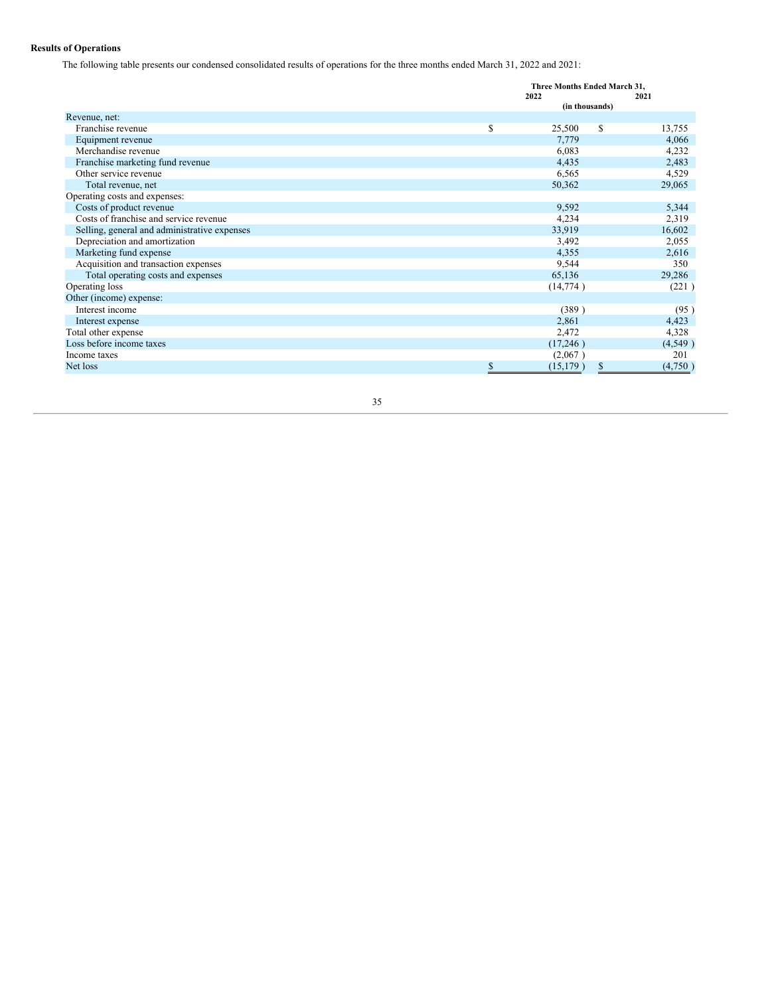# **Results of Operations**

The following table presents our condensed consolidated results of operations for the three months ended March 31, 2022 and 2021:

|                                              | Three Months Ended March 31.<br>2022<br>2021 |         |  |  |
|----------------------------------------------|----------------------------------------------|---------|--|--|
|                                              | (in thousands)                               |         |  |  |
| Revenue, net:                                |                                              |         |  |  |
| Franchise revenue                            | \$<br>\$<br>25,500                           | 13,755  |  |  |
| Equipment revenue                            | 7,779                                        | 4,066   |  |  |
| Merchandise revenue                          | 6,083                                        | 4,232   |  |  |
| Franchise marketing fund revenue             | 4,435                                        | 2,483   |  |  |
| Other service revenue                        | 6,565                                        | 4,529   |  |  |
| Total revenue, net                           | 50,362                                       | 29,065  |  |  |
| Operating costs and expenses:                |                                              |         |  |  |
| Costs of product revenue                     | 9,592                                        | 5,344   |  |  |
| Costs of franchise and service revenue       | 4,234                                        | 2,319   |  |  |
| Selling, general and administrative expenses | 33,919                                       | 16,602  |  |  |
| Depreciation and amortization                | 3,492                                        | 2,055   |  |  |
| Marketing fund expense                       | 4,355                                        | 2,616   |  |  |
| Acquisition and transaction expenses         | 9,544                                        | 350     |  |  |
| Total operating costs and expenses           | 65,136                                       | 29,286  |  |  |
| Operating loss                               | (14,774)                                     | (221)   |  |  |
| Other (income) expense:                      |                                              |         |  |  |
| Interest income                              | (389)                                        | (95)    |  |  |
| Interest expense                             | 2,861                                        | 4,423   |  |  |
| Total other expense                          | 2,472                                        | 4,328   |  |  |
| Loss before income taxes                     | (17,246)                                     | (4,549) |  |  |
| Income taxes                                 | (2,067)                                      | 201     |  |  |
| Net loss                                     | \$<br>\$<br>(15, 179)                        | (4,750) |  |  |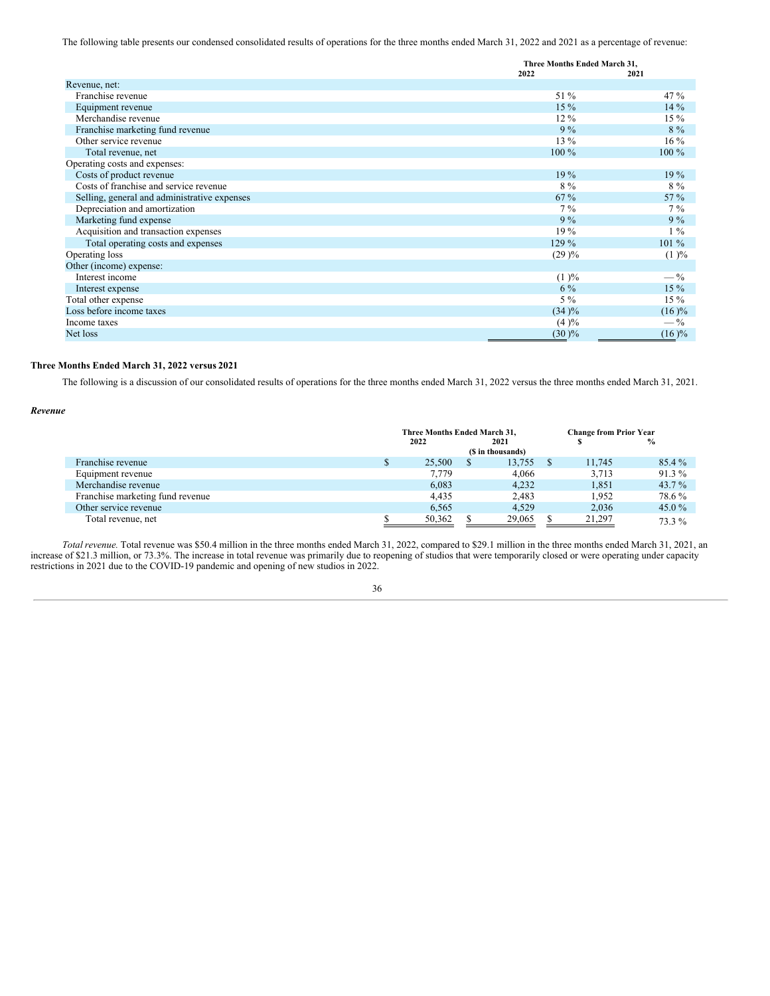The following table presents our condensed consolidated results of operations for the three months ended March 31, 2022 and 2021 as a percentage of revenue:

|                                              | Three Months Ended March 31, |                |
|----------------------------------------------|------------------------------|----------------|
|                                              | 2022                         | 2021           |
| Revenue, net:                                |                              |                |
| Franchise revenue                            | 51 %                         | $47\%$         |
| Equipment revenue                            | $15\%$                       | $14\%$         |
| Merchandise revenue                          | $12\%$                       | $15\%$         |
| Franchise marketing fund revenue             | 9%                           | 8 %            |
| Other service revenue                        | $13\%$                       | $16\%$         |
| Total revenue, net                           | $100\%$                      | $100\%$        |
| Operating costs and expenses:                |                              |                |
| Costs of product revenue                     | $19\%$                       | $19\%$         |
| Costs of franchise and service revenue       | $8\%$                        | 8 %            |
| Selling, general and administrative expenses | 67%                          | 57 %           |
| Depreciation and amortization                | $7\%$                        | $7\%$          |
| Marketing fund expense                       | 9%                           | $9\%$          |
| Acquisition and transaction expenses         | 19 %                         | $1\%$          |
| Total operating costs and expenses           | $129\%$                      | $101\%$        |
| Operating loss                               | (29)%                        | $(1) \%$       |
| Other (income) expense:                      |                              |                |
| Interest income                              | $(1) \%$                     | $-\frac{9}{6}$ |
| Interest expense                             | $6\%$                        | $15\%$         |
| Total other expense                          | $5\%$                        | $15\%$         |
| Loss before income taxes                     | (34)%                        | $(16)$ %       |
| Income taxes                                 | (4)%                         | $-$ %          |
| Net loss                                     | $(30)\%$                     | $(16)$ %       |

# **Three Months Ended March 31, 2022 versus 2021**

The following is a discussion of our consolidated results of operations for the three months ended March 31, 2022 versus the three months ended March 31, 2021.

#### *Revenue*

|                                  |   | Three Months Ended March 31. |   |                  | <b>Change from Prior Year</b> |        |               |
|----------------------------------|---|------------------------------|---|------------------|-------------------------------|--------|---------------|
|                                  |   | 2022                         |   | 2021             |                               |        | $\frac{6}{6}$ |
|                                  |   |                              |   | (S in thousands) |                               |        |               |
| Franchise revenue                | ъ | 25,500                       | S | 13,755           |                               | 11,745 | 85.4 %        |
| Equipment revenue                |   | 7.779                        |   | 4.066            |                               | 3.713  | 91.3 %        |
| Merchandise revenue              |   | 6,083                        |   | 4.232            |                               | 1,851  | 43.7 %        |
| Franchise marketing fund revenue |   | 4.435                        |   | 2.483            |                               | 1.952  | 78.6 %        |
| Other service revenue            |   | 6.565                        |   | 4.529            |                               | 2,036  | 45.0 $%$      |
| Total revenue, net               |   | 50,362                       |   | 29,065           |                               | 21,297 | 73.3 %        |

*Total revenue.* Total revenue was \$50.4 million in the three months ended March 31, 2022, compared to \$29.1 million in the three months ended March 31, 2021, an increase of \$21.3 million, or 73.3%. The increase in total revenue was primarily due to reopening of studios that were temporarily closed or were operating under capacity restrictions in 2021 due to the COVID-19 pandemic and opening of new studios in 2022.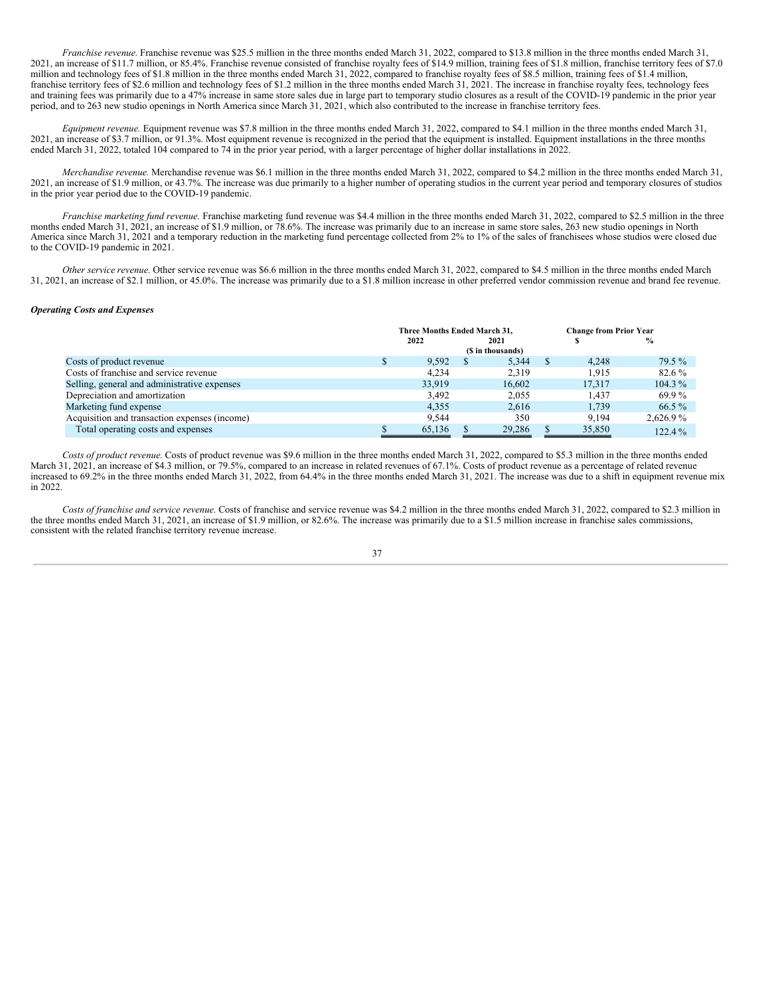*Franchise revenue.* Franchise revenue was \$25.5 million in the three months ended March 31, 2022, compared to \$13.8 million in the three months ended March 31, 2021, an increase of \$11.7 million, or 85.4%. Franchise revenue consisted of franchise royalty fees of \$14.9 million, training fees of \$1.8 million, franchise territory fees of \$7.0 million and technology fees of \$1.8 million in the three months ended March 31, 2022, compared to franchise royalty fees of \$8.5 million, training fees of \$1.4 million, franchise territory fees of \$2.6 million and technology fees of \$1.2 million in the three months ended March 31, 2021. The increase in franchise royalty fees, technology fees and training fees was primarily due to a 47% increase in same store sales due in large part to temporary studio closures as a result of the COVID-19 pandemic in the prior year period, and to 263 new studio openings in North America since March 31, 2021, which also contributed to the increase in franchise territory fees.

*Equipment revenue.* Equipment revenue was \$7.8 million in the three months ended March 31, 2022, compared to \$4.1 million in the three months ended March 31, 2021, an increase of \$3.7 million, or 91.3%. Most equipment revenue is recognized in the period that the equipment is installed. Equipment installations in the three months ended March 31, 2022, totaled 104 compared to 74 in the prior year period, with a larger percentage of higher dollar installations in 2022.

*Merchandise revenue.* Merchandise revenue was \$6.1 million in the three months ended March 31, 2022, compared to \$4.2 million in the three months ended March 31, 2021, an increase of \$1.9 million, or 43.7%. The increase was due primarily to a higher number of operating studios in the current year period and temporary closures of studios in the prior year period due to the COVID-19 pandemic.

*Franchise marketing fund revenue.* Franchise marketing fund revenue was \$4.4 million in the three months ended March 31, 2022, compared to \$2.5 million in the three months ended March 31, 2021, an increase of \$1.9 million, or 78.6%. The increase was primarily due to an increase in same store sales, 263 new studio openings in North America since March 31, 2021 and a temporary reduction in the marketing fund percentage collected from 2% to 1% of the sales of franchisees whose studios were closed due to the COVID-19 pandemic in 2021.

*Other service revenue.* Other service revenue was \$6.6 million in the three months ended March 31, 2022, compared to \$4.5 million in the three months ended March 31, 2021, an increase of \$2.1 million, or 45.0%. The increase was primarily due to a \$1.8 million increase in other preferred vendor commission revenue and brand fee revenue.

### *Operating Costs and Expenses*

|                                               | Three Months Ended March 31. |  |                   |  | <b>Change from Prior Year</b> |               |
|-----------------------------------------------|------------------------------|--|-------------------|--|-------------------------------|---------------|
|                                               | 2022                         |  | 2021              |  |                               | $\frac{0}{0}$ |
|                                               |                              |  | (\$ in thousands) |  |                               |               |
| Costs of product revenue                      | 9.592                        |  | 5.344             |  | 4.248                         | 79.5 %        |
| Costs of franchise and service revenue        | 4.234                        |  | 2.319             |  | 1.915                         | 82.6 %        |
| Selling, general and administrative expenses  | 33.919                       |  | 16.602            |  | 17.317                        | $104.3\%$     |
| Depreciation and amortization                 | 3.492                        |  | 2.055             |  | 1.437                         | 69.9%         |
| Marketing fund expense                        | 4.355                        |  | 2.616             |  | 1.739                         | 66.5 %        |
| Acquisition and transaction expenses (income) | 9.544                        |  | 350               |  | 9.194                         | 2,626.9%      |
| Total operating costs and expenses            | 65,136                       |  | 29,286            |  | 35,850                        | $122.4\%$     |

*Costs of product revenue.* Costs of product revenue was \$9.6 million in the three months ended March 31, 2022, compared to \$5.3 million in the three months ended March 31, 2021, an increase of \$4.3 million, or 79.5%, compared to an increase in related revenues of 67.1%. Costs of product revenue as a percentage of related revenue increased to 69.2% in the three months ended March 31, 2022, from 64.4% in the three months ended March 31, 2021. The increase was due to a shift in equipment revenue mix in 2022.

*Costs of franchise and service revenue.* Costs of franchise and service revenue was \$4.2 million in the three months ended March 31, 2022, compared to \$2.3 million in the three months ended March 31, 2021, an increase of \$1.9 million, or 82.6%. The increase was primarily due to a \$1.5 million increase in franchise sales commissions, consistent with the related franchise territory revenue increase.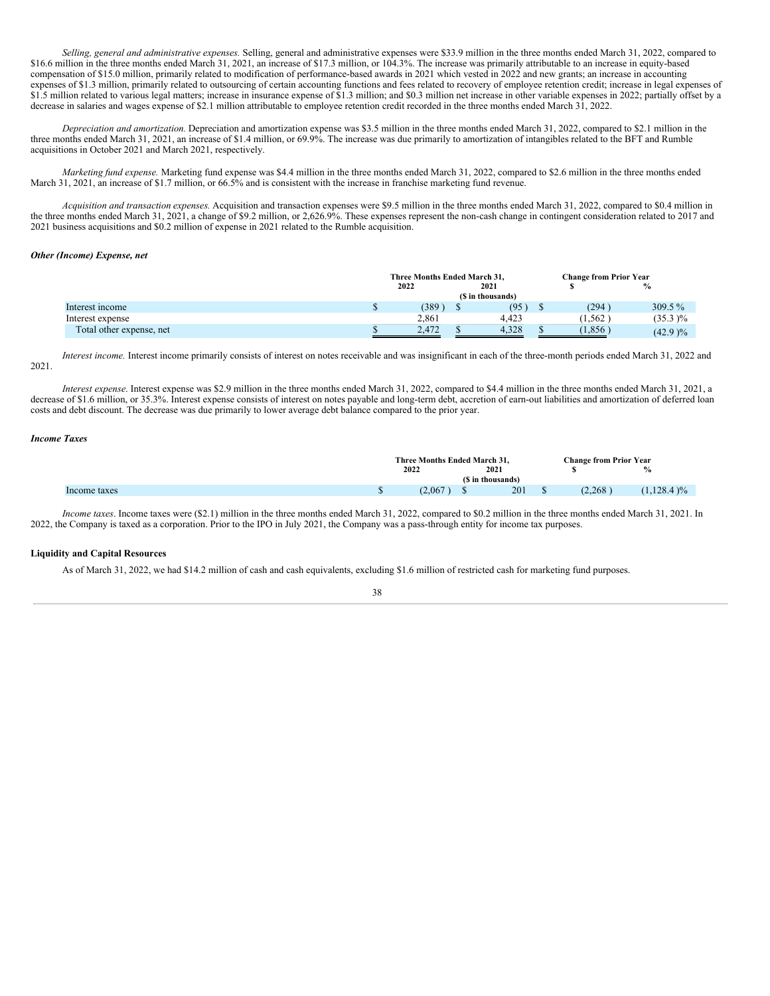*Selling, general and administrative expenses.* Selling, general and administrative expenses were \$33.9 million in the three months ended March 31, 2022, compared to \$16.6 million in the three months ended March 31, 2021, an increase of \$17.3 million, or 104.3%. The increase was primarily attributable to an increase in equity-based compensation of \$15.0 million, primarily related to modification of performance-based awards in 2021 which vested in 2022 and new grants; an increase in accounting expenses of \$1.3 million, primarily related to outsourcing of certain accounting functions and fees related to recovery of employee retention credit; increase in legal expenses of \$1.5 million related to various legal matters; increase in insurance expense of \$1.3 million; and \$0.3 million net increase in other variable expenses in 2022; partially offset by a decrease in salaries and wages expense of \$2.1 million attributable to employee retention credit recorded in the three months ended March 31, 2022.

*Depreciation and amortization.* Depreciation and amortization expense was \$3.5 million in the three months ended March 31, 2022, compared to \$2.1 million in the three months ended March 31, 2021, an increase of \$1.4 million, or 69.9%. The increase was due primarily to amortization of intangibles related to the BFT and Rumble acquisitions in October 2021 and March 2021, respectively.

*Marketing fund expense.* Marketing fund expense was \$4.4 million in the three months ended March 31, 2022, compared to \$2.6 million in the three months ended March 31, 2021, an increase of \$1.7 million, or 66.5% and is consistent with the increase in franchise marketing fund revenue.

*Acquisition and transaction expenses.* Acquisition and transaction expenses were \$9.5 million in the three months ended March 31, 2022, compared to \$0.4 million in the three months ended March 31, 2021, a change of \$9.2 million, or 2,626.9%. These expenses represent the non-cash change in contingent consideration related to 2017 and 2021 business acquisitions and \$0.2 million of expense in 2021 related to the Rumble acquisition.

### *Other (Income) Expense, net*

|                          | Three Months Ended March 31. |  |                  | <b>Change from Prior Year</b> |               |  |
|--------------------------|------------------------------|--|------------------|-------------------------------|---------------|--|
|                          | 2022                         |  | 2021             |                               | $\frac{0}{0}$ |  |
|                          |                              |  | (S in thousands) |                               |               |  |
| Interest income          | (389)                        |  | (95)             | (294)                         | 309.5%        |  |
| Interest expense         | 2.861                        |  | 4.423            | 1,562                         | $(35.3)\%$    |  |
| Total other expense, net | 2.472                        |  | 4.328            | (1, 856)                      | $(42.9)$ %    |  |

*Interest income*. Interest income primarily consists of interest on notes receivable and was insignificant in each of the three-month periods ended March 31, 2022 and 2021.

*Interest expense*. Interest expense was \$2.9 million in the three months ended March 31, 2022, compared to \$4.4 million in the three months ended March 31, 2021, a decrease of \$1.6 million, or 35.3%. Interest expense consists of interest on notes payable and long-term debt, accretion of earn-out liabilities and amortization of deferred loan costs and debt discount. The decrease was due primarily to lower average debt balance compared to the prior year.

### *Income Taxes*

|              | Three Months Ended March 31.                |  |                  |  | <b>Change from Prior Year</b> |               |
|--------------|---------------------------------------------|--|------------------|--|-------------------------------|---------------|
|              | 2022<br>the contract of the contract of the |  | 2021             |  |                               | $\frac{0}{2}$ |
|              |                                             |  | (S in thousands) |  |                               |               |
| Income taxes | (2,067)                                     |  | 201              |  | (2,268)                       | $(1,128.4)\%$ |

*Income taxes*. Income taxes were (\$2.1) million in the three months ended March 31, 2022, compared to \$0.2 million in the three months ended March 31, 2021. In 2022, the Company is taxed as a corporation. Prior to the IPO in July 2021, the Company was a pass-through entity for income tax purposes.

#### **Liquidity and Capital Resources**

As of March 31, 2022, we had \$14.2 million of cash and cash equivalents, excluding \$1.6 million of restricted cash for marketing fund purposes.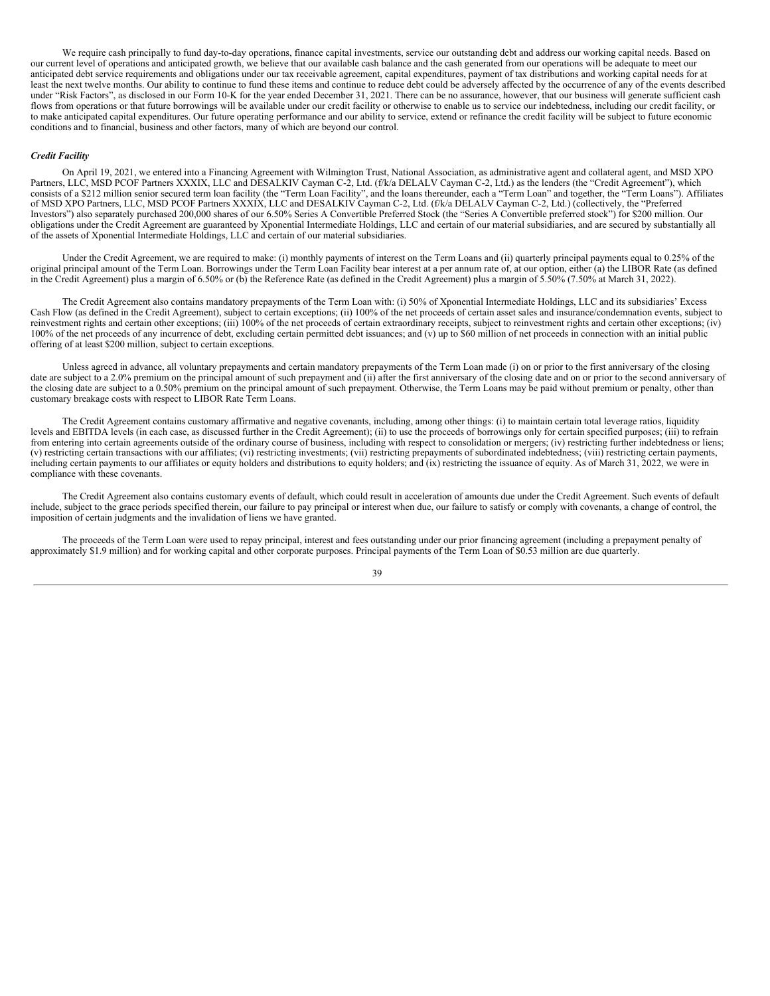We require cash principally to fund day-to-day operations, finance capital investments, service our outstanding debt and address our working capital needs. Based on our current level of operations and anticipated growth, we believe that our available cash balance and the cash generated from our operations will be adequate to meet our anticipated debt service requirements and obligations under our tax receivable agreement, capital expenditures, payment of tax distributions and working capital needs for at least the next twelve months. Our ability to continue to fund these items and continue to reduce debt could be adversely affected by the occurrence of any of the events described under "Risk Factors", as disclosed in our Form 10-K for the year ended December 31, 2021. There can be no assurance, however, that our business will generate sufficient cash flows from operations or that future borrowings will be available under our credit facility or otherwise to enable us to service our indebtedness, including our credit facility, or to make anticipated capital expenditures. Our future operating performance and our ability to service, extend or refinance the credit facility will be subject to future economic conditions and to financial, business and other factors, many of which are beyond our control.

#### *Credit Facility*

On April 19, 2021, we entered into a Financing Agreement with Wilmington Trust, National Association, as administrative agent and collateral agent, and MSD XPO Partners, LLC, MSD PCOF Partners XXXIX, LLC and DESALKIV Cayman C-2, Ltd. (f/k/a DELALV Cayman C-2, Ltd.) as the lenders (the "Credit Agreement"), which consists of a \$212 million senior secured term loan facility (the "Term Loan Facility", and the loans thereunder, each a "Term Loan" and together, the "Term Loans"). Affiliates of MSD XPO Partners, LLC, MSD PCOF Partners XXXIX, LLC and DESALKIV Cayman C-2, Ltd. (f/k/a DELALV Cayman C-2, Ltd.) (collectively, the "Preferred Investors") also separately purchased 200,000 shares of our 6.50% Series A Convertible Preferred Stock (the "Series A Convertible preferred stock") for \$200 million. Our obligations under the Credit Agreement are guaranteed by Xponential Intermediate Holdings, LLC and certain of our material subsidiaries, and are secured by substantially all of the assets of Xponential Intermediate Holdings, LLC and certain of our material subsidiaries.

Under the Credit Agreement, we are required to make: (i) monthly payments of interest on the Term Loans and (ii) quarterly principal payments equal to 0.25% of the original principal amount of the Term Loan. Borrowings under the Term Loan Facility bear interest at a per annum rate of, at our option, either (a) the LIBOR Rate (as defined in the Credit Agreement) plus a margin of 6.50% or (b) the Reference Rate (as defined in the Credit Agreement) plus a margin of 5.50% (7.50% at March 31, 2022).

The Credit Agreement also contains mandatory prepayments of the Term Loan with: (i) 50% of Xponential Intermediate Holdings, LLC and its subsidiaries' Excess Cash Flow (as defined in the Credit Agreement), subject to certain exceptions; (ii) 100% of the net proceeds of certain asset sales and insurance/condemnation events, subject to reinvestment rights and certain other exceptions; (iii) 100% of the net proceeds of certain extraordinary receipts, subject to reinvestment rights and certain other exceptions; (iv) 100% of the net proceeds of any incurrence of debt, excluding certain permitted debt issuances; and (v) up to \$60 million of net proceeds in connection with an initial public offering of at least \$200 million, subject to certain exceptions.

Unless agreed in advance, all voluntary prepayments and certain mandatory prepayments of the Term Loan made (i) on or prior to the first anniversary of the closing date are subject to a 2.0% premium on the principal amount of such prepayment and (ii) after the first anniversary of the closing date and on or prior to the second anniversary of the closing date are subject to a 0.50% premium on the principal amount of such prepayment. Otherwise, the Term Loans may be paid without premium or penalty, other than customary breakage costs with respect to LIBOR Rate Term Loans.

The Credit Agreement contains customary affirmative and negative covenants, including, among other things: (i) to maintain certain total leverage ratios, liquidity levels and EBITDA levels (in each case, as discussed further in the Credit Agreement); (ii) to use the proceeds of borrowings only for certain specified purposes; (iii) to refrain from entering into certain agreements outside of the ordinary course of business, including with respect to consolidation or mergers; (iv) restricting further indebtedness or liens; (v) restricting certain transactions with our affiliates; (vi) restricting investments; (vii) restricting prepayments of subordinated indebtedness; (viii) restricting certain payments, including certain payments to our affiliates or equity holders and distributions to equity holders; and (ix) restricting the issuance of equity. As of March 31, 2022, we were in compliance with these covenants.

The Credit Agreement also contains customary events of default, which could result in acceleration of amounts due under the Credit Agreement. Such events of default include, subject to the grace periods specified therein, our failure to pay principal or interest when due, our failure to satisfy or comply with covenants, a change of control, the imposition of certain judgments and the invalidation of liens we have granted.

The proceeds of the Term Loan were used to repay principal, interest and fees outstanding under our prior financing agreement (including a prepayment penalty of approximately \$1.9 million) and for working capital and other corporate purposes. Principal payments of the Term Loan of \$0.53 million are due quarterly.

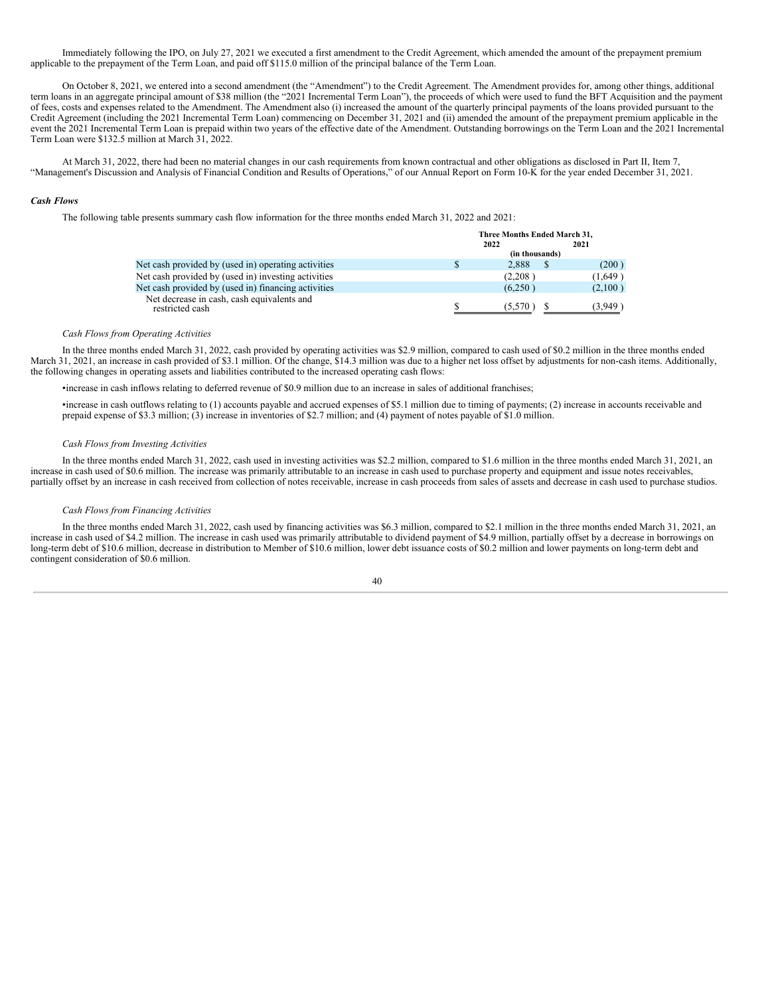Immediately following the IPO, on July 27, 2021 we executed a first amendment to the Credit Agreement, which amended the amount of the prepayment premium applicable to the prepayment of the Term Loan, and paid off \$115.0 million of the principal balance of the Term Loan.

On October 8, 2021, we entered into a second amendment (the "Amendment") to the Credit Agreement. The Amendment provides for, among other things, additional term loans in an aggregate principal amount of \$38 million (the "2021 Incremental Term Loan"), the proceeds of which were used to fund the BFT Acquisition and the payment of fees, costs and expenses related to the Amendment. The Amendment also (i) increased the amount of the quarterly principal payments of the loans provided pursuant to the Credit Agreement (including the 2021 Incremental Term Loan) commencing on December 31, 2021 and (ii) amended the amount of the prepayment premium applicable in the event the 2021 Incremental Term Loan is prepaid within two years of the effective date of the Amendment. Outstanding borrowings on the Term Loan and the 2021 Incremental Term Loan were \$132.5 million at March 31, 2022.

At March 31, 2022, there had been no material changes in our cash requirements from known contractual and other obligations as disclosed in Part II, Item 7, "Management's Discussion and Analysis of Financial Condition and Results of Operations," of our Annual Report on Form 10-K for the year ended December 31, 2021.

### *Cash Flows*

The following table presents summary cash flow information for the three months ended March 31, 2022 and 2021:

|                                                               |      | Three Months Ended March 31, |  |         |  |  |
|---------------------------------------------------------------|------|------------------------------|--|---------|--|--|
|                                                               | 2022 |                              |  | 2021    |  |  |
|                                                               |      | (in thousands)               |  |         |  |  |
| Net cash provided by (used in) operating activities           |      | 2.888                        |  | (200)   |  |  |
| Net cash provided by (used in) investing activities           |      | (2,208)                      |  | (1,649) |  |  |
| Net cash provided by (used in) financing activities           |      | (6,250)                      |  | (2,100) |  |  |
| Net decrease in cash, cash equivalents and<br>restricted cash |      | (5.570)                      |  | (3.949) |  |  |

#### *Cash Flows from Operating Activities*

In the three months ended March 31, 2022, cash provided by operating activities was \$2.9 million, compared to cash used of \$0.2 million in the three months ended March 31, 2021, an increase in cash provided of \$3.1 million. Of the change, \$14.3 million was due to a higher net loss offset by adjustments for non-cash items. Additionally, the following changes in operating assets and liabilities contributed to the increased operating cash flows:

•increase in cash inflows relating to deferred revenue of \$0.9 million due to an increase in sales of additional franchises;

•increase in cash outflows relating to (1) accounts payable and accrued expenses of \$5.1 million due to timing of payments; (2) increase in accounts receivable and prepaid expense of \$3.3 million; (3) increase in inventories of \$2.7 million; and (4) payment of notes payable of \$1.0 million.

#### *Cash Flows from Investing Activities*

In the three months ended March 31, 2022, cash used in investing activities was \$2.2 million, compared to \$1.6 million in the three months ended March 31, 2021, an increase in cash used of \$0.6 million. The increase was primarily attributable to an increase in cash used to purchase property and equipment and issue notes receivables, partially offset by an increase in cash received from collection of notes receivable, increase in cash proceeds from sales of assets and decrease in cash used to purchase studios.

#### *Cash Flows from Financing Activities*

In the three months ended March 31, 2022, cash used by financing activities was \$6.3 million, compared to \$2.1 million in the three months ended March 31, 2021, an increase in cash used of \$4.2 million. The increase in cash used was primarily attributable to dividend payment of \$4.9 million, partially offset by a decrease in borrowings on long-term debt of \$10.6 million, decrease in distribution to Member of \$10.6 million, lower debt issuance costs of \$0.2 million and lower payments on long-term debt and contingent consideration of \$0.6 million.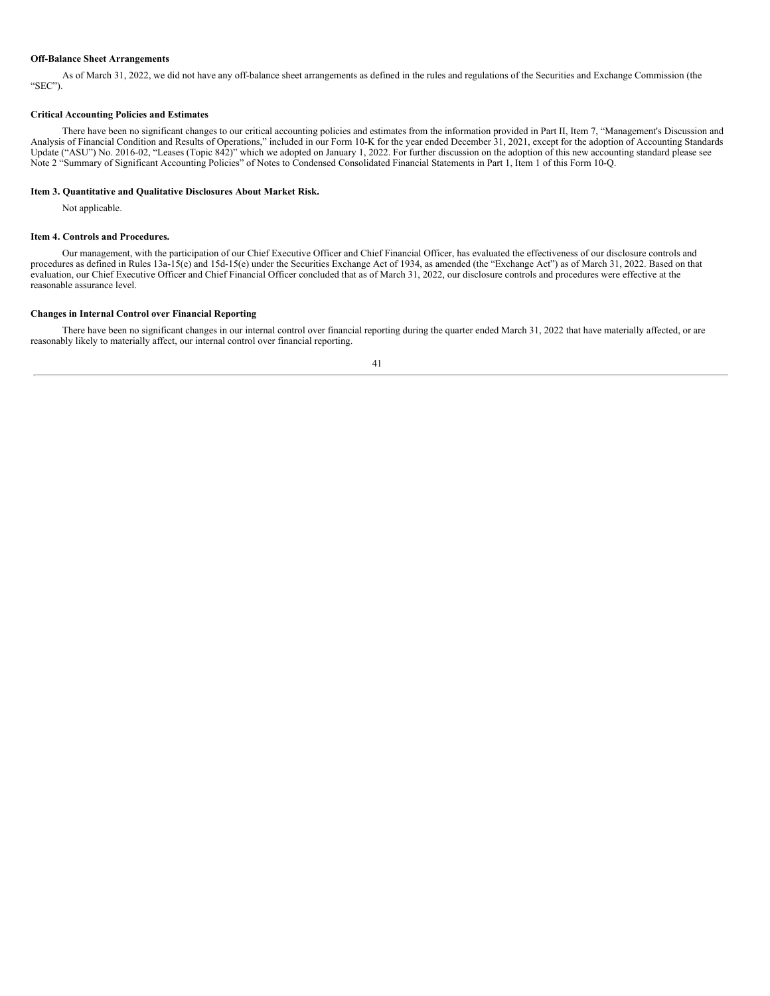#### **Off-Balance Sheet Arrangements**

As of March 31, 2022, we did not have any off-balance sheet arrangements as defined in the rules and regulations of the Securities and Exchange Commission (the "SEC").

#### **Critical Accounting Policies and Estimates**

There have been no significant changes to our critical accounting policies and estimates from the information provided in Part II, Item 7, "Management's Discussion and Analysis of Financial Condition and Results of Operations," included in our Form 10-K for the year ended December 31, 2021, except for the adoption of Accounting Standards Update ("ASU") No. 2016-02, "Leases (Topic 842)" which we adopted on January 1, 2022. For further discussion on the adoption of this new accounting standard please see Note 2 "Summary of Significant Accounting Policies" of Notes to Condensed Consolidated Financial Statements in Part 1, Item 1 of this Form 10-Q.

### <span id="page-42-0"></span>**Item 3. Quantitative and Qualitative Disclosures About Market Risk.**

Not applicable.

#### <span id="page-42-1"></span>**Item 4. Controls and Procedures.**

Our management, with the participation of our Chief Executive Officer and Chief Financial Officer, has evaluated the effectiveness of our disclosure controls and procedures as defined in Rules 13a-15(e) and 15d-15(e) under the Securities Exchange Act of 1934, as amended (the "Exchange Act") as of March 31, 2022. Based on that evaluation, our Chief Executive Officer and Chief Financial Officer concluded that as of March 31, 2022, our disclosure controls and procedures were effective at the reasonable assurance level.

#### **Changes in Internal Control over Financial Reporting**

There have been no significant changes in our internal control over financial reporting during the quarter ended March 31, 2022 that have materially affected, or are reasonably likely to materially affect, our internal control over financial reporting.

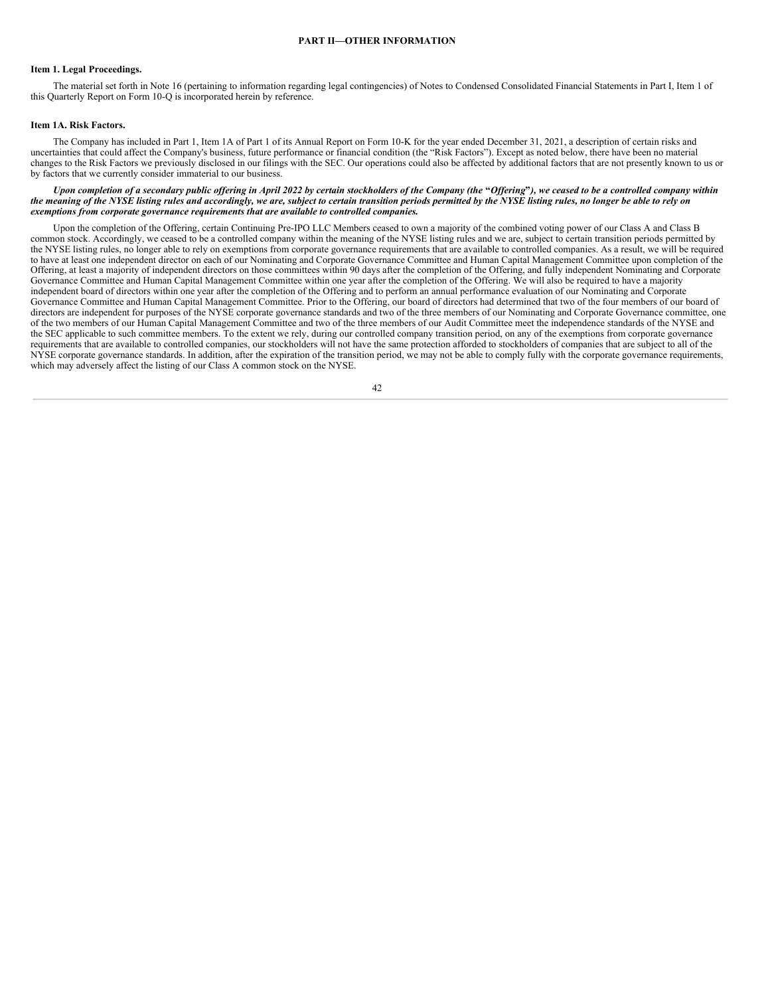### <span id="page-43-1"></span><span id="page-43-0"></span>**Item 1. Legal Proceedings.**

The material set forth in Note 16 (pertaining to information regarding legal contingencies) of Notes to Condensed Consolidated Financial Statements in Part I, Item 1 of this Quarterly Report on Form 10-Q is incorporated herein by reference.

#### <span id="page-43-2"></span>**Item 1A. Risk Factors.**

The Company has included in Part 1, Item 1A of Part 1 of its Annual Report on Form 10-K for the year ended December 31, 2021, a description of certain risks and uncertainties that could affect the Company's business, future performance or financial condition (the "Risk Factors"). Except as noted below, there have been no material changes to the Risk Factors we previously disclosed in our filings with the SEC. Our operations could also be affected by additional factors that are not presently known to us or by factors that we currently consider immaterial to our business.

#### Upon completion of a secondary public offering in April 2022 by certain stockholders of the Company (the "Offering"), we ceased to be a controlled company within the meaning of the NYSE listing rules and accordingly, we are, subject to certain transition periods permitted by the NYSE listing rules, no longer be able to rely on *exemptions from corporate governance requirements that are available to controlled companies.*

Upon the completion of the Offering, certain Continuing Pre-IPO LLC Members ceased to own a majority of the combined voting power of our Class A and Class B common stock. Accordingly, we ceased to be a controlled company within the meaning of the NYSE listing rules and we are, subject to certain transition periods permitted by the NYSE listing rules, no longer able to rely on exemptions from corporate governance requirements that are available to controlled companies. As a result, we will be required to have at least one independent director on each of our Nominating and Corporate Governance Committee and Human Capital Management Committee upon completion of the Offering, at least a majority of independent directors on those committees within 90 days after the completion of the Offering, and fully independent Nominating and Corporate Governance Committee and Human Capital Management Committee within one year after the completion of the Offering. We will also be required to have a majority independent board of directors within one year after the completion of the Offering and to perform an annual performance evaluation of our Nominating and Corporate Governance Committee and Human Capital Management Committee. Prior to the Offering, our board of directors had determined that two of the four members of our board of directors are independent for purposes of the NYSE corporate governance standards and two of the three members of our Nominating and Corporate Governance committee, one of the two members of our Human Capital Management Committee and two of the three members of our Audit Committee meet the independence standards of the NYSE and the SEC applicable to such committee members. To the extent we rely, during our controlled company transition period, on any of the exemptions from corporate governance requirements that are available to controlled companies, our stockholders will not have the same protection afforded to stockholders of companies that are subject to all of the NYSE corporate governance standards. In addition, after the expiration of the transition period, we may not be able to comply fully with the corporate governance requirements, which may adversely affect the listing of our Class A common stock on the NYSE.

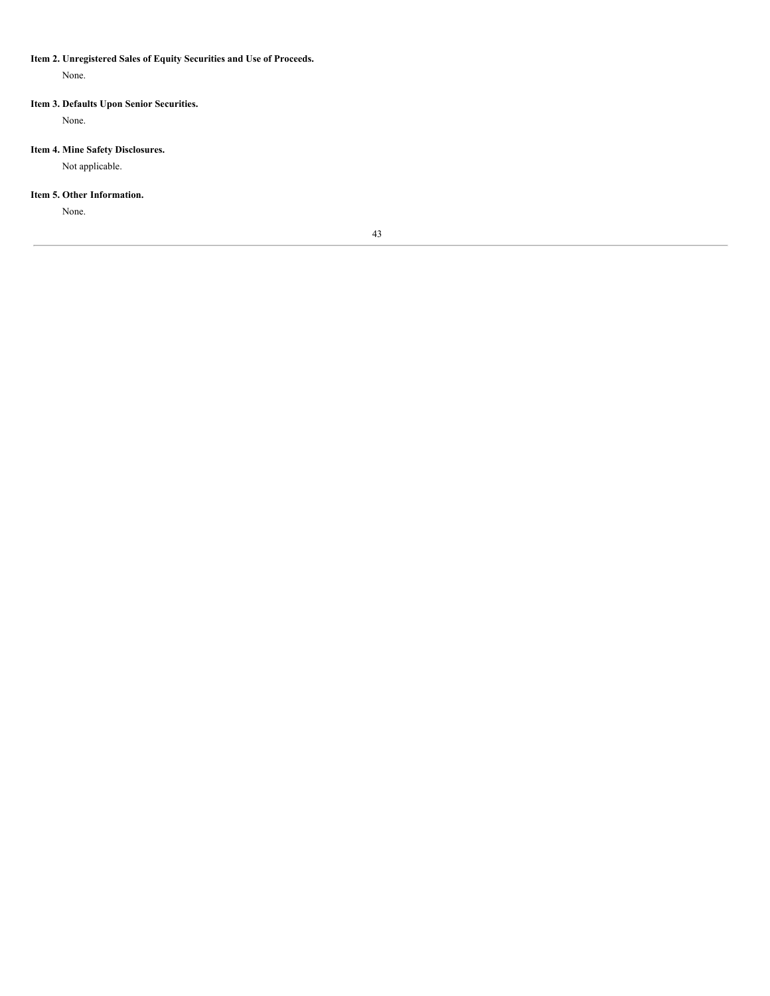# <span id="page-44-0"></span>**Item 2. Unregistered Sales of Equity Securities and Use of Proceeds.**

None.

# <span id="page-44-1"></span>**Item 3. Defaults Upon Senior Securities.**

None.

# <span id="page-44-2"></span>**Item 4. Mine Safety Disclosures.**

Not applicable.

# <span id="page-44-3"></span>**Item 5. Other Information.**

None.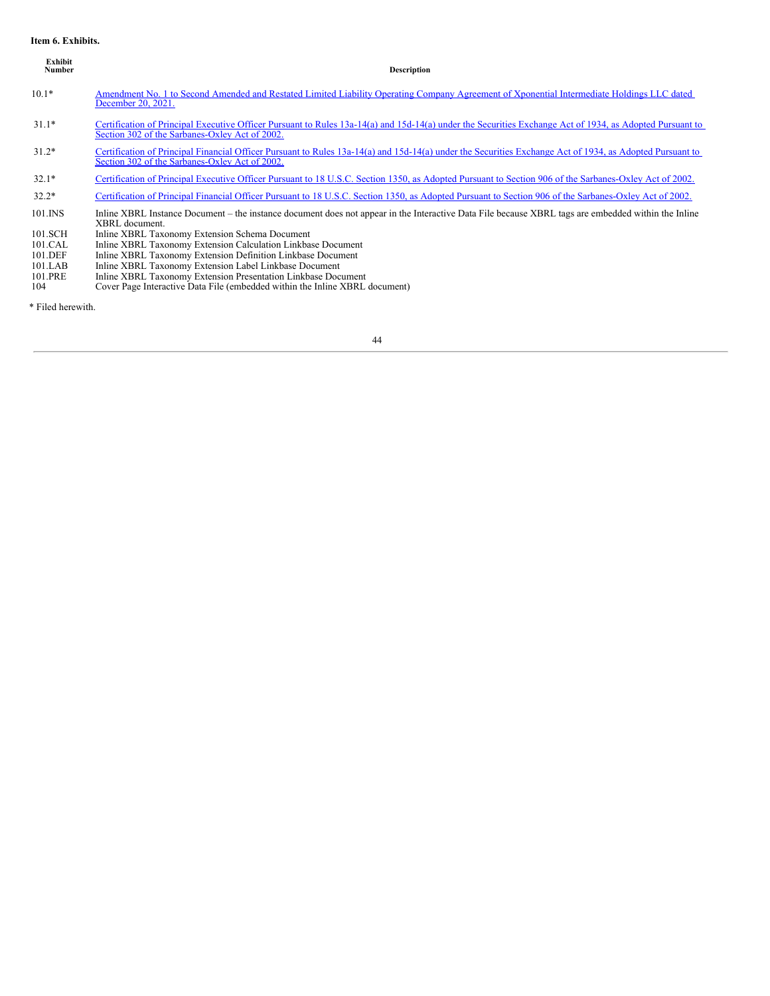# <span id="page-45-0"></span>**Item 6. Exhibits.**

| Exhibit<br><b>Number</b> | <b>Description</b>                                                                                                                                                                                         |
|--------------------------|------------------------------------------------------------------------------------------------------------------------------------------------------------------------------------------------------------|
| $10.1*$                  | Amendment No. 1 to Second Amended and Restated Limited Liability Operating Company Agreement of Xponential Intermediate Holdings LLC dated<br>December 20, 2021.                                           |
| $31.1*$                  | Certification of Principal Executive Officer Pursuant to Rules 13a-14(a) and 15d-14(a) under the Securities Exchange Act of 1934, as Adopted Pursuant to<br>Section 302 of the Sarbanes-Oxley Act of 2002. |
| $31.2*$                  | Certification of Principal Financial Officer Pursuant to Rules 13a-14(a) and 15d-14(a) under the Securities Exchange Act of 1934, as Adopted Pursuant to<br>Section 302 of the Sarbanes-Oxley Act of 2002. |
| $32.1*$                  | Certification of Principal Executive Officer Pursuant to 18 U.S.C. Section 1350, as Adopted Pursuant to Section 906 of the Sarbanes-Oxley Act of 2002.                                                     |
| $32.2*$                  | Certification of Principal Financial Officer Pursuant to 18 U.S.C. Section 1350, as Adopted Pursuant to Section 906 of the Sarbanes-Oxley Act of 2002.                                                     |
| 101.INS                  | Inline XBRL Instance Document – the instance document does not appear in the Interactive Data File because XBRL tags are embedded within the Inline<br>XBRL document.                                      |
| 101.SCH                  | Inline XBRL Taxonomy Extension Schema Document                                                                                                                                                             |
| 101.CAL<br>101.DEF       | Inline XBRL Taxonomy Extension Calculation Linkbase Document<br>Inline XBRL Taxonomy Extension Definition Linkbase Document                                                                                |
| 101.LAB                  | Inline XBRL Taxonomy Extension Label Linkbase Document                                                                                                                                                     |
| 101.PRE                  | Inline XBRL Taxonomy Extension Presentation Linkbase Document                                                                                                                                              |
| 104                      | Cover Page Interactive Data File (embedded within the Inline XBRL document)                                                                                                                                |
| * Filed herewith.        |                                                                                                                                                                                                            |
|                          |                                                                                                                                                                                                            |
|                          | $\Lambda$                                                                                                                                                                                                  |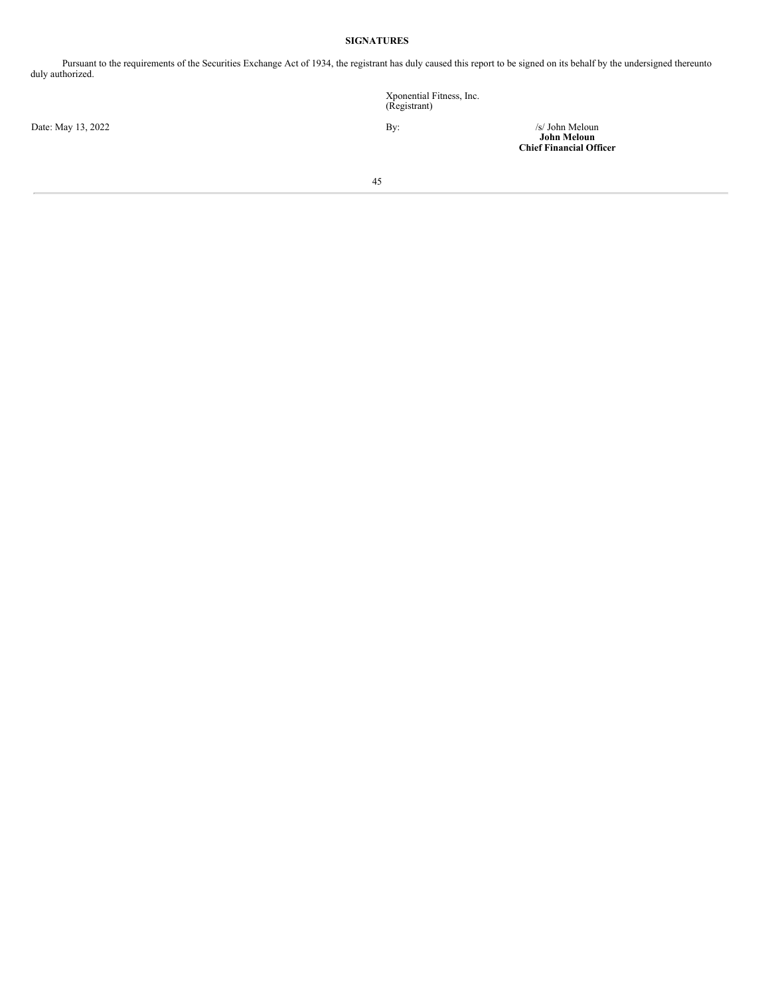# **SIGNATURES**

<span id="page-46-0"></span>Pursuant to the requirements of the Securities Exchange Act of 1934, the registrant has duly caused this report to be signed on its behalf by the undersigned thereunto duly authorized.

Xponential Fitness, Inc. (Registrant)

Date: May 13, 2022 / /s/ John Meloun by: /s/ John Meloun by: /s/ John Meloun by: /s/ John Meloun by: /s/ John Meloun by: /s/ John Meloun by: /s/ John Meloun by: /s/ John Meloun by: /s/ John Meloun by: /s/ John Meloun by: /

**John Meloun Chief Financial Officer**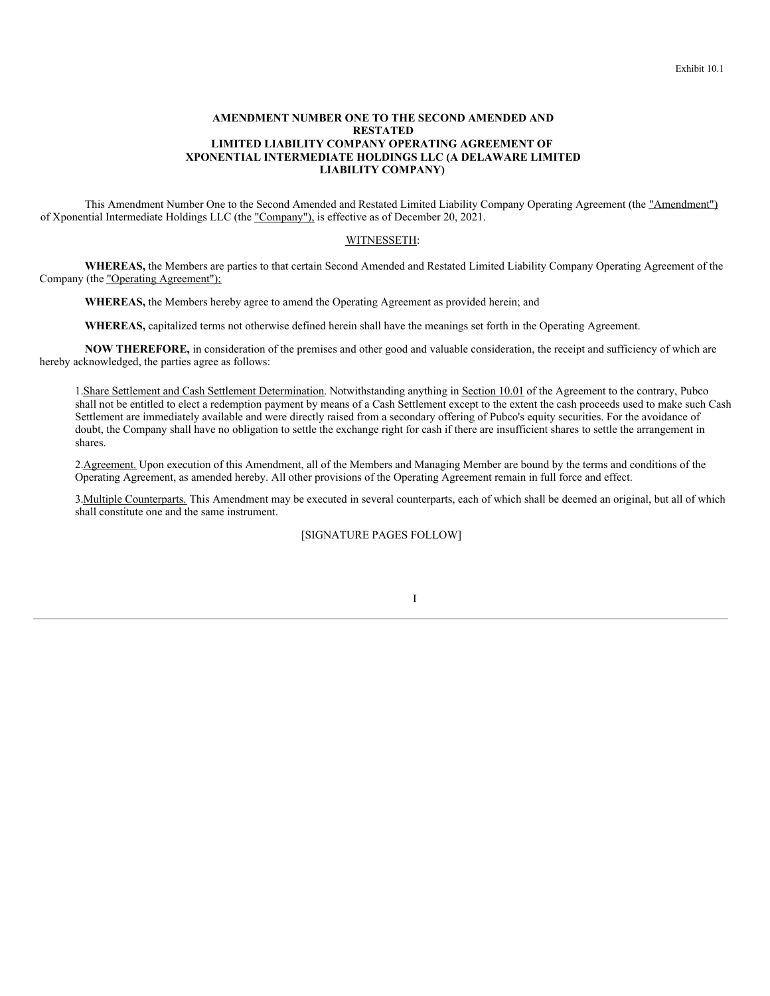# **AMENDMENT NUMBER ONE TO THE SECOND AMENDED AND RESTATED LIMITED LIABILITY COMPANY OPERATING AGREEMENT OF XPONENTIAL INTERMEDIATE HOLDINGS LLC (A DELAWARE LIMITED LIABILITY COMPANY)**

This Amendment Number One to the Second Amended and Restated Limited Liability Company Operating Agreement (the "Amendment") of Xponential Intermediate Holdings LLC (the "Company"), is effective as of December 20, 2021.

# WITNESSETH:

**WHEREAS,** the Members are parties to that certain Second Amended and Restated Limited Liability Company Operating Agreement of the Company (the "Operating Agreement");

**WHEREAS,** the Members hereby agree to amend the Operating Agreement as provided herein; and

**WHEREAS,** capitalized terms not otherwise defined herein shall have the meanings set forth in the Operating Agreement.

**NOW THEREFORE,** in consideration of the premises and other good and valuable consideration, the receipt and sufficiency of which are hereby acknowledged, the parties agree as follows:

1.Share Settlement and Cash Settlement Determination. Notwithstanding anything in Section 10.01 of the Agreement to the contrary, Pubco shall not be entitled to elect a redemption payment by means of a Cash Settlement except to the extent the cash proceeds used to make such Cash Settlement are immediately available and were directly raised from a secondary offering of Pubco's equity securities. For the avoidance of doubt, the Company shall have no obligation to settle the exchange right for cash if there are insufficient shares to settle the arrangement in shares.

2. Agreement. Upon execution of this Amendment, all of the Members and Managing Member are bound by the terms and conditions of the Operating Agreement, as amended hereby. All other provisions of the Operating Agreement remain in full force and effect.

3.Multiple Counterparts. This Amendment may be executed in several counterparts, each of which shall be deemed an original, but all of which shall constitute one and the same instrument.

[SIGNATURE PAGES FOLLOW]

I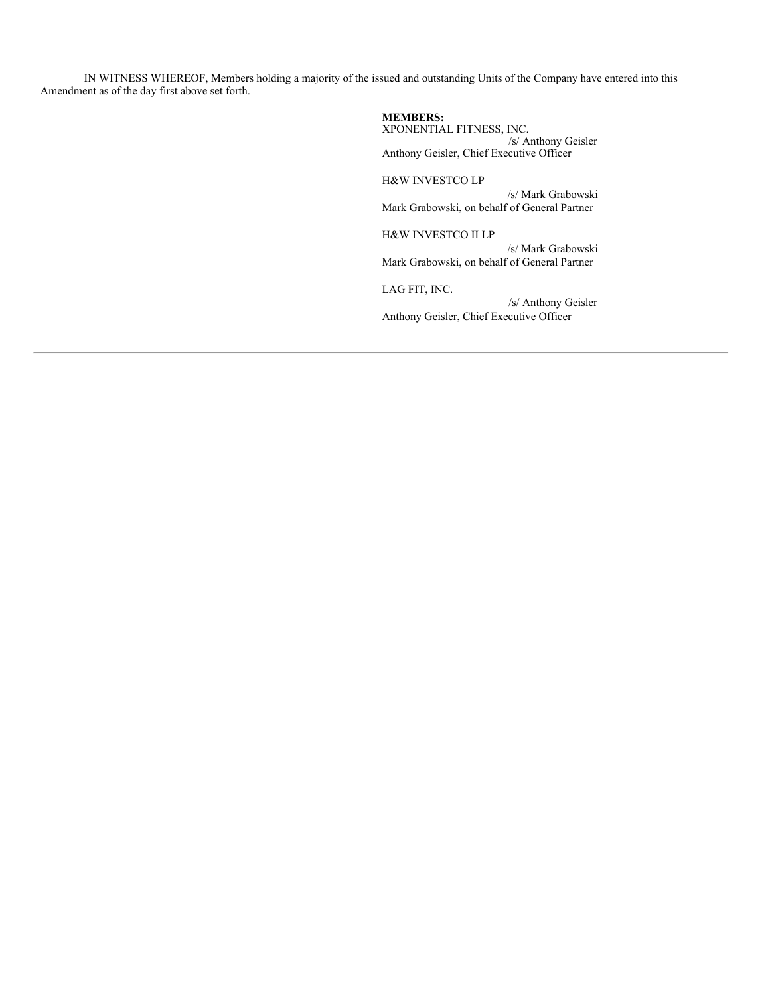<span id="page-49-0"></span>IN WITNESS WHEREOF, Members holding a majority of the issued and outstanding Units of the Company have entered into this Amendment as of the day first above set forth.

# **MEMBERS:**

XPONENTIAL FITNESS, INC. /s/ Anthony Geisler Anthony Geisler, Chief Executive Officer

H&W INVESTCO LP

/s/ Mark Grabowski Mark Grabowski, on behalf of General Partner

H&W INVESTCO II LP /s/ Mark Grabowski Mark Grabowski, on behalf of General Partner

LAG FIT, INC.

/s/ Anthony Geisler Anthony Geisler, Chief Executive Officer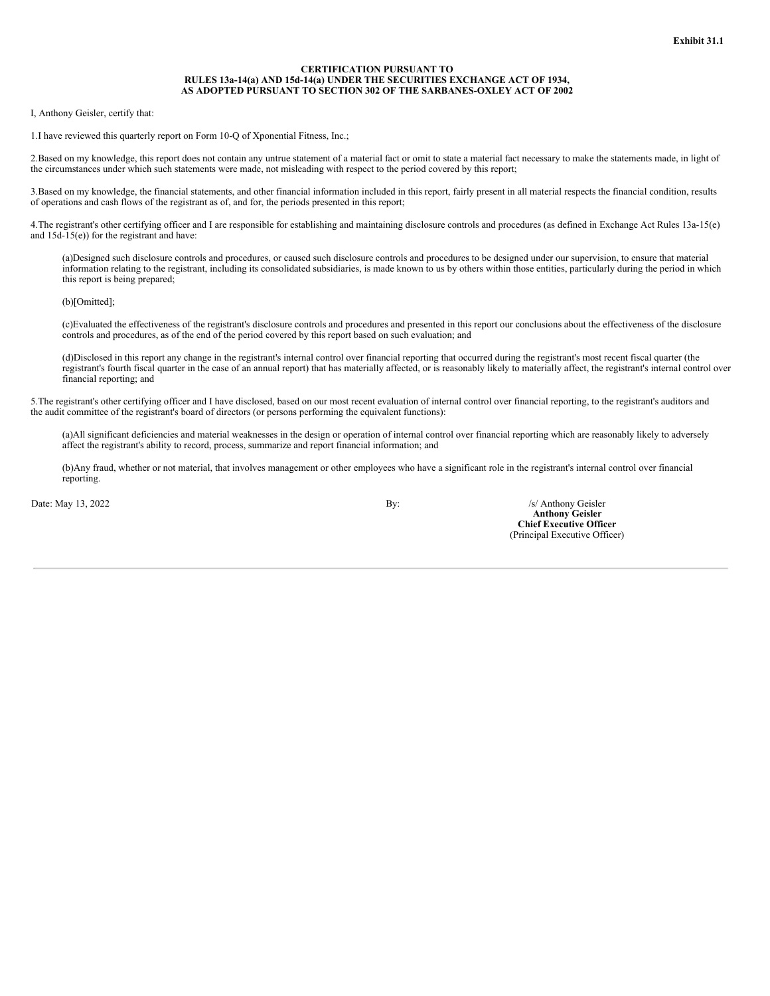#### **CERTIFICATION PURSUANT TO RULES 13a-14(a) AND 15d-14(a) UNDER THE SECURITIES EXCHANGE ACT OF 1934, AS ADOPTED PURSUANT TO SECTION 302 OF THE SARBANES-OXLEY ACT OF 2002**

<span id="page-51-0"></span>I, Anthony Geisler, certify that:

1.I have reviewed this quarterly report on Form 10-Q of Xponential Fitness, Inc.;

2.Based on my knowledge, this report does not contain any untrue statement of a material fact or omit to state a material fact necessary to make the statements made, in light of the circumstances under which such statements were made, not misleading with respect to the period covered by this report;

3.Based on my knowledge, the financial statements, and other financial information included in this report, fairly present in all material respects the financial condition, results of operations and cash flows of the registrant as of, and for, the periods presented in this report;

4.The registrant's other certifying officer and I are responsible for establishing and maintaining disclosure controls and procedures (as defined in Exchange Act Rules 13a-15(e) and 15d-15(e)) for the registrant and have:

(a)Designed such disclosure controls and procedures, or caused such disclosure controls and procedures to be designed under our supervision, to ensure that material information relating to the registrant, including its consolidated subsidiaries, is made known to us by others within those entities, particularly during the period in which this report is being prepared;

(b)[Omitted];

(c)Evaluated the effectiveness of the registrant's disclosure controls and procedures and presented in this report our conclusions about the effectiveness of the disclosure controls and procedures, as of the end of the period covered by this report based on such evaluation; and

(d)Disclosed in this report any change in the registrant's internal control over financial reporting that occurred during the registrant's most recent fiscal quarter (the registrant's fourth fiscal quarter in the case of an annual report) that has materially affected, or is reasonably likely to materially affect, the registrant's internal control over financial reporting; and

5.The registrant's other certifying officer and I have disclosed, based on our most recent evaluation of internal control over financial reporting, to the registrant's auditors and the audit committee of the registrant's board of directors (or persons performing the equivalent functions):

(a)All significant deficiencies and material weaknesses in the design or operation of internal control over financial reporting which are reasonably likely to adversely affect the registrant's ability to record, process, summarize and report financial information; and

(b)Any fraud, whether or not material, that involves management or other employees who have a significant role in the registrant's internal control over financial reporting.

Date: May 13, 2022 / S/ Anthony Geisler **Anthony Geisler Chief Executive Officer** (Principal Executive Officer)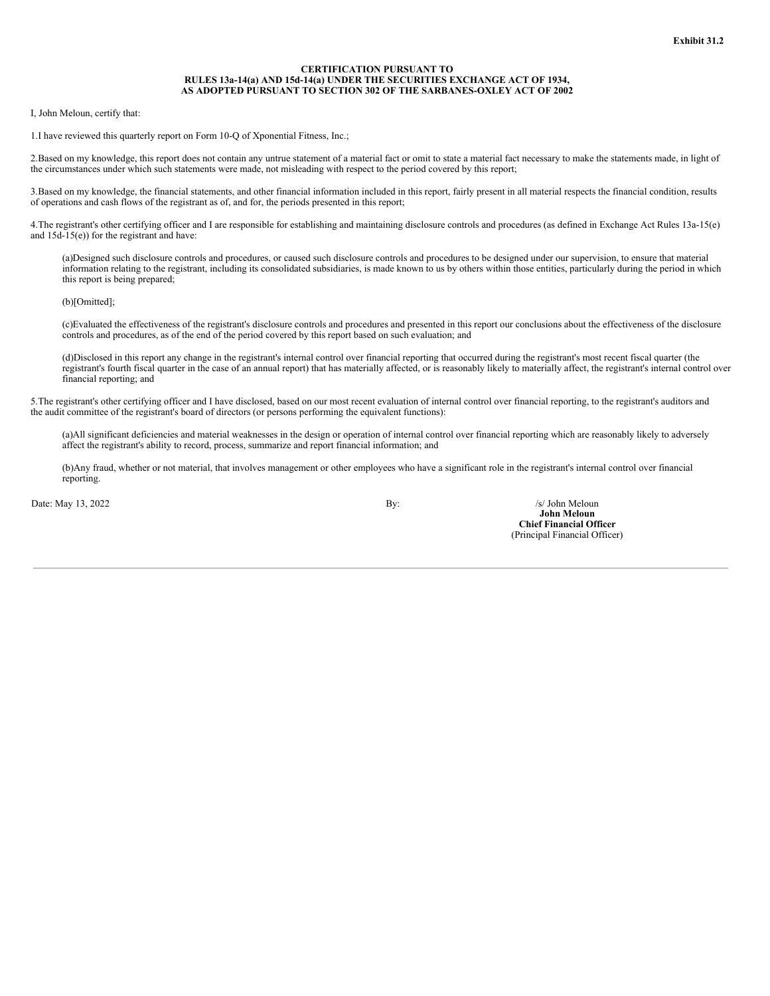#### **CERTIFICATION PURSUANT TO RULES 13a-14(a) AND 15d-14(a) UNDER THE SECURITIES EXCHANGE ACT OF 1934, AS ADOPTED PURSUANT TO SECTION 302 OF THE SARBANES-OXLEY ACT OF 2002**

<span id="page-53-0"></span>I, John Meloun, certify that:

1.I have reviewed this quarterly report on Form 10-Q of Xponential Fitness, Inc.;

2.Based on my knowledge, this report does not contain any untrue statement of a material fact or omit to state a material fact necessary to make the statements made, in light of the circumstances under which such statements were made, not misleading with respect to the period covered by this report;

3.Based on my knowledge, the financial statements, and other financial information included in this report, fairly present in all material respects the financial condition, results of operations and cash flows of the registrant as of, and for, the periods presented in this report;

4.The registrant's other certifying officer and I are responsible for establishing and maintaining disclosure controls and procedures (as defined in Exchange Act Rules 13a-15(e) and 15d-15(e)) for the registrant and have:

(a)Designed such disclosure controls and procedures, or caused such disclosure controls and procedures to be designed under our supervision, to ensure that material information relating to the registrant, including its consolidated subsidiaries, is made known to us by others within those entities, particularly during the period in which this report is being prepared;

(b)[Omitted];

(c)Evaluated the effectiveness of the registrant's disclosure controls and procedures and presented in this report our conclusions about the effectiveness of the disclosure controls and procedures, as of the end of the period covered by this report based on such evaluation; and

(d)Disclosed in this report any change in the registrant's internal control over financial reporting that occurred during the registrant's most recent fiscal quarter (the registrant's fourth fiscal quarter in the case of an annual report) that has materially affected, or is reasonably likely to materially affect, the registrant's internal control over financial reporting; and

5.The registrant's other certifying officer and I have disclosed, based on our most recent evaluation of internal control over financial reporting, to the registrant's auditors and the audit committee of the registrant's board of directors (or persons performing the equivalent functions):

(a)All significant deficiencies and material weaknesses in the design or operation of internal control over financial reporting which are reasonably likely to adversely affect the registrant's ability to record, process, summarize and report financial information; and

(b)Any fraud, whether or not material, that involves management or other employees who have a significant role in the registrant's internal control over financial reporting.

Date: May 13, 2022 /s/ John Meloun by: /s/ John Meloun by: /s/ John Meloun **John Meloun Chief Financial Officer** (Principal Financial Officer)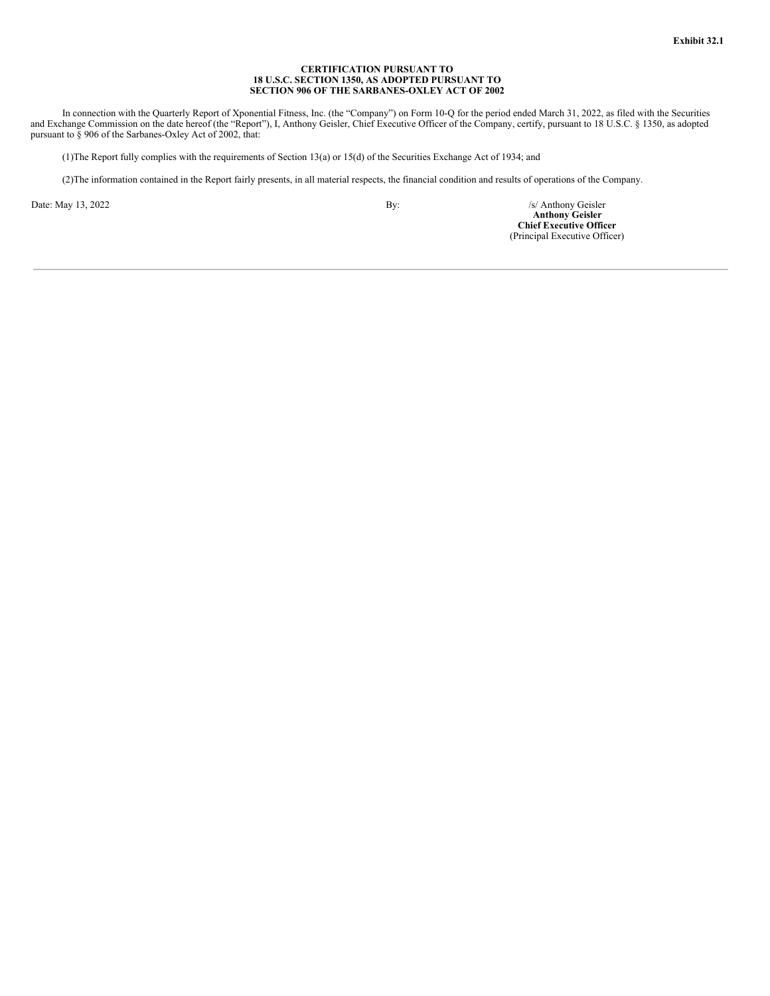### **CERTIFICATION PURSUANT TO 18 U.S.C. SECTION 1350, AS ADOPTED PURSUANT TO SECTION 906 OF THE SARBANES-OXLEY ACT OF 2002**

<span id="page-55-0"></span>In connection with the Quarterly Report of Xponential Fitness, Inc. (the "Company") on Form 10-Q for the period ended March 31, 2022, as filed with the Securities and Exchange Commission on the date hereof (the "Report"), I, Anthony Geisler, Chief Executive Officer of the Company, certify, pursuant to 18 U.S.C. § 1350, as adopted pursuant to § 906 of the Sarbanes-Oxley Act of 2002, that:

(1)The Report fully complies with the requirements of Section 13(a) or 15(d) of the Securities Exchange Act of 1934; and

(2)The information contained in the Report fairly presents, in all material respects, the financial condition and results of operations of the Company.

Date: May 13, 2022 / S/ Anthony Geisler **Anthony Geisler Chief Executive Officer** (Principal Executive Officer)